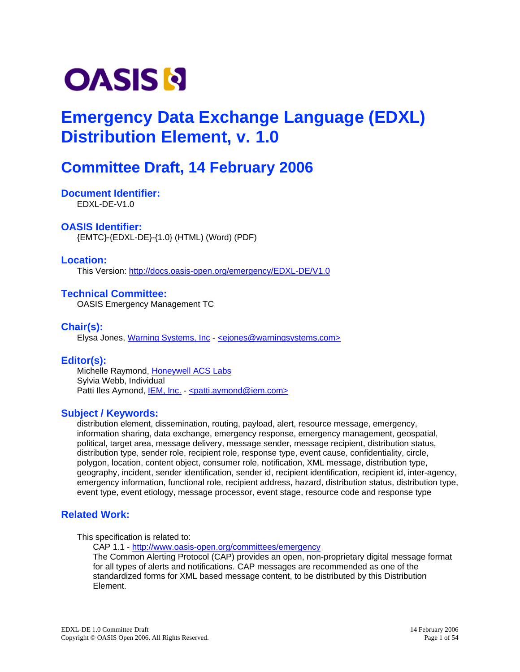# <span id="page-0-0"></span>**OASIS N**

## **Emergency Data Exchange Language (EDXL) Distribution Element, v. 1.0**

## **Committee Draft, 14 February 2006**

#### **Document Identifier:**  EDXL-DE-V1.0

### **OASIS Identifier:**

{EMTC}-{EDXL-DE}-{1.0} (HTML) (Word) (PDF)

### **Location:**

This Version: <http://docs.oasis-open.org/emergency/EDXL-DE/V1.0>

### **Technical Committee:**

OASIS Emergency Management TC

## **Chair(s):**

Elysa Jones, [Warning Systems, Inc](http://www.warningsystems.com/) - [<ejones@warningsystems.com>](mailto:ejones@warningsystems.com)

## **Editor(s):**

Michelle Raymond, [Honeywell ACS Labs](http://www.htc.honeywell.com/labs/) Sylvia Webb, Individual Patti Iles Aymond, [IEM, Inc.](http://www.iem.com/) - < patti.aymond@iem.com>

### **Subject / Keywords:**

distribution element, dissemination, routing, payload, alert, resource message, emergency, information sharing, data exchange, emergency response, emergency management, geospatial, political, target area, message delivery, message sender, message recipient, distribution status, distribution type, sender role, recipient role, response type, event cause, confidentiality, circle, polygon, location, content object, consumer role, notification, XML message, distribution type, geography, incident, sender identification, sender id, recipient identification, recipient id, inter-agency, emergency information, functional role, recipient address, hazard, distribution status, distribution type, event type, event etiology, message processor, event stage, resource code and response type

## **Related Work:**

This specification is related to:

CAP 1.1 - <http://www.oasis-open.org/committees/emergency>

The Common Alerting Protocol (CAP) provides an open, non-proprietary digital message format for all types of alerts and notifications. CAP messages are recommended as one of the standardized forms for XML based message content, to be distributed by this Distribution Element.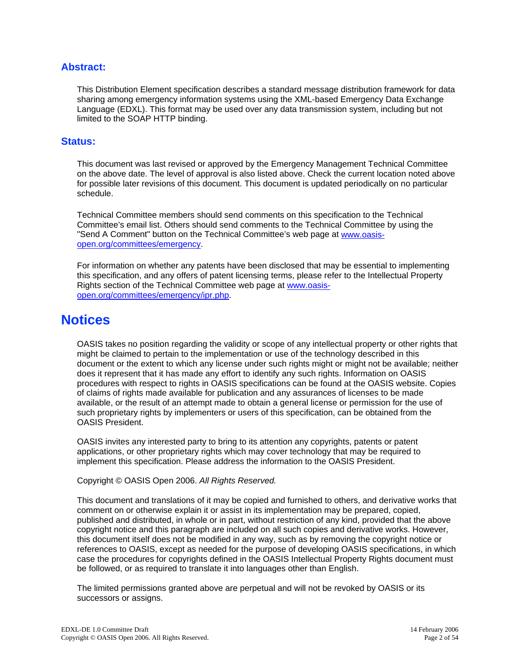### **Abstract:**

This Distribution Element specification describes a standard message distribution framework for data sharing among emergency information systems using the XML-based Emergency Data Exchange Language (EDXL). This format may be used over any data transmission system, including but not limited to the SOAP HTTP binding.

### **Status:**

This document was last revised or approved by the Emergency Management Technical Committee on the above date. The level of approval is also listed above. Check the current location noted above for possible later revisions of this document. This document is updated periodically on no particular schedule.

Technical Committee members should send comments on this specification to the Technical Committee's email list. Others should send comments to the Technical Committee by using the "Send A Comment" button on the Technical Committee's web page at [www.oasis](http://www.oasis-open.org/committees/emergency)[open.org/committees/emergency](http://www.oasis-open.org/committees/emergency).

For information on whether any patents have been disclosed that may be essential to implementing this specification, and any offers of patent licensing terms, please refer to the Intellectual Property Rights section of the Technical Committee web page at [www.oasis](http://www.oasis-open.org/committees/emergency/ipr.php)[open.org/committees/emergency/ipr.php.](http://www.oasis-open.org/committees/emergency/ipr.php)

## **Notices**

OASIS takes no position regarding the validity or scope of any intellectual property or other rights that might be claimed to pertain to the implementation or use of the technology described in this document or the extent to which any license under such rights might or might not be available; neither does it represent that it has made any effort to identify any such rights. Information on OASIS procedures with respect to rights in OASIS specifications can be found at the OASIS website. Copies of claims of rights made available for publication and any assurances of licenses to be made available, or the result of an attempt made to obtain a general license or permission for the use of such proprietary rights by implementers or users of this specification, can be obtained from the OASIS President.

OASIS invites any interested party to bring to its attention any copyrights, patents or patent applications, or other proprietary rights which may cover technology that may be required to implement this specification. Please address the information to the OASIS President.

Copyright © OASIS Open 2006. *All Rights Reserved.*

This document and translations of it may be copied and furnished to others, and derivative works that comment on or otherwise explain it or assist in its implementation may be prepared, copied, published and distributed, in whole or in part, without restriction of any kind, provided that the above copyright notice and this paragraph are included on all such copies and derivative works. However, this document itself does not be modified in any way, such as by removing the copyright notice or references to OASIS, except as needed for the purpose of developing OASIS specifications, in which case the procedures for copyrights defined in the OASIS Intellectual Property Rights document must be followed, or as required to translate it into languages other than English.

The limited permissions granted above are perpetual and will not be revoked by OASIS or its successors or assigns.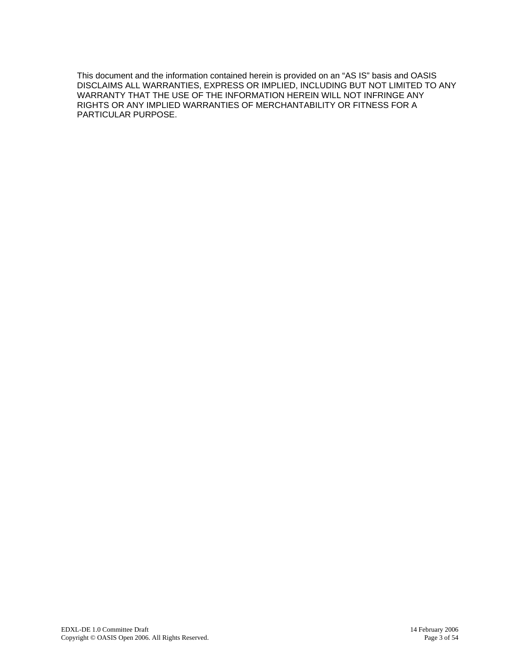This document and the information contained herein is provided on an "AS IS" basis and OASIS DISCLAIMS ALL WARRANTIES, EXPRESS OR IMPLIED, INCLUDING BUT NOT LIMITED TO ANY WARRANTY THAT THE USE OF THE INFORMATION HEREIN WILL NOT INFRINGE ANY RIGHTS OR ANY IMPLIED WARRANTIES OF MERCHANTABILITY OR FITNESS FOR A PARTICULAR PURPOSE.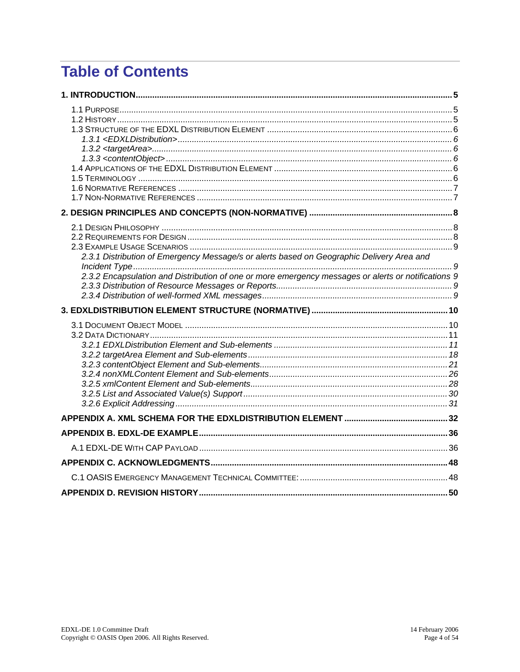## **Table of Contents**

| 2.3.1 Distribution of Emergency Message/s or alerts based on Geographic Delivery Area and           |  |
|-----------------------------------------------------------------------------------------------------|--|
|                                                                                                     |  |
| 2.3.2 Encapsulation and Distribution of one or more emergency messages or alerts or notifications 9 |  |
|                                                                                                     |  |
|                                                                                                     |  |
|                                                                                                     |  |
|                                                                                                     |  |
|                                                                                                     |  |
|                                                                                                     |  |
|                                                                                                     |  |
|                                                                                                     |  |
|                                                                                                     |  |
|                                                                                                     |  |
|                                                                                                     |  |
|                                                                                                     |  |
|                                                                                                     |  |
|                                                                                                     |  |
|                                                                                                     |  |
|                                                                                                     |  |
|                                                                                                     |  |
|                                                                                                     |  |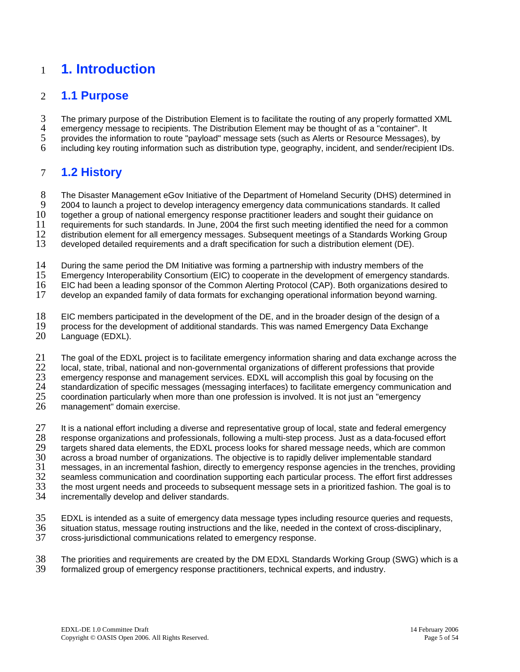## <span id="page-4-0"></span>1 **1. Introduction**

#### 2 **1.1 Purpose**

3 The primary purpose of the Distribution Element is to facilitate the routing of any properly formatted XML

4 emergency message to recipients. The Distribution Element may be thought of as a "container". It

5 provides the information to route "payload" message sets (such as Alerts or Resource Messages), by

6 including key routing information such as distribution type, geography, incident, and sender/recipient IDs.

#### 7 **1.2 History**

8 The Disaster Management eGov Initiative of the Department of Homeland Security (DHS) determined in

9 2004 to launch a project to develop interagency emergency data communications standards. It called

10 together a group of national emergency response practitioner leaders and sought their guidance on

11 requirements for such standards. In June, 2004 the first such meeting identified the need for a common

12 distribution element for all emergency messages. Subsequent meetings of a Standards Working Group

13 developed detailed requirements and a draft specification for such a distribution element (DE).

14 During the same period the DM Initiative was forming a partnership with industry members of the

15 Emergency Interoperability Consortium (EIC) to cooperate in the development of emergency standards.

16 EIC had been a leading sponsor of the Common Alerting Protocol (CAP). Both organizations desired to

17 develop an expanded family of data formats for exchanging operational information beyond warning.

18 EIC members participated in the development of the DE, and in the broader design of the design of a

19 20 process for the development of additional standards. This was named Emergency Data Exchange Language (EDXL).

21 The goal of the EDXL project is to facilitate emergency information sharing and data exchange across the

22 local, state, tribal, national and non-governmental organizations of different professions that provide

23 emergency response and management services. EDXL will accomplish this goal by focusing on the

24 standardization of specific messages (messaging interfaces) to facilitate emergency communication and

25 coordination particularly when more than one profession is involved. It is not just an "emergency

26 management" domain exercise.

27 28 29 30 31 32 33 34 It is a national effort including a diverse and representative group of local, state and federal emergency response organizations and professionals, following a multi-step process. Just as a data-focused effort targets shared data elements, the EDXL process looks for shared message needs, which are common across a broad number of organizations. The objective is to rapidly deliver implementable standard messages, in an incremental fashion, directly to emergency response agencies in the trenches, providing seamless communication and coordination supporting each particular process. The effort first addresses the most urgent needs and proceeds to subsequent message sets in a prioritized fashion. The goal is to incrementally develop and deliver standards.

35 EDXL is intended as a suite of emergency data message types including resource queries and requests,

36 37 situation status, message routing instructions and the like, needed in the context of cross-disciplinary, cross-jurisdictional communications related to emergency response.

38 39 The priorities and requirements are created by the DM EDXL Standards Working Group (SWG) which is a formalized group of emergency response practitioners, technical experts, and industry.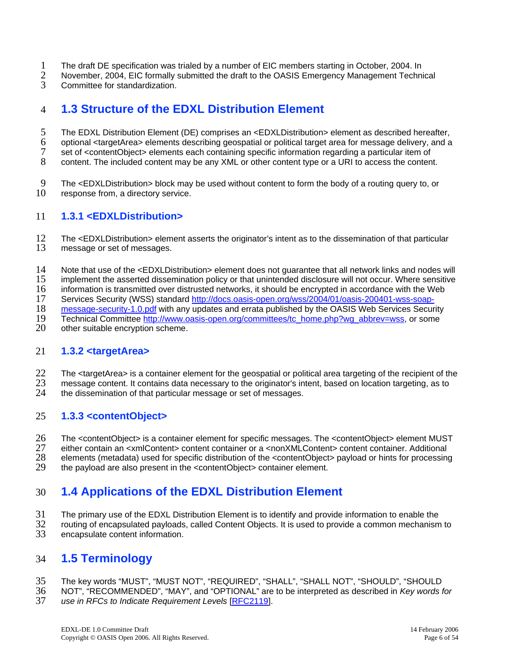- <span id="page-5-0"></span>1 The draft DE specification was trialed by a number of EIC members starting in October, 2004. In
- 2 November, 2004, EIC formally submitted the draft to the OASIS Emergency Management Technical
- 3 Committee for standardization.

#### 4 **1.3 Structure of the EDXL Distribution Element**

5 The EDXL Distribution Element (DE) comprises an <EDXLDistribution> element as described hereafter,

6 optional <targetArea> elements describing geospatial or political target area for message delivery, and a

7 set of <contentObject> elements each containing specific information regarding a particular item of

8 content. The included content may be any XML or other content type or a URI to access the content.

9 10 The <EDXLDistribution> block may be used without content to form the body of a routing query to, or response from, a directory service.

#### 11 **1.3.1 <EDXLDistribution>**

12 13 The <EDXLDistribution> element asserts the originator's intent as to the dissemination of that particular message or set of messages.

14 Note that use of the <EDXLDistribution> element does not guarantee that all network links and nodes will

15 implement the asserted dissemination policy or that unintended disclosure will not occur. Where sensitive

 $\frac{16}{17}$ information is transmitted over distrusted networks, it should be encrypted in accordance with the Web

Services Security (WSS) standard [http://docs.oasis-open.org/wss/2004/01/oasis-200401-wss-soap-](http://docs.oasis-open.org/wss/2004/01/oasis-200401-wss-soap-message-security-1.0.pdf)

[message-security-1.0.pdf](http://docs.oasis-open.org/wss/2004/01/oasis-200401-wss-soap-message-security-1.0.pdf) with any updates and errata published by the OASIS Web Services Security 18

Technical Committee [http://www.oasis-open.org/committees/tc\\_home.php?wg\\_abbrev=wss](http://www.oasis-open.org/committees/tc_home.php?wg_abbrev=wss), or some 19

other suitable encryption scheme. 20

#### 21 **1.3.2 <targetArea>**

22 The <targetArea> is a container element for the geospatial or political area targeting of the recipient of the

- 23 message content. It contains data necessary to the originator's intent, based on location targeting, as to
- 24 the dissemination of that particular message or set of messages.

#### 25 **1.3.3 <contentObject>**

26 27 28 29 The <contentObject> is a container element for specific messages. The <contentObject> element MUST either contain an <xmlContent> content container or a <nonXMLContent> content container. Additional elements (metadata) used for specific distribution of the <contentObject> payload or hints for processing the payload are also present in the <contentObject> container element.

#### 30 **1.4 Applications of the EDXL Distribution Element**

31 The primary use of the EDXL Distribution Element is to identify and provide information to enable the

32 routing of encapsulated payloads, called Content Objects. It is used to provide a common mechanism to

 $\overline{33}$ encapsulate content information.

#### 34 **1.5 Terminology**

#### 35 The key words "MUST", "MUST NOT", "REQUIRED", "SHALL", "SHALL NOT", "SHOULD", "SHOULD

36 NOT", "RECOMMENDED", "MAY", and "OPTIONAL" are to be interpreted as described in *Key words for*  37 *use in RFCs to Indicate Requirement Levels* [\[RFC2119](#page-6-0)].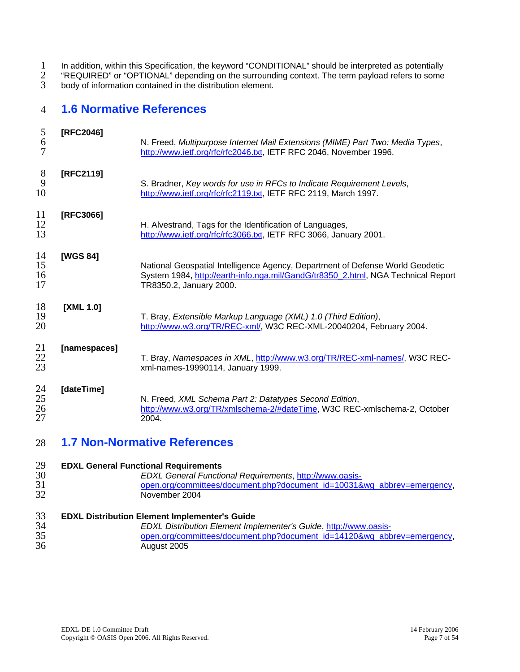<span id="page-6-0"></span>1 2 3 In addition, within this Specification, the keyword "CONDITIONAL" should be interpreted as potentially "REQUIRED" or "OPTIONAL" depending on the surrounding context. The term payload refers to some body of information contained in the distribution element.

#### 4 **1.6 Normative References**

| 5<br>6<br>$\overline{7}$ | [RFC2046]    | N. Freed, Multipurpose Internet Mail Extensions (MIME) Part Two: Media Types,<br>http://www.ietf.org/rfc/rfc2046.txt, IETF RFC 2046, November 1996.                                          |
|--------------------------|--------------|----------------------------------------------------------------------------------------------------------------------------------------------------------------------------------------------|
| 8<br>9<br>10             | [RFC2119]    | S. Bradner, Key words for use in RFCs to Indicate Requirement Levels,<br>http://www.ietf.org/rfc/rfc2119.txt, IETF RFC 2119, March 1997.                                                     |
| 11<br>12<br>13           | [RFC3066]    | H. Alvestrand, Tags for the Identification of Languages,<br>http://www.ietf.org/rfc/rfc3066.txt, IETF RFC 3066, January 2001.                                                                |
| 14<br>15<br>16<br>17     | [WGS 84]     | National Geospatial Intelligence Agency, Department of Defense World Geodetic<br>System 1984, http://earth-info.nga.mil/GandG/tr8350 2.html, NGA Technical Report<br>TR8350.2, January 2000. |
| 18<br>19<br>20           | [XML 1.0]    | T. Bray, Extensible Markup Language (XML) 1.0 (Third Edition),<br>http://www.w3.org/TR/REC-xml/, W3C REC-XML-20040204, February 2004.                                                        |
| 21<br>22<br>23           | [namespaces] | T. Bray, Namespaces in XML, http://www.w3.org/TR/REC-xml-names/, W3C REC-<br>xml-names-19990114, January 1999.                                                                               |
| 24<br>25<br>26<br>27     | [dateTime]   | N. Freed, XML Schema Part 2: Datatypes Second Edition,<br>http://www.w3.org/TR/xmlschema-2/#dateTime, W3C REC-xmlschema-2, October<br>2004.                                                  |

#### 28 **1.7 Non-Normative References**

| 29 | <b>EDXL General Functional Requirements</b>                             |
|----|-------------------------------------------------------------------------|
| 30 | <b>EDXL General Functional Requirements, http://www.oasis-</b>          |
| 31 | open.org/committees/document.php?document_id=10031&wg_abbrev=emergency, |
| 32 | November 2004                                                           |
| 33 | <b>EDXL Distribution Element Implementer's Guide</b>                    |
| 34 | EDXL Distribution Element Implementer's Guide, http://www.oasis-        |
| 35 | open.org/committees/document.php?document_id=14120&wg_abbrev=emergency, |
| 36 | August 2005                                                             |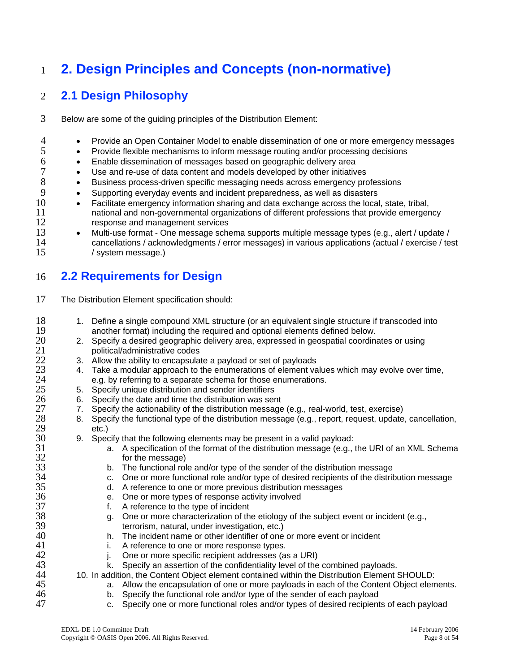## <span id="page-7-0"></span>1 **2. Design Principles and Concepts (non-normative)**

#### 2 **2.1 Design Philosophy**

- 3 Below are some of the guiding principles of the Distribution Element:
- 4 • Provide an Open Container Model to enable dissemination of one or more emergency messages
	- Provide flexible mechanisms to inform message routing and/or processing decisions
	- Enable dissemination of messages based on geographic delivery area
		- Use and re-use of data content and models developed by other initiatives
		- Business process-driven specific messaging needs across emergency professions
		- Supporting everyday events and incident preparedness, as well as disasters
- 10 11 12 • Facilitate emergency information sharing and data exchange across the local, state, tribal, national and non-governmental organizations of different professions that provide emergency response and management services
- 13 14 15 • Multi-use format - One message schema supports multiple message types (e.g., alert / update / cancellations / acknowledgments / error messages) in various applications (actual / exercise / test / system message.)

#### 16 **2.2 Requirements for Design**

- 17 The Distribution Element specification should:
	- 1. Define a single compound XML structure (or an equivalent single structure if transcoded into another format) including the required and optional elements defined below.
		- 2. Specify a desired geographic delivery area, expressed in geospatial coordinates or using political/administrative codes
		- 3. Allow the ability to encapsulate a payload or set of payloads
		- 4. Take a modular approach to the enumerations of element values which may evolve over time, e.g. by referring to a separate schema for those enumerations.
		- 5. Specify unique distribution and sender identifiers
			- 6. Specify the date and time the distribution was sent
			- 7. Specify the actionability of the distribution message (e.g., real-world, test, exercise)
	- 8. Specify the functional type of the distribution message (e.g., report, request, update, cancellation, etc.)
		- 9. Specify that the following elements may be present in a valid payload:
			- a. A specification of the format of the distribution message (e.g., the URI of an XML Schema for the message)
			- b. The functional role and/or type of the sender of the distribution message
			- c. One or more functional role and/or type of desired recipients of the distribution message
			- d. A reference to one or more previous distribution messages
			- e. One or more types of response activity involved
			- f. A reference to the type of incident
			- g. One or more characterization of the etiology of the subject event or incident (e.g., terrorism, natural, under investigation, etc.)
			- h. The incident name or other identifier of one or more event or incident
			- i. A reference to one or more response types.
			- j. One or more specific recipient addresses (as a URI)
			- k. Specify an assertion of the confidentiality level of the combined payloads.

10. In addition, the Content Object element contained within the Distribution Element SHOULD:

- a. Allow the encapsulation of one or more payloads in each of the Content Object elements.
	- b. Specify the functional role and/or type of the sender of each payload
	- c. Specify one or more functional roles and/or types of desired recipients of each payload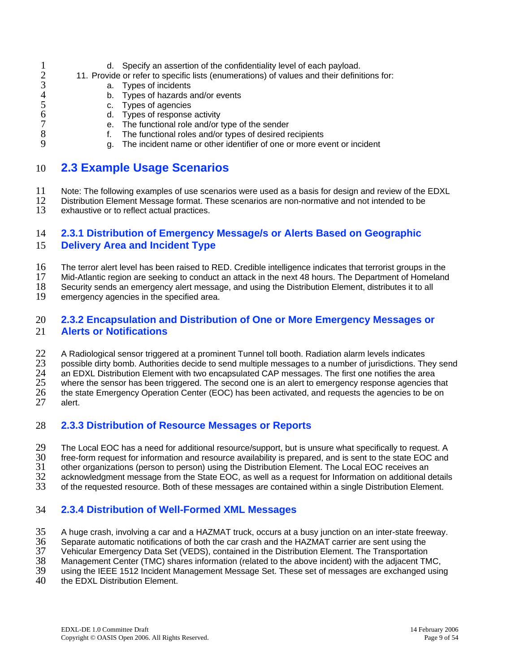- <span id="page-8-0"></span>1 d. Specify an assertion of the confidentiality level of each payload.
- 2 11. Provide or refer to specific lists (enumerations) of values and their definitions for:
	- a. Types of incidents
		- b. Types of hazards and/or events
		- c. Types of agencies
		- d. Types of response activity
		- e. The functional role and/or type of the sender
	- f. The functional roles and/or types of desired recipients
		- g. The incident name or other identifier of one or more event or incident

#### 10 **2.3 Example Usage Scenarios**

11 Note: The following examples of use scenarios were used as a basis for design and review of the EDXL

12 13 Distribution Element Message format. These scenarios are non-normative and not intended to be exhaustive or to reflect actual practices.

#### 14 15 **2.3.1 Distribution of Emergency Message/s or Alerts Based on Geographic Delivery Area and Incident Type**

16 The terror alert level has been raised to RED. Credible intelligence indicates that terrorist groups in the

17 Mid-Atlantic region are seeking to conduct an attack in the next 48 hours. The Department of Homeland

18 Security sends an emergency alert message, and using the Distribution Element, distributes it to all

19 emergency agencies in the specified area.

#### 20 21 **2.3.2 Encapsulation and Distribution of One or More Emergency Messages or Alerts or Notifications**

22 A Radiological sensor triggered at a prominent Tunnel toll booth. Radiation alarm levels indicates

23 possible dirty bomb. Authorities decide to send multiple messages to a number of jurisdictions. They send

24 an EDXL Distribution Element with two encapsulated CAP messages. The first one notifies the area

25 where the sensor has been triggered. The second one is an alert to emergency response agencies that

26 the state Emergency Operation Center (EOC) has been activated, and requests the agencies to be on

27 alert.

#### 28 **2.3.3 Distribution of Resource Messages or Reports**

29 The Local EOC has a need for additional resource/support, but is unsure what specifically to request. A

30 free-form request for information and resource availability is prepared, and is sent to the state EOC and

31 other organizations (person to person) using the Distribution Element. The Local EOC receives an

32 acknowledgment message from the State EOC, as well as a request for Information on additional details

33 of the requested resource. Both of these messages are contained within a single Distribution Element.

#### 34 **2.3.4 Distribution of Well-Formed XML Messages**

35 A huge crash, involving a car and a HAZMAT truck, occurs at a busy junction on an inter-state freeway.

36 Separate automatic notifications of both the car crash and the HAZMAT carrier are sent using the

37 Vehicular Emergency Data Set (VEDS), contained in the Distribution Element. The Transportation

38 Management Center (TMC) shares information (related to the above incident) with the adjacent TMC,

39 using the IEEE 1512 Incident Management Message Set. These set of messages are exchanged using

40 the **EDXL** Distribution **Element**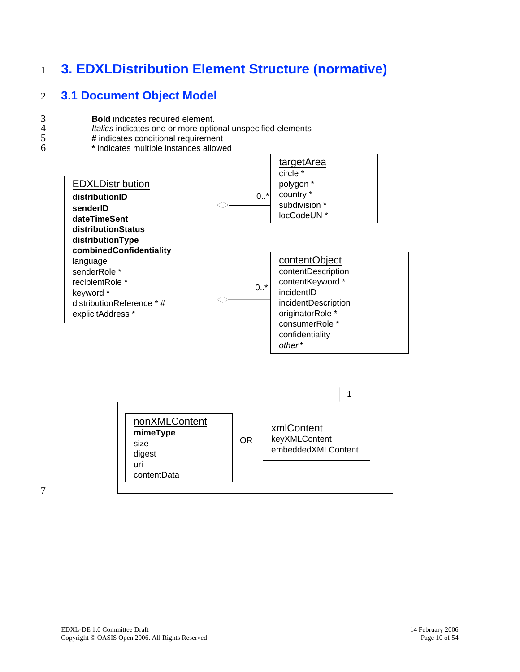## <span id="page-9-0"></span>1 **3. EDXLDistribution Element Structure (normative)**

#### 2 **3.1 Document Object Model**

- 3 4 **Bold** indicates required element.
	- *Italics* indicates one or more optional unspecified elements
- 5 6 **#** indicates conditional requirement
	- **\*** indicates multiple instances allowed

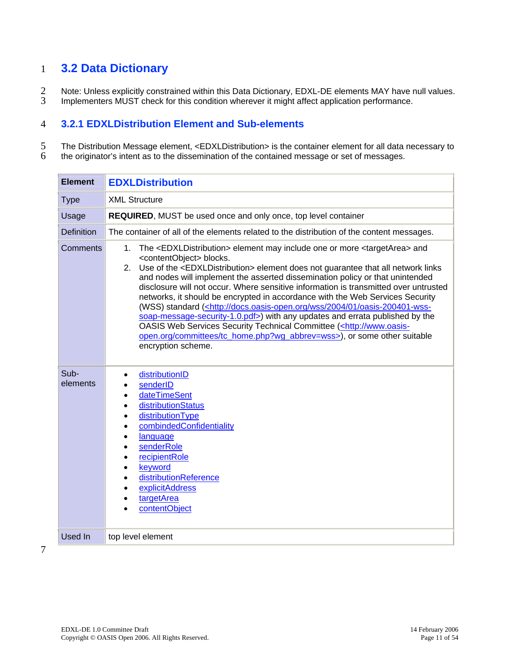## <span id="page-10-0"></span>1 **3.2 Data Dictionary**

2 3 Note: Unless explicitly constrained within this Data Dictionary, EDXL-DE elements MAY have null values. Implementers MUST check for this condition wherever it might affect application performance.

#### 4 **3.2.1 EDXLDistribution Element and Sub-elements**

5 6 The Distribution Message element, <EDXLDistribution> is the container element for all data necessary to the originator's intent as to the dissemination of the contained message or set of messages.

| <b>Element</b>    | <b>EDXLDistribution</b>                                                                                                                                                                                                                                                                                                                                                                                                                                                                                                                                                                                                                                                                                                                                                                                                                                                                                     |
|-------------------|-------------------------------------------------------------------------------------------------------------------------------------------------------------------------------------------------------------------------------------------------------------------------------------------------------------------------------------------------------------------------------------------------------------------------------------------------------------------------------------------------------------------------------------------------------------------------------------------------------------------------------------------------------------------------------------------------------------------------------------------------------------------------------------------------------------------------------------------------------------------------------------------------------------|
| <b>Type</b>       | <b>XML Structure</b>                                                                                                                                                                                                                                                                                                                                                                                                                                                                                                                                                                                                                                                                                                                                                                                                                                                                                        |
| Usage             | REQUIRED, MUST be used once and only once, top level container                                                                                                                                                                                                                                                                                                                                                                                                                                                                                                                                                                                                                                                                                                                                                                                                                                              |
| <b>Definition</b> | The container of all of the elements related to the distribution of the content messages.                                                                                                                                                                                                                                                                                                                                                                                                                                                                                                                                                                                                                                                                                                                                                                                                                   |
| Comments          | 1. The <edxldistribution> element may include one or more <targetarea> and<br/><contentobject> blocks.<br/>2. Use of the <edxldistribution> element does not guarantee that all network links<br/>and nodes will implement the asserted dissemination policy or that unintended<br/>disclosure will not occur. Where sensitive information is transmitted over untrusted<br/>networks, it should be encrypted in accordance with the Web Services Security<br/>(WSS) standard (<http: 01="" 2004="" docs.oasis-open.org="" oasis-200401-wss-<br="" wss="">soap-message-security-1.0.pdf&gt;) with any updates and errata published by the<br/>OASIS Web Services Security Technical Committee (<http: www.oasis-<br="">open.org/committees/tc_home.php?wg_abbrev=wss&gt;), or some other suitable<br/>encryption scheme.</http:></http:></edxldistribution></contentobject></targetarea></edxldistribution> |
| Sub-<br>elements  | distributionID<br>senderID<br>dateTimeSent<br>distributionStatus<br>distributionType<br>combindedConfidentiality<br>language<br>senderRole<br>recipientRole<br>keyword<br>distributionReference<br>explicitAddress<br>targetArea<br>contentObject                                                                                                                                                                                                                                                                                                                                                                                                                                                                                                                                                                                                                                                           |
| <b>Used In</b>    | top level element                                                                                                                                                                                                                                                                                                                                                                                                                                                                                                                                                                                                                                                                                                                                                                                                                                                                                           |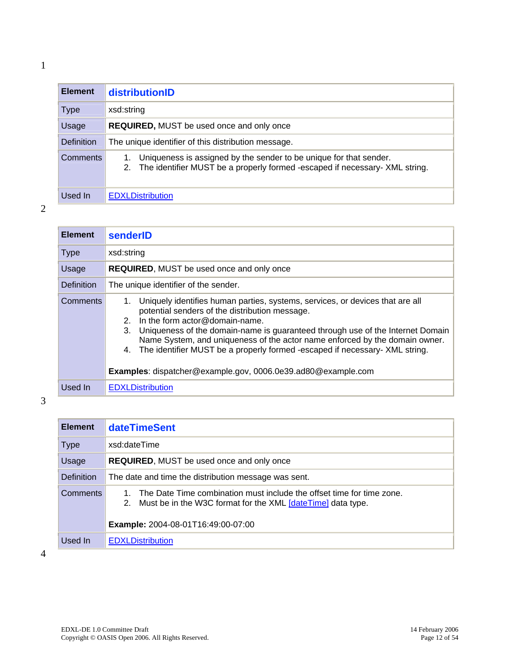# <span id="page-11-0"></span>**Element distributionID**

| <b>Element</b>    | distributionID                                                                                                                                          |
|-------------------|---------------------------------------------------------------------------------------------------------------------------------------------------------|
| Type              | xsd:string                                                                                                                                              |
| Usage             | <b>REQUIRED, MUST be used once and only once</b>                                                                                                        |
| <b>Definition</b> | The unique identifier of this distribution message.                                                                                                     |
| <b>Comments</b>   | Uniqueness is assigned by the sender to be unique for that sender.<br>The identifier MUST be a properly formed -escaped if necessary- XML string.<br>2. |
| Used In           | <b>EDXLDistribution</b>                                                                                                                                 |

2

| <b>Element</b>    | senderID                                                                                                                                                                                                                                                                                                                                                                                                                                                                                               |
|-------------------|--------------------------------------------------------------------------------------------------------------------------------------------------------------------------------------------------------------------------------------------------------------------------------------------------------------------------------------------------------------------------------------------------------------------------------------------------------------------------------------------------------|
| <b>Type</b>       | xsd:string                                                                                                                                                                                                                                                                                                                                                                                                                                                                                             |
| Usage             | <b>REQUIRED, MUST be used once and only once</b>                                                                                                                                                                                                                                                                                                                                                                                                                                                       |
| <b>Definition</b> | The unique identifier of the sender.                                                                                                                                                                                                                                                                                                                                                                                                                                                                   |
| Comments          | Uniquely identifies human parties, systems, services, or devices that are all<br>1.<br>potential senders of the distribution message.<br>2. In the form actor@domain-name.<br>Uniqueness of the domain-name is guaranteed through use of the Internet Domain<br>3.<br>Name System, and uniqueness of the actor name enforced by the domain owner.<br>The identifier MUST be a properly formed -escaped if necessary- XML string.<br>4.<br>Examples: dispatcher@example.gov, 0006.0e39.ad80@example.com |
| Used In           | <b>EDXLDistribution</b>                                                                                                                                                                                                                                                                                                                                                                                                                                                                                |

3

| <b>Element</b>    | <b>dateTimeSent</b>                                                                                                                                                                  |  |
|-------------------|--------------------------------------------------------------------------------------------------------------------------------------------------------------------------------------|--|
| <b>Type</b>       | xsd:dateTime                                                                                                                                                                         |  |
| Usage             | <b>REQUIRED, MUST be used once and only once</b>                                                                                                                                     |  |
| <b>Definition</b> | The date and time the distribution message was sent.                                                                                                                                 |  |
| <b>Comments</b>   | The Date Time combination must include the offset time for time zone.<br>2. Must be in the W3C format for the XML [dateTime] data type.<br><b>Example:</b> 2004-08-01T16:49:00-07:00 |  |
| Used In           | <b>EDXLDistribution</b>                                                                                                                                                              |  |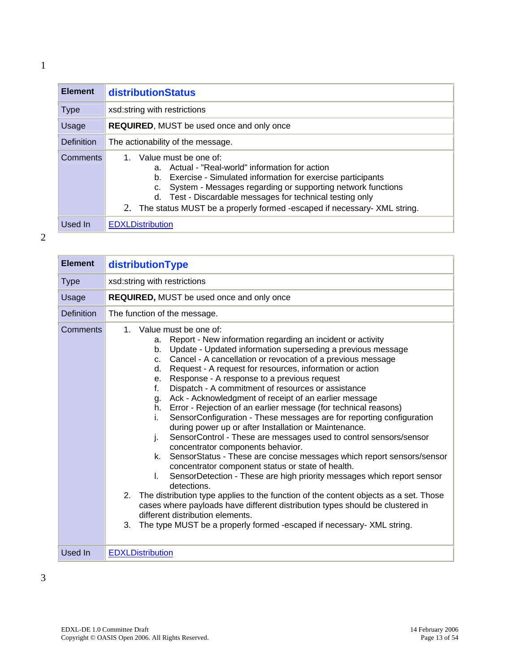<span id="page-12-0"></span>

| <b>Element</b> | <b>distributionStatus</b>                                                                                                                                                                                                                                                                                                                                   |
|----------------|-------------------------------------------------------------------------------------------------------------------------------------------------------------------------------------------------------------------------------------------------------------------------------------------------------------------------------------------------------------|
| <b>Type</b>    | xsd:string with restrictions                                                                                                                                                                                                                                                                                                                                |
| Usage          | <b>REQUIRED, MUST be used once and only once</b>                                                                                                                                                                                                                                                                                                            |
| Definition     | The actionability of the message.                                                                                                                                                                                                                                                                                                                           |
| Comments       | Value must be one of:<br>1<br>a. Actual - "Real-world" information for action<br>b. Exercise - Simulated information for exercise participants<br>c. System - Messages regarding or supporting network functions<br>d. Test - Discardable messages for technical testing only<br>2. The status MUST be a properly formed -escaped if necessary- XML string. |
| Used In        | <b>EDXLDistribution</b>                                                                                                                                                                                                                                                                                                                                     |

| <b>Element</b>    | distributionType                                                                                                                                                                                                                                                                                                                                                                                                                                                                                                                                                                                                                                                                                                                                                                                                                                                                                                                                                                                                                                                                                                                                                                                                                                                                                                                                                |
|-------------------|-----------------------------------------------------------------------------------------------------------------------------------------------------------------------------------------------------------------------------------------------------------------------------------------------------------------------------------------------------------------------------------------------------------------------------------------------------------------------------------------------------------------------------------------------------------------------------------------------------------------------------------------------------------------------------------------------------------------------------------------------------------------------------------------------------------------------------------------------------------------------------------------------------------------------------------------------------------------------------------------------------------------------------------------------------------------------------------------------------------------------------------------------------------------------------------------------------------------------------------------------------------------------------------------------------------------------------------------------------------------|
| <b>Type</b>       | xsd:string with restrictions                                                                                                                                                                                                                                                                                                                                                                                                                                                                                                                                                                                                                                                                                                                                                                                                                                                                                                                                                                                                                                                                                                                                                                                                                                                                                                                                    |
| Usage             | REQUIRED, MUST be used once and only once                                                                                                                                                                                                                                                                                                                                                                                                                                                                                                                                                                                                                                                                                                                                                                                                                                                                                                                                                                                                                                                                                                                                                                                                                                                                                                                       |
| <b>Definition</b> | The function of the message.                                                                                                                                                                                                                                                                                                                                                                                                                                                                                                                                                                                                                                                                                                                                                                                                                                                                                                                                                                                                                                                                                                                                                                                                                                                                                                                                    |
| <b>Comments</b>   | 1. Value must be one of:<br>Report - New information regarding an incident or activity<br>a.<br>Update - Updated information superseding a previous message<br>b.<br>Cancel - A cancellation or revocation of a previous message<br>$C_{-}$<br>Request - A request for resources, information or action<br>d.<br>Response - A response to a previous request<br>е.<br>Dispatch - A commitment of resources or assistance<br>f.<br>Ack - Acknowledgment of receipt of an earlier message<br>g.<br>Error - Rejection of an earlier message (for technical reasons)<br>h.<br>SensorConfiguration - These messages are for reporting configuration<br>i.<br>during power up or after Installation or Maintenance.<br>SensorControl - These are messages used to control sensors/sensor<br>j.<br>concentrator components behavior.<br>SensorStatus - These are concise messages which report sensors/sensor<br>k.<br>concentrator component status or state of health.<br>SensorDetection - These are high priority messages which report sensor<br>L.<br>detections.<br>2. The distribution type applies to the function of the content objects as a set. Those<br>cases where payloads have different distribution types should be clustered in<br>different distribution elements.<br>3.<br>The type MUST be a properly formed -escaped if necessary- XML string. |
| Used In           | <b>EDXLDistribution</b>                                                                                                                                                                                                                                                                                                                                                                                                                                                                                                                                                                                                                                                                                                                                                                                                                                                                                                                                                                                                                                                                                                                                                                                                                                                                                                                                         |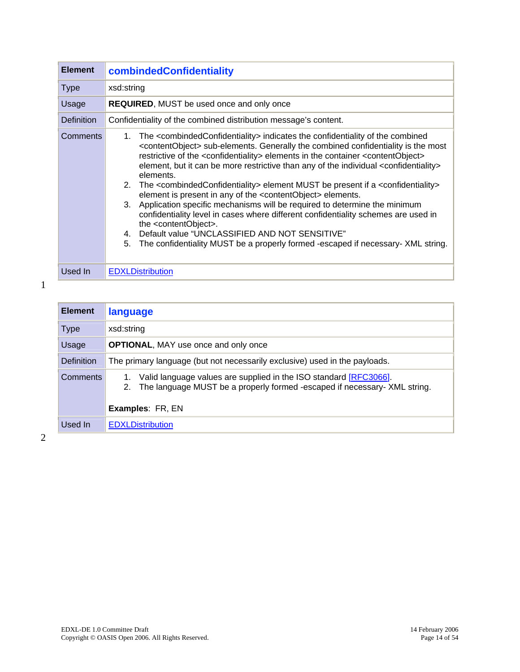<span id="page-13-0"></span>

| <b>Element</b>    | combindedConfidentiality                                                                                                                                                                                                                                                                                                                                                                                                                                                                                                                                                                                                                                                                                                                                                                                                                                                                                                                                                                                                                              |  |
|-------------------|-------------------------------------------------------------------------------------------------------------------------------------------------------------------------------------------------------------------------------------------------------------------------------------------------------------------------------------------------------------------------------------------------------------------------------------------------------------------------------------------------------------------------------------------------------------------------------------------------------------------------------------------------------------------------------------------------------------------------------------------------------------------------------------------------------------------------------------------------------------------------------------------------------------------------------------------------------------------------------------------------------------------------------------------------------|--|
| <b>Type</b>       | xsd:string                                                                                                                                                                                                                                                                                                                                                                                                                                                                                                                                                                                                                                                                                                                                                                                                                                                                                                                                                                                                                                            |  |
| Usage             | <b>REQUIRED, MUST be used once and only once</b>                                                                                                                                                                                                                                                                                                                                                                                                                                                                                                                                                                                                                                                                                                                                                                                                                                                                                                                                                                                                      |  |
| <b>Definition</b> | Confidentiality of the combined distribution message's content.                                                                                                                                                                                                                                                                                                                                                                                                                                                                                                                                                                                                                                                                                                                                                                                                                                                                                                                                                                                       |  |
| <b>Comments</b>   | The <combindedconfidentiality> indicates the confidentiality of the combined<br/>1.<br/><contentobject> sub-elements. Generally the combined confidentiality is the most<br/>restrictive of the <confidentiality> elements in the container <contentobject><br/>element, but it can be more restrictive than any of the individual <confidentiality><br/>elements.<br/>2. The <combindedconfidentiality> element MUST be present if a <confidentiality><br/>element is present in any of the <contentobject> elements.<br/>3. Application specific mechanisms will be required to determine the minimum<br/>confidentiality level in cases where different confidentiality schemes are used in<br/>the <contentobject>.<br/>4. Default value "UNCLASSIFIED AND NOT SENSITIVE"<br/>The confidentiality MUST be a properly formed -escaped if necessary- XML string.<br/>5.</contentobject></contentobject></confidentiality></combindedconfidentiality></confidentiality></contentobject></confidentiality></contentobject></combindedconfidentiality> |  |
| Used In           | <b>EDXLDistribution</b>                                                                                                                                                                                                                                                                                                                                                                                                                                                                                                                                                                                                                                                                                                                                                                                                                                                                                                                                                                                                                               |  |

| <b>Element</b>    | language                                                                                                                                                                        |
|-------------------|---------------------------------------------------------------------------------------------------------------------------------------------------------------------------------|
| <b>Type</b>       | xsd:string                                                                                                                                                                      |
| Usage             | <b>OPTIONAL, MAY use once and only once</b>                                                                                                                                     |
| <b>Definition</b> | The primary language (but not necessarily exclusive) used in the payloads.                                                                                                      |
| <b>Comments</b>   | Valid language values are supplied in the ISO standard [RFC3066].<br>The language MUST be a properly formed -escaped if necessary- XML string.<br>2.<br><b>Examples: FR, EN</b> |
| Used In           | <b>EDXLDistribution</b>                                                                                                                                                         |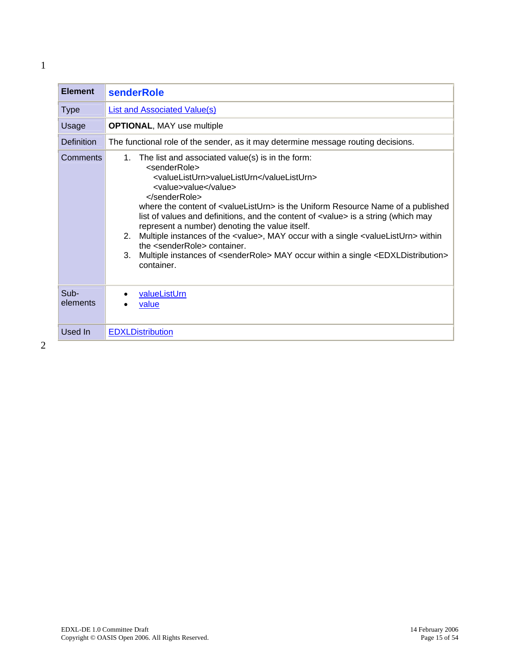<span id="page-14-0"></span>

| List and Associated Value(s)<br><b>Type</b><br>Usage<br><b>OPTIONAL, MAY use multiple</b><br><b>Definition</b><br>The functional role of the sender, as it may determine message routing decisions.<br>Comments<br>The list and associated value(s) is in the form:<br>1.<br><senderrole><br/><valuelisturn>valueListUrn</valuelisturn><br/><value>value</value><br/><math>&lt;</math>/senderRole&gt;<br/>where the content of <valuelisturn> is the Uniform Resource Name of a published</valuelisturn></senderrole> | <b>Element</b> |
|-----------------------------------------------------------------------------------------------------------------------------------------------------------------------------------------------------------------------------------------------------------------------------------------------------------------------------------------------------------------------------------------------------------------------------------------------------------------------------------------------------------------------|----------------|
|                                                                                                                                                                                                                                                                                                                                                                                                                                                                                                                       |                |
|                                                                                                                                                                                                                                                                                                                                                                                                                                                                                                                       |                |
|                                                                                                                                                                                                                                                                                                                                                                                                                                                                                                                       |                |
| list of values and definitions, and the content of <value> is a string (which may<br/>represent a number) denoting the value itself.<br/>2. Multiple instances of the <value>, MAY occur with a single <valuelisturn> within<br/>the <senderrole> container.<br/>3. Multiple instances of <senderrole> MAY occur within a single <edxldistribution><br/>container.</edxldistribution></senderrole></senderrole></valuelisturn></value></value>                                                                        |                |
| Sub-<br>valueListUrn<br>elements<br>value                                                                                                                                                                                                                                                                                                                                                                                                                                                                             |                |
| Used In<br><b>EDXLDistribution</b>                                                                                                                                                                                                                                                                                                                                                                                                                                                                                    |                |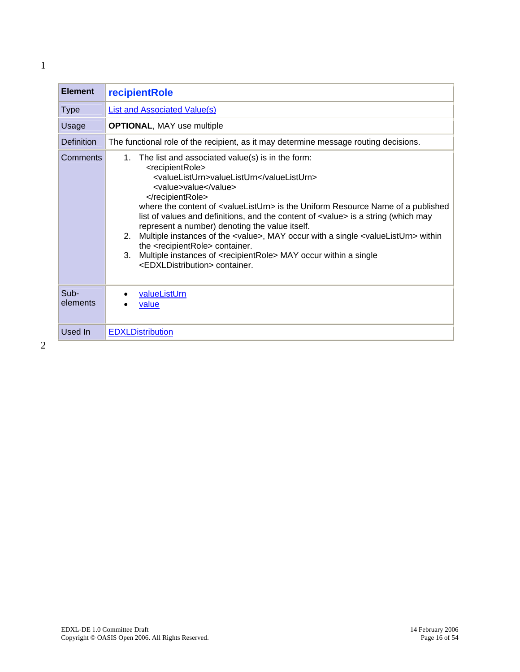<span id="page-15-0"></span>

| List and Associated Value(s)                                                                                                                                                                                                                                                                                                                                                                                                                                                                                                                                                                                                                                                                                                                   |
|------------------------------------------------------------------------------------------------------------------------------------------------------------------------------------------------------------------------------------------------------------------------------------------------------------------------------------------------------------------------------------------------------------------------------------------------------------------------------------------------------------------------------------------------------------------------------------------------------------------------------------------------------------------------------------------------------------------------------------------------|
| <b>OPTIONAL, MAY use multiple</b>                                                                                                                                                                                                                                                                                                                                                                                                                                                                                                                                                                                                                                                                                                              |
| The functional role of the recipient, as it may determine message routing decisions.                                                                                                                                                                                                                                                                                                                                                                                                                                                                                                                                                                                                                                                           |
| The list and associated value(s) is in the form:<br>1.<br><recipientrole><br/><valuelisturn>valueListUrn</valuelisturn><br/><value>value</value><br/></recipientrole><br>where the content of <valuelisturn> is the Uniform Resource Name of a published<br/>list of values and definitions, and the content of <value> is a string (which may<br/>represent a number) denoting the value itself.<br/>Multiple instances of the <value>, MAY occur with a single <valuelisturn> within<br/>2.<br/>the <recipientrole> container.<br/>Multiple instances of <recipientrole> MAY occur within a single<br/>3.<br/><edxldistribution> container.</edxldistribution></recipientrole></recipientrole></valuelisturn></value></value></valuelisturn> |
| valueListUrn<br>value                                                                                                                                                                                                                                                                                                                                                                                                                                                                                                                                                                                                                                                                                                                          |
| <b>EDXLDistribution</b>                                                                                                                                                                                                                                                                                                                                                                                                                                                                                                                                                                                                                                                                                                                        |
|                                                                                                                                                                                                                                                                                                                                                                                                                                                                                                                                                                                                                                                                                                                                                |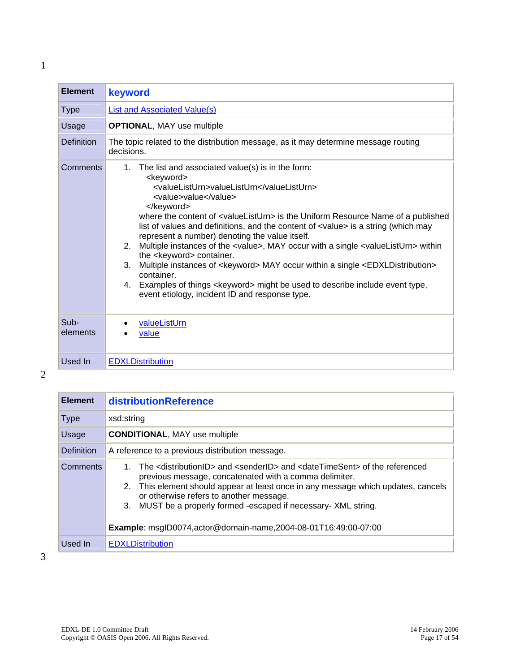<span id="page-16-0"></span>

| <b>Element</b>   | keyword                                                                                                                                                                                                                                                                                                                                                                                                                                                                                                                                                                                                                                                                                                                                                                                                                                                                |
|------------------|------------------------------------------------------------------------------------------------------------------------------------------------------------------------------------------------------------------------------------------------------------------------------------------------------------------------------------------------------------------------------------------------------------------------------------------------------------------------------------------------------------------------------------------------------------------------------------------------------------------------------------------------------------------------------------------------------------------------------------------------------------------------------------------------------------------------------------------------------------------------|
| <b>Type</b>      | List and Associated Value(s)                                                                                                                                                                                                                                                                                                                                                                                                                                                                                                                                                                                                                                                                                                                                                                                                                                           |
| Usage            | <b>OPTIONAL, MAY use multiple</b>                                                                                                                                                                                                                                                                                                                                                                                                                                                                                                                                                                                                                                                                                                                                                                                                                                      |
| Definition       | The topic related to the distribution message, as it may determine message routing<br>decisions.                                                                                                                                                                                                                                                                                                                                                                                                                                                                                                                                                                                                                                                                                                                                                                       |
| Comments         | The list and associated value(s) is in the form:<br>$1_{\cdot}$<br><keyword><br/><valuelisturn>valueListUrn</valuelisturn><br/><value>value</value><br/></keyword><br>where the content of <valuelisturn> is the Uniform Resource Name of a published<br/>list of values and definitions, and the content of <value> is a string (which may<br/>represent a number) denoting the value itself.<br/>2.<br/>Multiple instances of the <value>, MAY occur with a single <valuelisturn> within<br/>the <keyword> container.<br/>Multiple instances of <keyword> MAY occur within a single <edxldistribution><br/>3.<br/>container.<br/>Examples of things <keyword> might be used to describe include event type,<br/>4.<br/>event etiology, incident ID and response type.</keyword></edxldistribution></keyword></keyword></valuelisturn></value></value></valuelisturn> |
| Sub-<br>elements | valueListUrn<br>value                                                                                                                                                                                                                                                                                                                                                                                                                                                                                                                                                                                                                                                                                                                                                                                                                                                  |
| Used In          | <b>EDXLDistribution</b>                                                                                                                                                                                                                                                                                                                                                                                                                                                                                                                                                                                                                                                                                                                                                                                                                                                |

2

| <b>Element</b>    | distributionReference                                                                                                                                                                                                                                                                                                                                                                                                                                                |  |
|-------------------|----------------------------------------------------------------------------------------------------------------------------------------------------------------------------------------------------------------------------------------------------------------------------------------------------------------------------------------------------------------------------------------------------------------------------------------------------------------------|--|
| <b>Type</b>       | xsd:string                                                                                                                                                                                                                                                                                                                                                                                                                                                           |  |
| Usage             | <b>CONDITIONAL, MAY use multiple</b>                                                                                                                                                                                                                                                                                                                                                                                                                                 |  |
| <b>Definition</b> | A reference to a previous distribution message.                                                                                                                                                                                                                                                                                                                                                                                                                      |  |
| <b>Comments</b>   | The <distributionid> and <senderid> and <datetimesent> of the referenced<br/>previous message, concatenated with a comma delimiter.<br/>2. This element should appear at least once in any message which updates, cancels<br/>or otherwise refers to another message.<br/>MUST be a properly formed -escaped if necessary- XML string.<br/>3.<br/><b>Example</b>: msglD0074, actor@domain-name, 2004-08-01T16:49:00-07:00</datetimesent></senderid></distributionid> |  |
| Used In           | <b>EDXLDistribution</b>                                                                                                                                                                                                                                                                                                                                                                                                                                              |  |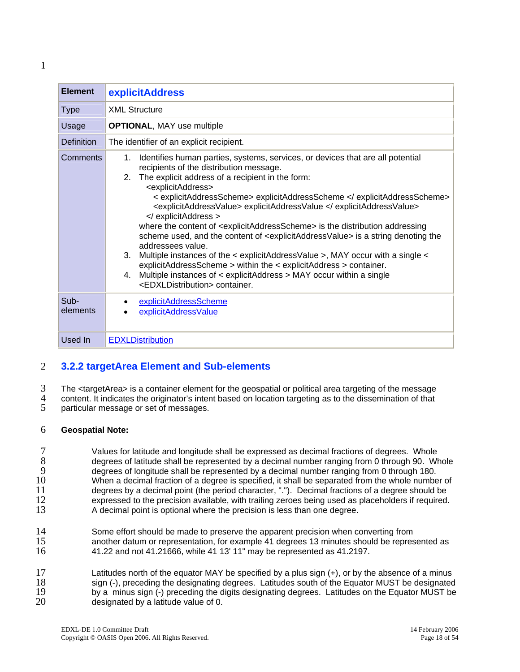<span id="page-17-0"></span>

| <b>Element</b>    | <b>explicitAddress</b>                                                                                                                                                                                                                                                                                                                                                                                                                                                                                                                                                                                                                                                                                                                                                                                                                                                                                                              |
|-------------------|-------------------------------------------------------------------------------------------------------------------------------------------------------------------------------------------------------------------------------------------------------------------------------------------------------------------------------------------------------------------------------------------------------------------------------------------------------------------------------------------------------------------------------------------------------------------------------------------------------------------------------------------------------------------------------------------------------------------------------------------------------------------------------------------------------------------------------------------------------------------------------------------------------------------------------------|
| <b>Type</b>       | <b>XML Structure</b>                                                                                                                                                                                                                                                                                                                                                                                                                                                                                                                                                                                                                                                                                                                                                                                                                                                                                                                |
| Usage             | <b>OPTIONAL, MAY use multiple</b>                                                                                                                                                                                                                                                                                                                                                                                                                                                                                                                                                                                                                                                                                                                                                                                                                                                                                                   |
| <b>Definition</b> | The identifier of an explicit recipient.                                                                                                                                                                                                                                                                                                                                                                                                                                                                                                                                                                                                                                                                                                                                                                                                                                                                                            |
| Comments          | Identifies human parties, systems, services, or devices that are all potential<br>1.<br>recipients of the distribution message.<br>2. The explicit address of a recipient in the form:<br><explicitaddress><br/>&lt; explicitAddressScheme&gt; explicitAddressScheme <br/><explicitaddressvalue> explicitAddressValue </explicitaddressvalue><br/></explicitaddress><br>where the content of <explicitaddressscheme> is the distribution addressing<br/>scheme used, and the content of <explicitaddressvalue> is a string denoting the<br/>addressees value.<br/>3.<br/>Multiple instances of the &lt; explicitAddressValue &gt;, MAY occur with a single &lt;<br/>explicitAddressScheme &gt; within the &lt; explicitAddress &gt; container.<br/>4. Multiple instances of &lt; explicitAddress &gt; MAY occur within a single<br/><edxldistribution> container.</edxldistribution></explicitaddressvalue></explicitaddressscheme> |
| Sub-<br>elements  | explicitAddressScheme<br>explicitAddressValue                                                                                                                                                                                                                                                                                                                                                                                                                                                                                                                                                                                                                                                                                                                                                                                                                                                                                       |
| Used In           | <b>EDXLDistribution</b>                                                                                                                                                                                                                                                                                                                                                                                                                                                                                                                                                                                                                                                                                                                                                                                                                                                                                                             |

## 2 **3.2.2 targetArea Element and Sub-elements**

3 4 5 The <targetArea> is a container element for the geospatial or political area targeting of the message content. It indicates the originator's intent based on location targeting as to the dissemination of that particular message or set of messages.

#### 6 **Geospatial Note:**

7 8 9 10 11 12 13 Values for latitude and longitude shall be expressed as decimal fractions of degrees. Whole degrees of latitude shall be represented by a decimal number ranging from 0 through 90. Whole degrees of longitude shall be represented by a decimal number ranging from 0 through 180. When a decimal fraction of a degree is specified, it shall be separated from the whole number of degrees by a decimal point (the period character, "."). Decimal fractions of a degree should be expressed to the precision available, with trailing zeroes being used as placeholders if required. A decimal point is optional where the precision is less than one degree.

14 15 16 Some effort should be made to preserve the apparent precision when converting from another datum or representation, for example 41 degrees 13 minutes should be represented as 41.22 and not 41.21666, while 41 13' 11" may be represented as 41.2197.

17 18 19 20 Latitudes north of the equator MAY be specified by a plus sign (+), or by the absence of a minus sign (-), preceding the designating degrees. Latitudes south of the Equator MUST be designated by a minus sign (-) preceding the digits designating degrees. Latitudes on the Equator MUST be designated by a latitude value of 0.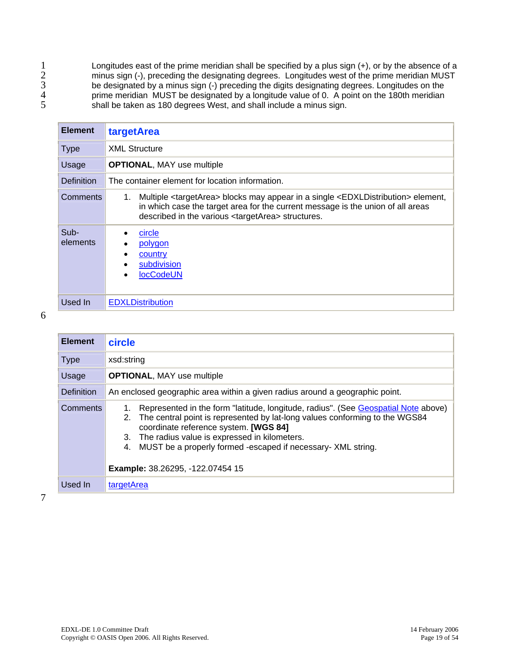<span id="page-18-0"></span>Longitudes east of the prime meridian shall be specified by a plus sign (+), or by the absence of a minus sign (-), preceding the designating degrees. Longitudes west of the prime meridian MUST be designated by a minus sign (-) preceding the digits designating degrees. Longitudes on the prime meridian MUST be designated by a longitude value of 0. A point on the 180th meridian shall be taken as 180 degrees West, and shall include a minus sign.

| <b>Element</b>    | targetArea                                                                                                                                                                                                                                                                    |  |
|-------------------|-------------------------------------------------------------------------------------------------------------------------------------------------------------------------------------------------------------------------------------------------------------------------------|--|
| <b>Type</b>       | <b>XML Structure</b>                                                                                                                                                                                                                                                          |  |
| Usage             | <b>OPTIONAL, MAY use multiple</b>                                                                                                                                                                                                                                             |  |
| <b>Definition</b> | The container element for location information.                                                                                                                                                                                                                               |  |
| <b>Comments</b>   | Multiple <targetarea> blocks may appear in a single <edxldistribution> element,<br/>1.<br/>in which case the target area for the current message is the union of all areas<br/>described in the various <targetarea> structures.</targetarea></edxldistribution></targetarea> |  |
| Sub-<br>elements  | circle<br>polygon<br>country<br>subdivision<br><b>locCodeUN</b>                                                                                                                                                                                                               |  |
| Used In           | <b>EDXLDistribution</b>                                                                                                                                                                                                                                                       |  |

6

| <b>Element</b>  | circle                                                                                                                                                                                                                                                                                                                                                                            |  |
|-----------------|-----------------------------------------------------------------------------------------------------------------------------------------------------------------------------------------------------------------------------------------------------------------------------------------------------------------------------------------------------------------------------------|--|
| <b>Type</b>     | xsd:string                                                                                                                                                                                                                                                                                                                                                                        |  |
| Usage           | <b>OPTIONAL, MAY use multiple</b>                                                                                                                                                                                                                                                                                                                                                 |  |
| Definition      | An enclosed geographic area within a given radius around a geographic point.                                                                                                                                                                                                                                                                                                      |  |
| <b>Comments</b> | Represented in the form "latitude, longitude, radius". (See Geospatial Note above)<br>2. The central point is represented by lat-long values conforming to the WGS84<br>coordinate reference system. [WGS 84]<br>3. The radius value is expressed in kilometers.<br>MUST be a properly formed -escaped if necessary- XML string.<br>4.<br><b>Example:</b> 38.26295, -122.07454 15 |  |
| Used In         | targetArea                                                                                                                                                                                                                                                                                                                                                                        |  |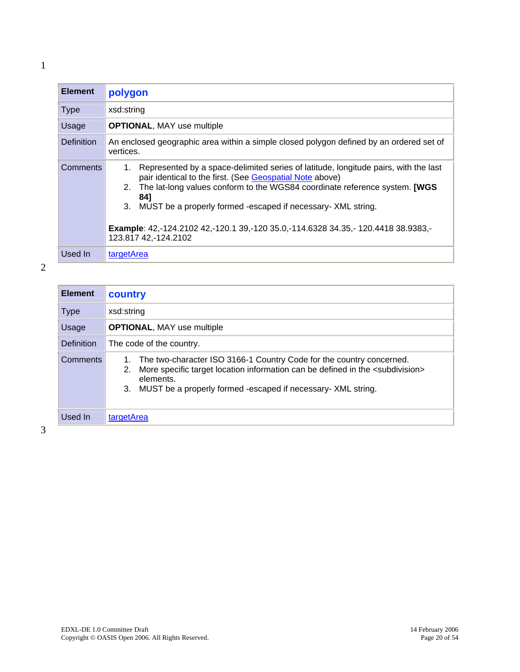<span id="page-19-0"></span>

| <b>Element</b>    | polygon                                                                                                                                                                                                                                                                                                                                                                                                                       |
|-------------------|-------------------------------------------------------------------------------------------------------------------------------------------------------------------------------------------------------------------------------------------------------------------------------------------------------------------------------------------------------------------------------------------------------------------------------|
| <b>Type</b>       | xsd:string                                                                                                                                                                                                                                                                                                                                                                                                                    |
| Usage             | <b>OPTIONAL, MAY use multiple</b>                                                                                                                                                                                                                                                                                                                                                                                             |
| <b>Definition</b> | An enclosed geographic area within a simple closed polygon defined by an ordered set of<br>vertices.                                                                                                                                                                                                                                                                                                                          |
| Comments          | Represented by a space-delimited series of latitude, longitude pairs, with the last<br>1.<br>pair identical to the first. (See Geospatial Note above)<br>2. The lat-long values conform to the WGS84 coordinate reference system. [WGS]<br>841<br>3. MUST be a properly formed -escaped if necessary- XML string.<br>Example: 42,-124.2102 42,-120.1 39,-120 35.0,-114.6328 34.35,-120.4418 38.9383,-<br>123.817 42,-124.2102 |
| Used In           | targetArea                                                                                                                                                                                                                                                                                                                                                                                                                    |

| <b>Element</b>    | country                                                                                                                                                                                                                                                          |
|-------------------|------------------------------------------------------------------------------------------------------------------------------------------------------------------------------------------------------------------------------------------------------------------|
| <b>Type</b>       | xsd:string                                                                                                                                                                                                                                                       |
| Usage             | <b>OPTIONAL, MAY use multiple</b>                                                                                                                                                                                                                                |
| <b>Definition</b> | The code of the country.                                                                                                                                                                                                                                         |
| <b>Comments</b>   | The two-character ISO 3166-1 Country Code for the country concerned.<br>More specific target location information can be defined in the <subdivision><br/>2.<br/>elements.<br/>MUST be a properly formed -escaped if necessary- XML string.<br/>3.</subdivision> |
| Used In           | targetArea                                                                                                                                                                                                                                                       |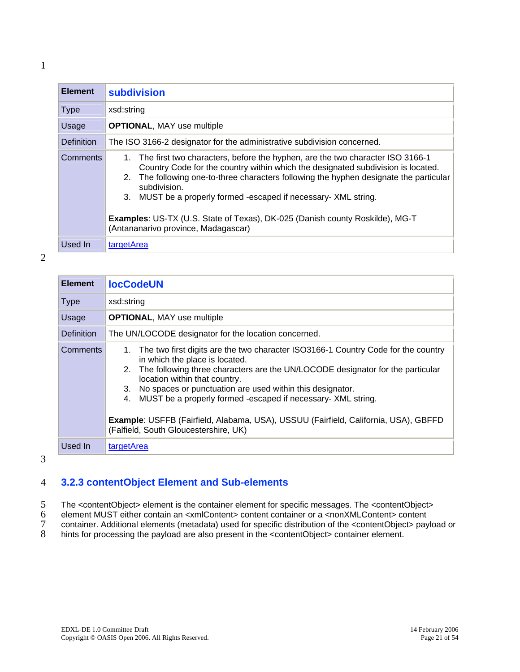<span id="page-20-0"></span>

| I |  |
|---|--|
|   |  |
|   |  |

| <b>Element</b>  | <b>subdivision</b>                                                                                                                                                                                                                                                                                                                                                                                                                                                              |  |
|-----------------|---------------------------------------------------------------------------------------------------------------------------------------------------------------------------------------------------------------------------------------------------------------------------------------------------------------------------------------------------------------------------------------------------------------------------------------------------------------------------------|--|
| <b>Type</b>     | xsd:string                                                                                                                                                                                                                                                                                                                                                                                                                                                                      |  |
| Usage           | <b>OPTIONAL, MAY use multiple</b>                                                                                                                                                                                                                                                                                                                                                                                                                                               |  |
| Definition      | The ISO 3166-2 designator for the administrative subdivision concerned.                                                                                                                                                                                                                                                                                                                                                                                                         |  |
| <b>Comments</b> | 1. The first two characters, before the hyphen, are the two character ISO 3166-1<br>Country Code for the country within which the designated subdivision is located.<br>2. The following one-to-three characters following the hyphen designate the particular<br>subdivision.<br>3. MUST be a properly formed -escaped if necessary- XML string.<br><b>Examples: US-TX (U.S. State of Texas), DK-025 (Danish county Roskilde), MG-T</b><br>(Antananarivo province, Madagascar) |  |
| Used In         | targetArea                                                                                                                                                                                                                                                                                                                                                                                                                                                                      |  |

| <b>Element</b>    | <b>locCodeUN</b>                                                                                                                                                                                                                                                                                                                                                                                                                                                                                                         |
|-------------------|--------------------------------------------------------------------------------------------------------------------------------------------------------------------------------------------------------------------------------------------------------------------------------------------------------------------------------------------------------------------------------------------------------------------------------------------------------------------------------------------------------------------------|
| <b>Type</b>       | xsd:string                                                                                                                                                                                                                                                                                                                                                                                                                                                                                                               |
| Usage             | <b>OPTIONAL, MAY use multiple</b>                                                                                                                                                                                                                                                                                                                                                                                                                                                                                        |
| <b>Definition</b> | The UN/LOCODE designator for the location concerned.                                                                                                                                                                                                                                                                                                                                                                                                                                                                     |
| <b>Comments</b>   | The two first digits are the two character ISO3166-1 Country Code for the country<br>1.<br>in which the place is located.<br>The following three characters are the UN/LOCODE designator for the particular<br>2.<br>location within that country.<br>3. No spaces or punctuation are used within this designator.<br>MUST be a properly formed -escaped if necessary- XML string.<br>4.<br>Example: USFFB (Fairfield, Alabama, USA), USSUU (Fairfield, California, USA), GBFFD<br>(Falfield, South Gloucestershire, UK) |
| Used In           | targetArea                                                                                                                                                                                                                                                                                                                                                                                                                                                                                                               |

3

#### 4 **3.2.3 contentObject Element and Sub-elements**

5 The <contentObject> element is the container element for specific messages. The <contentObject>

- 6 element MUST either contain an <xmlContent> content container or a <nonXMLContent> content
- 7 container. Additional elements (metadata) used for specific distribution of the <contentObject> payload or
- 8 hints for processing the payload are also present in the <contentObject> container element.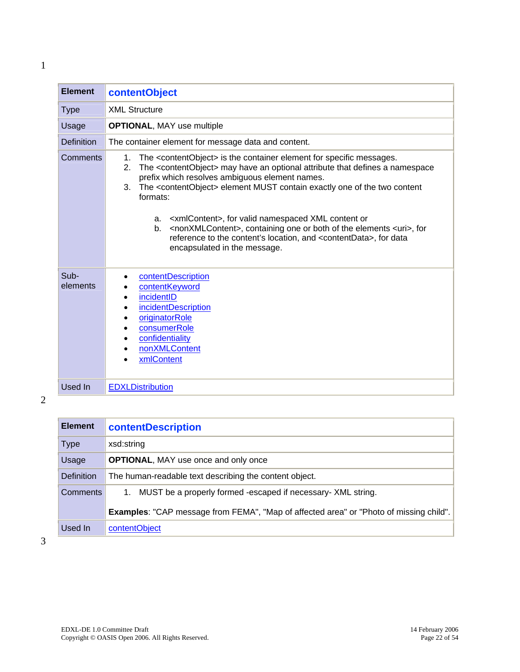<span id="page-21-0"></span>

| <b>Element</b>    | contentObject                                                                                                                                                                                                                                                                                                                                                                                                                                                                                                                                                                                                                                                                     |
|-------------------|-----------------------------------------------------------------------------------------------------------------------------------------------------------------------------------------------------------------------------------------------------------------------------------------------------------------------------------------------------------------------------------------------------------------------------------------------------------------------------------------------------------------------------------------------------------------------------------------------------------------------------------------------------------------------------------|
| <b>Type</b>       | <b>XML Structure</b>                                                                                                                                                                                                                                                                                                                                                                                                                                                                                                                                                                                                                                                              |
| Usage             | <b>OPTIONAL, MAY use multiple</b>                                                                                                                                                                                                                                                                                                                                                                                                                                                                                                                                                                                                                                                 |
| <b>Definition</b> | The container element for message data and content.                                                                                                                                                                                                                                                                                                                                                                                                                                                                                                                                                                                                                               |
| Comments          | The <contentobject> is the container element for specific messages.<br/>1.<br/>The <contentobject> may have an optional attribute that defines a namespace<br/>2.<br/>prefix which resolves ambiguous element names.<br/>The <contentobject> element MUST contain exactly one of the two content<br/>3.<br/>formats:<br/><xmlcontent>, for valid namespaced XML content or<br/>a.<br/><nonxmlcontent>, containing one or both of the elements <uri>, for<br/>b<sub>1</sub><br/>reference to the content's location, and <contentdata>, for data<br/>encapsulated in the message.</contentdata></uri></nonxmlcontent></xmlcontent></contentobject></contentobject></contentobject> |
| Sub-<br>elements  | contentDescription<br>contentKeyword<br>incidentID<br>٠<br>incidentDescription<br>originatorRole<br>consumerRole<br>confidentiality<br>nonXMLContent<br>xmlContent                                                                                                                                                                                                                                                                                                                                                                                                                                                                                                                |
| Used In           | <b>EDXLDistribution</b>                                                                                                                                                                                                                                                                                                                                                                                                                                                                                                                                                                                                                                                           |

2

| <b>Element</b>    | <b>contentDescription</b>                                                                     |
|-------------------|-----------------------------------------------------------------------------------------------|
| <b>Type</b>       | xsd:string                                                                                    |
| Usage             | <b>OPTIONAL, MAY use once and only once</b>                                                   |
| <b>Definition</b> | The human-readable text describing the content object.                                        |
| <b>Comments</b>   | MUST be a properly formed -escaped if necessary- XML string.<br>1.                            |
|                   | <b>Examples:</b> "CAP message from FEMA", "Map of affected area" or "Photo of missing child". |
| Used In           | contentObject                                                                                 |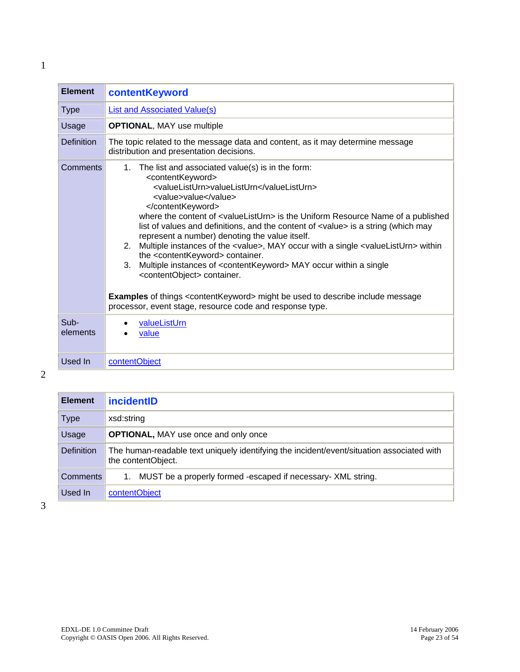<span id="page-22-0"></span>

| <b>Element</b>    | contentKeyword                                                                                                                                                                                                                                                                                                                                                                                                                                                                                                                                                                                                                                                                                                                                                                                                                                                                                                    |
|-------------------|-------------------------------------------------------------------------------------------------------------------------------------------------------------------------------------------------------------------------------------------------------------------------------------------------------------------------------------------------------------------------------------------------------------------------------------------------------------------------------------------------------------------------------------------------------------------------------------------------------------------------------------------------------------------------------------------------------------------------------------------------------------------------------------------------------------------------------------------------------------------------------------------------------------------|
| <b>Type</b>       | <b>List and Associated Value(s)</b>                                                                                                                                                                                                                                                                                                                                                                                                                                                                                                                                                                                                                                                                                                                                                                                                                                                                               |
| Usage             | <b>OPTIONAL, MAY use multiple</b>                                                                                                                                                                                                                                                                                                                                                                                                                                                                                                                                                                                                                                                                                                                                                                                                                                                                                 |
| <b>Definition</b> | The topic related to the message data and content, as it may determine message<br>distribution and presentation decisions.                                                                                                                                                                                                                                                                                                                                                                                                                                                                                                                                                                                                                                                                                                                                                                                        |
| Comments          | The list and associated value(s) is in the form:<br>1.<br><contentkeyword><br/><valuelisturn>valueListUrn</valuelisturn><br/><value>value</value><br/></contentkeyword><br>where the content of <valuelisturn> is the Uniform Resource Name of a published<br/>list of values and definitions, and the content of <value> is a string (which may<br/>represent a number) denoting the value itself.<br/>2. Multiple instances of the <value>, MAY occur with a single <valuelisturn> within<br/>the <contentkeyword> container.<br/>Multiple instances of <contentkeyword> MAY occur within a single<br/>3.<br/><contentobject> container.<br/><b>Examples</b> of things <contentkeyword> might be used to describe include message<br/>processor, event stage, resource code and response type.</contentkeyword></contentobject></contentkeyword></contentkeyword></valuelisturn></value></value></valuelisturn> |
| Sub-<br>elements  | valueListUrn<br>value                                                                                                                                                                                                                                                                                                                                                                                                                                                                                                                                                                                                                                                                                                                                                                                                                                                                                             |
| Used In           | contentObject                                                                                                                                                                                                                                                                                                                                                                                                                                                                                                                                                                                                                                                                                                                                                                                                                                                                                                     |

2

| <b>Element</b>    | <i>incidentID</i>                                                                                               |
|-------------------|-----------------------------------------------------------------------------------------------------------------|
| Type              | xsd:string                                                                                                      |
| Usage             | <b>OPTIONAL, MAY use once and only once</b>                                                                     |
| <b>Definition</b> | The human-readable text uniquely identifying the incident/event/situation associated with<br>the contentObject. |
| Comments          | 1. MUST be a properly formed -escaped if necessary- XML string.                                                 |
| Used In           | contentObject                                                                                                   |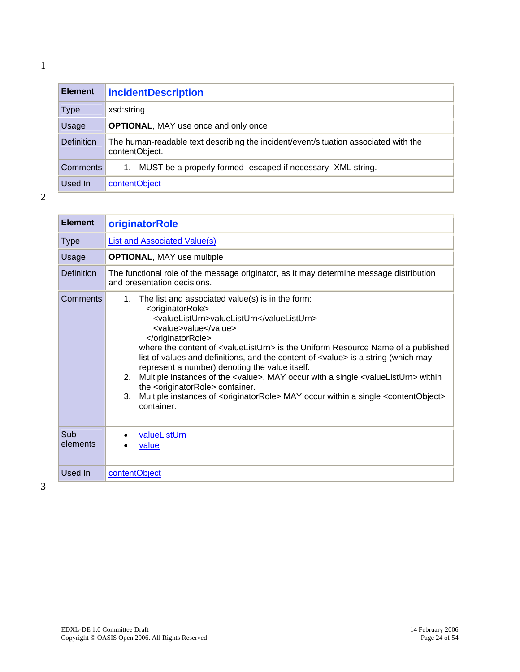<span id="page-23-0"></span>

| <b>Element</b>    | <b>incidentDescription</b>                                                                            |
|-------------------|-------------------------------------------------------------------------------------------------------|
| <b>Type</b>       | xsd:string                                                                                            |
| Usage             | <b>OPTIONAL, MAY use once and only once</b>                                                           |
| <b>Definition</b> | The human-readable text describing the incident/event/situation associated with the<br>contentObject. |
| <b>Comments</b>   | MUST be a properly formed -escaped if necessary- XML string.<br>1.                                    |
| Used In           | contentObject                                                                                         |

| <b>Element</b>    | originatorRole                                                                                                                                                                                                                                                                                                                                                                                                                                                                                                                                                                                                                                                                                                                             |
|-------------------|--------------------------------------------------------------------------------------------------------------------------------------------------------------------------------------------------------------------------------------------------------------------------------------------------------------------------------------------------------------------------------------------------------------------------------------------------------------------------------------------------------------------------------------------------------------------------------------------------------------------------------------------------------------------------------------------------------------------------------------------|
| <b>Type</b>       | List and Associated Value(s)                                                                                                                                                                                                                                                                                                                                                                                                                                                                                                                                                                                                                                                                                                               |
| Usage             | <b>OPTIONAL, MAY use multiple</b>                                                                                                                                                                                                                                                                                                                                                                                                                                                                                                                                                                                                                                                                                                          |
| <b>Definition</b> | The functional role of the message originator, as it may determine message distribution<br>and presentation decisions.                                                                                                                                                                                                                                                                                                                                                                                                                                                                                                                                                                                                                     |
| Comments          | The list and associated value(s) is in the form:<br>1.<br><originatorrole><br/><valuelisturn>valueListUrn</valuelisturn><br/><value>value</value><br/></originatorrole><br>where the content of <valuelisturn> is the Uniform Resource Name of a published<br/>list of values and definitions, and the content of <value> is a string (which may<br/>represent a number) denoting the value itself.<br/>2. Multiple instances of the <value>, MAY occur with a single <valuelisturn> within<br/>the <originatorrole> container.<br/>Multiple instances of <originatorrole> MAY occur within a single <contentobject><br/>3.<br/>container.</contentobject></originatorrole></originatorrole></valuelisturn></value></value></valuelisturn> |
| Sub-<br>elements  | valueListUrn<br>value                                                                                                                                                                                                                                                                                                                                                                                                                                                                                                                                                                                                                                                                                                                      |
| Used In           | contentObject                                                                                                                                                                                                                                                                                                                                                                                                                                                                                                                                                                                                                                                                                                                              |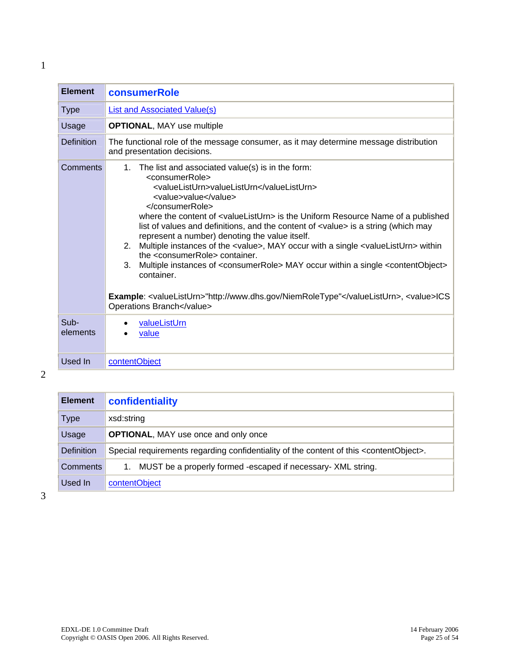<span id="page-24-0"></span>

| <b>Element</b>    | consumerRole                                                                                                                                                                                                                                                                                                                                                                                                                                                                                                                                                                                                                                                                                                                                                                                                                                  |
|-------------------|-----------------------------------------------------------------------------------------------------------------------------------------------------------------------------------------------------------------------------------------------------------------------------------------------------------------------------------------------------------------------------------------------------------------------------------------------------------------------------------------------------------------------------------------------------------------------------------------------------------------------------------------------------------------------------------------------------------------------------------------------------------------------------------------------------------------------------------------------|
| <b>Type</b>       | <b>List and Associated Value(s)</b>                                                                                                                                                                                                                                                                                                                                                                                                                                                                                                                                                                                                                                                                                                                                                                                                           |
| Usage             | <b>OPTIONAL, MAY use multiple</b>                                                                                                                                                                                                                                                                                                                                                                                                                                                                                                                                                                                                                                                                                                                                                                                                             |
| <b>Definition</b> | The functional role of the message consumer, as it may determine message distribution<br>and presentation decisions.                                                                                                                                                                                                                                                                                                                                                                                                                                                                                                                                                                                                                                                                                                                          |
| Comments          | 1. The list and associated value(s) is in the form:<br><consumerrole><br/><valuelisturn>valueListUrn</valuelisturn><br/><value>value</value><br/></consumerrole><br>where the content of <valuelisturn> is the Uniform Resource Name of a published<br/>list of values and definitions, and the content of <value> is a string (which may<br/>represent a number) denoting the value itself.<br/>2. Multiple instances of the <value>, MAY occur with a single <valuelisturn> within<br/>the <consumerrole> container.<br/>3. Multiple instances of <consumerrole> MAY occur within a single <contentobject><br/>container.<br/>Example: <valuelisturn>"http://www.dhs.gov/NiemRoleType"</valuelisturn>, <value>ICS<br/>Operations Branch</value></contentobject></consumerrole></consumerrole></valuelisturn></value></value></valuelisturn> |
| Sub-<br>elements  | valueListUrn<br>value                                                                                                                                                                                                                                                                                                                                                                                                                                                                                                                                                                                                                                                                                                                                                                                                                         |
| Used In           | contentObject                                                                                                                                                                                                                                                                                                                                                                                                                                                                                                                                                                                                                                                                                                                                                                                                                                 |

2

| <b>Element</b>    | confidentiality                                                                                        |
|-------------------|--------------------------------------------------------------------------------------------------------|
| <b>Type</b>       | xsd:string                                                                                             |
| Usage             | <b>OPTIONAL, MAY use once and only once</b>                                                            |
| <b>Definition</b> | Special requirements regarding confidentiality of the content of this <contentobject>.</contentobject> |
| Comments          | MUST be a properly formed -escaped if necessary- XML string.                                           |
| Used In           | contentObject                                                                                          |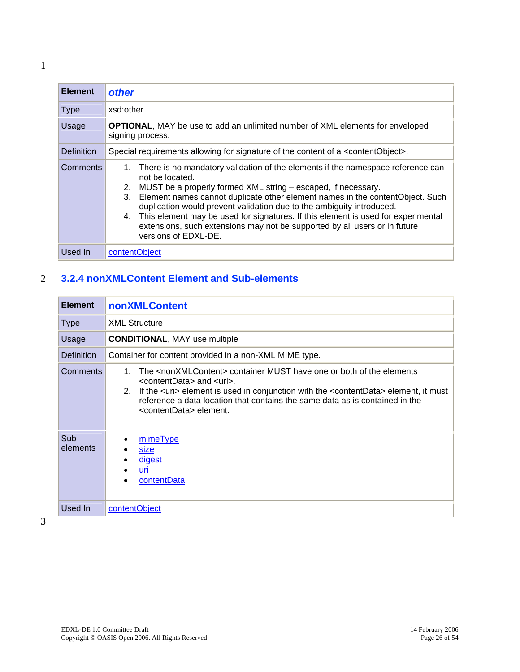<span id="page-25-0"></span>

| <b>Element</b>    | other                                                                                                                                                                                                                                                                                                                                                                                                                                                                                                                                |
|-------------------|--------------------------------------------------------------------------------------------------------------------------------------------------------------------------------------------------------------------------------------------------------------------------------------------------------------------------------------------------------------------------------------------------------------------------------------------------------------------------------------------------------------------------------------|
| <b>Type</b>       | xsd:other                                                                                                                                                                                                                                                                                                                                                                                                                                                                                                                            |
| Usage             | <b>OPTIONAL, MAY</b> be use to add an unlimited number of XML elements for enveloped<br>signing process.                                                                                                                                                                                                                                                                                                                                                                                                                             |
| <b>Definition</b> | Special requirements allowing for signature of the content of a <contentobject>.</contentobject>                                                                                                                                                                                                                                                                                                                                                                                                                                     |
| Comments          | 1. There is no mandatory validation of the elements if the namespace reference can<br>not be located.<br>2. MUST be a properly formed XML string – escaped, if necessary.<br>3. Element names cannot duplicate other element names in the contentObject. Such<br>duplication would prevent validation due to the ambiguity introduced.<br>4. This element may be used for signatures. If this element is used for experimental<br>extensions, such extensions may not be supported by all users or in future<br>versions of EDXL-DE. |
| Used In           | contentObject                                                                                                                                                                                                                                                                                                                                                                                                                                                                                                                        |

## 2 **3.2.4 nonXMLContent Element and Sub-elements**

| <b>Element</b>    | nonXMLContent                                                                                                                                                                                                                                                                                                                                                     |
|-------------------|-------------------------------------------------------------------------------------------------------------------------------------------------------------------------------------------------------------------------------------------------------------------------------------------------------------------------------------------------------------------|
| <b>Type</b>       | <b>XML Structure</b>                                                                                                                                                                                                                                                                                                                                              |
| Usage             | <b>CONDITIONAL, MAY use multiple</b>                                                                                                                                                                                                                                                                                                                              |
| <b>Definition</b> | Container for content provided in a non-XML MIME type.                                                                                                                                                                                                                                                                                                            |
| Comments          | The <nonxmlcontent> container MUST have one or both of the elements<br/>1.<br/><contentdata> and <uri>.<br/>2. If the suris element is used in conjunction with the scontent Data belement, it must<br/>reference a data location that contains the same data as is contained in the<br/><contentdata> element.</contentdata></uri></contentdata></nonxmlcontent> |
| Sub-<br>elements  | mimeType<br>size<br><u>digest</u><br>uri<br>contentData                                                                                                                                                                                                                                                                                                           |
| Used In           | contentObject                                                                                                                                                                                                                                                                                                                                                     |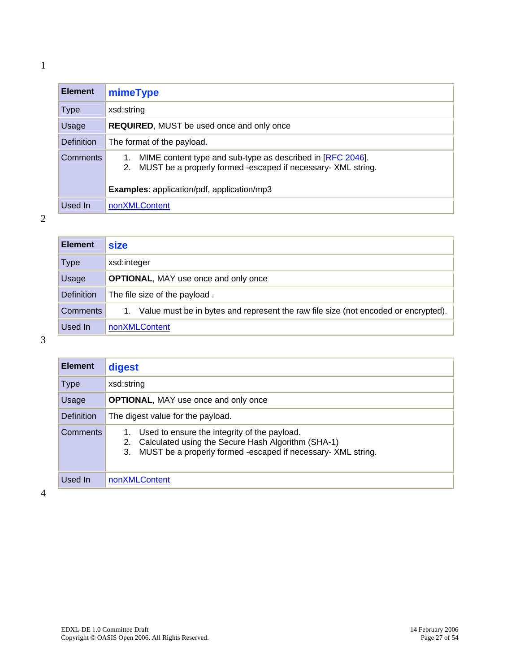<span id="page-26-0"></span>

| <b>Element</b> | mimeType                                                                                                                         |
|----------------|----------------------------------------------------------------------------------------------------------------------------------|
| <b>Type</b>    | xsd:string                                                                                                                       |
| Usage          | <b>REQUIRED, MUST be used once and only once</b>                                                                                 |
| Definition     | The format of the payload.                                                                                                       |
| Comments       | MIME content type and sub-type as described in [RFC 2046].<br>MUST be a properly formed -escaped if necessary- XML string.<br>2. |
|                | <b>Examples:</b> application/pdf, application/mp3                                                                                |
| Used In        | nonXMLContent                                                                                                                    |

## 2

| <b>Element</b> | <b>size</b>                                                                        |
|----------------|------------------------------------------------------------------------------------|
| Type           | xsd:integer                                                                        |
| Usage          | <b>OPTIONAL, MAY use once and only once</b>                                        |
| Definition     | The file size of the payload.                                                      |
| Comments       | Value must be in bytes and represent the raw file size (not encoded or encrypted). |
| Used In        | nonXMLContent                                                                      |

3

| <b>Element</b> | digest                                                                                                                                                                         |
|----------------|--------------------------------------------------------------------------------------------------------------------------------------------------------------------------------|
| <b>Type</b>    | xsd:string                                                                                                                                                                     |
| Usage          | <b>OPTIONAL, MAY use once and only once</b>                                                                                                                                    |
| Definition     | The digest value for the payload.                                                                                                                                              |
| Comments       | 1. Used to ensure the integrity of the payload.<br>2. Calculated using the Secure Hash Algorithm (SHA-1)<br>MUST be a properly formed -escaped if necessary- XML string.<br>3. |
| Used In        | nonXMLContent                                                                                                                                                                  |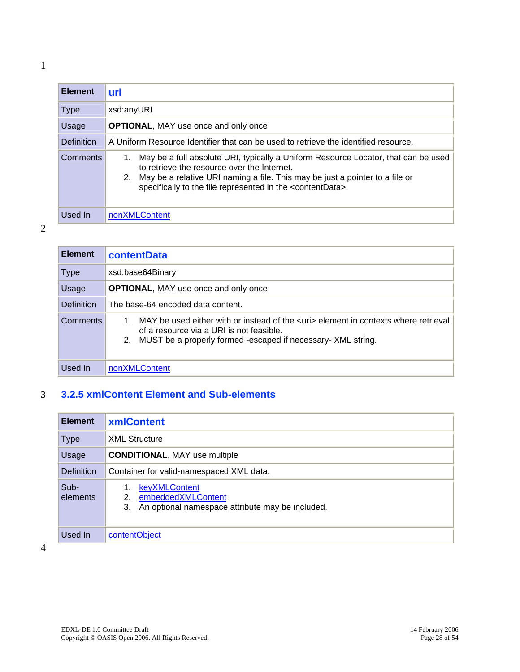<span id="page-27-0"></span>

| <b>Element</b>    | uri                                                                                                                                                                                                                                                                                              |  |
|-------------------|--------------------------------------------------------------------------------------------------------------------------------------------------------------------------------------------------------------------------------------------------------------------------------------------------|--|
| <b>Type</b>       | xsd:anyURI                                                                                                                                                                                                                                                                                       |  |
| Usage             | <b>OPTIONAL, MAY use once and only once</b>                                                                                                                                                                                                                                                      |  |
| <b>Definition</b> | A Uniform Resource Identifier that can be used to retrieve the identified resource.                                                                                                                                                                                                              |  |
| Comments          | May be a full absolute URI, typically a Uniform Resource Locator, that can be used<br>to retrieve the resource over the Internet.<br>2. May be a relative URI naming a file. This may be just a pointer to a file or<br>specifically to the file represented in the <contentdata>.</contentdata> |  |
| Used In           | nonXMLContent                                                                                                                                                                                                                                                                                    |  |

2

| <b>Element</b>    | <b>contentData</b>                                                                                                                                                                                         |  |
|-------------------|------------------------------------------------------------------------------------------------------------------------------------------------------------------------------------------------------------|--|
| <b>Type</b>       | xsd:base64Binary                                                                                                                                                                                           |  |
| Usage             | <b>OPTIONAL, MAY use once and only once</b>                                                                                                                                                                |  |
| <b>Definition</b> | The base-64 encoded data content.                                                                                                                                                                          |  |
| <b>Comments</b>   | MAY be used either with or instead of the <uri> element in contexts where retrieval<br/>of a resource via a URI is not feasible.<br/>2. MUST be a properly formed -escaped if necessary- XML string.</uri> |  |
| Used In           | nonXMLContent                                                                                                                                                                                              |  |

## 3 **3.2.5 xmlContent Element and Sub-elements**

| <b>Element</b>    | <b>xmlContent</b>                                                                                   |
|-------------------|-----------------------------------------------------------------------------------------------------|
| <b>Type</b>       | <b>XML Structure</b>                                                                                |
| Usage             | <b>CONDITIONAL, MAY use multiple</b>                                                                |
| <b>Definition</b> | Container for valid-namespaced XML data.                                                            |
| Sub-<br>elements  | keyXMLContent<br>embeddedXMLContent<br>2.<br>An optional namespace attribute may be included.<br>3. |
| Used In           | contentObject                                                                                       |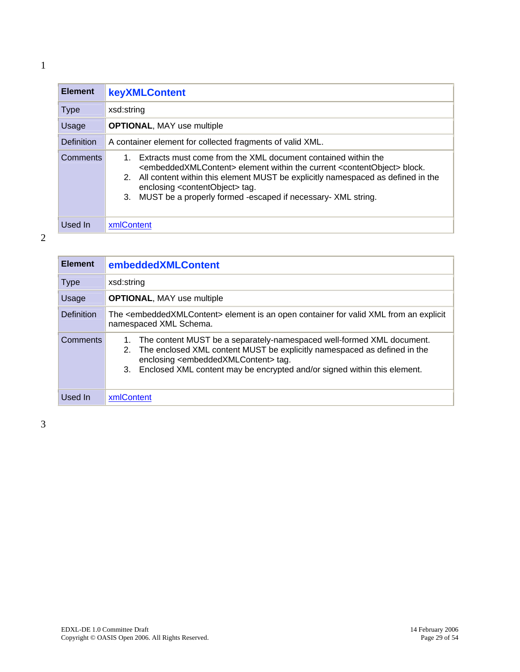<span id="page-28-0"></span>

| <b>Element</b>    | keyXMLContent                                                                                                                                                                                                                                                                                                                                                                                  |  |
|-------------------|------------------------------------------------------------------------------------------------------------------------------------------------------------------------------------------------------------------------------------------------------------------------------------------------------------------------------------------------------------------------------------------------|--|
| <b>Type</b>       | xsd:string                                                                                                                                                                                                                                                                                                                                                                                     |  |
| Usage             | <b>OPTIONAL, MAY use multiple</b>                                                                                                                                                                                                                                                                                                                                                              |  |
| <b>Definition</b> | A container element for collected fragments of valid XML.                                                                                                                                                                                                                                                                                                                                      |  |
| <b>Comments</b>   | Extracts must come from the XML document contained within the<br><embeddedxmlcontent> element within the current <contentobject> block.<br/>2. All content within this element MUST be explicitly namespaced as defined in the<br/>enclosing <contentobject> tag.<br/>MUST be a properly formed -escaped if necessary- XML string.<br/>3.</contentobject></contentobject></embeddedxmlcontent> |  |

Used In | xmlContent

| <b>Element</b> | embeddedXMLContent                                                                                                                                                                                                                                                                                        |
|----------------|-----------------------------------------------------------------------------------------------------------------------------------------------------------------------------------------------------------------------------------------------------------------------------------------------------------|
| <b>Type</b>    | xsd:string                                                                                                                                                                                                                                                                                                |
| Usage          | <b>OPTIONAL, MAY use multiple</b>                                                                                                                                                                                                                                                                         |
| Definition     | The <embeddedxmlcontent> element is an open container for valid XML from an explicit<br/>namespaced XML Schema.</embeddedxmlcontent>                                                                                                                                                                      |
| Comments       | The content MUST be a separately-namespaced well-formed XML document.<br>1.<br>The enclosed XML content MUST be explicitly namespaced as defined in the<br>2.<br>enclosing <embeddedxmlcontent> tag.<br/>3. Enclosed XML content may be encrypted and/or signed within this element.</embeddedxmlcontent> |
| Used In        | xmlContent                                                                                                                                                                                                                                                                                                |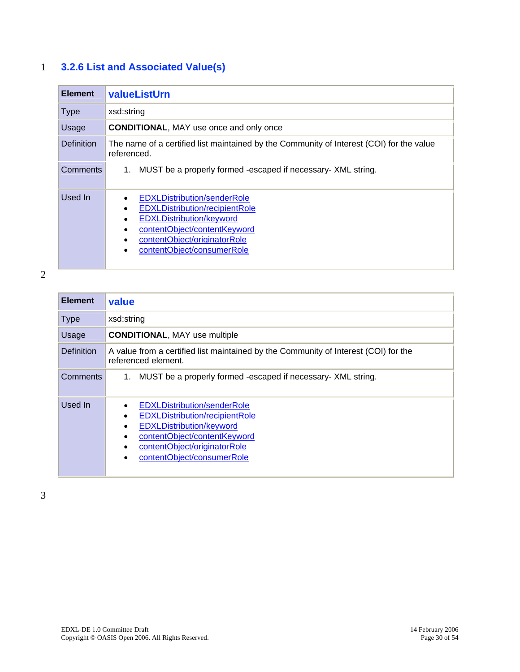## <span id="page-29-0"></span>1 **3.2.6 List and Associated Value(s)**

| <b>Element</b>    | valueListUrn                                                                                                                                                                                                                                        |  |
|-------------------|-----------------------------------------------------------------------------------------------------------------------------------------------------------------------------------------------------------------------------------------------------|--|
| <b>Type</b>       | xsd:string                                                                                                                                                                                                                                          |  |
| Usage             | <b>CONDITIONAL, MAY use once and only once</b>                                                                                                                                                                                                      |  |
| <b>Definition</b> | The name of a certified list maintained by the Community of Interest (COI) for the value<br>referenced.                                                                                                                                             |  |
| Comments          | 1. MUST be a properly formed -escaped if necessary- XML string.                                                                                                                                                                                     |  |
| Used In           | <b>EDXLDistribution/senderRole</b><br><b>EDXLDistribution/recipientRole</b><br>$\bullet$<br><b>EDXLDistribution/keyword</b><br>$\bullet$<br>contentObject/contentKeyword<br>$\bullet$<br>contentObject/originatorRole<br>contentObject/consumerRole |  |

2

| <b>Element</b>    | value                                                                                                                                                                                                             |  |
|-------------------|-------------------------------------------------------------------------------------------------------------------------------------------------------------------------------------------------------------------|--|
| <b>Type</b>       | xsd:string                                                                                                                                                                                                        |  |
| Usage             | <b>CONDITIONAL, MAY use multiple</b>                                                                                                                                                                              |  |
| <b>Definition</b> | A value from a certified list maintained by the Community of Interest (COI) for the<br>referenced element.                                                                                                        |  |
| <b>Comments</b>   | MUST be a properly formed -escaped if necessary- XML string.<br>1.                                                                                                                                                |  |
| Used In           | <b>EDXLDistribution/senderRole</b><br><b>EDXLDistribution/recipientRole</b><br><b>EDXLDistribution/keyword</b><br>contentObject/contentKeyword<br>contentObject/originatorRole<br>contentObject/consumerRole<br>٠ |  |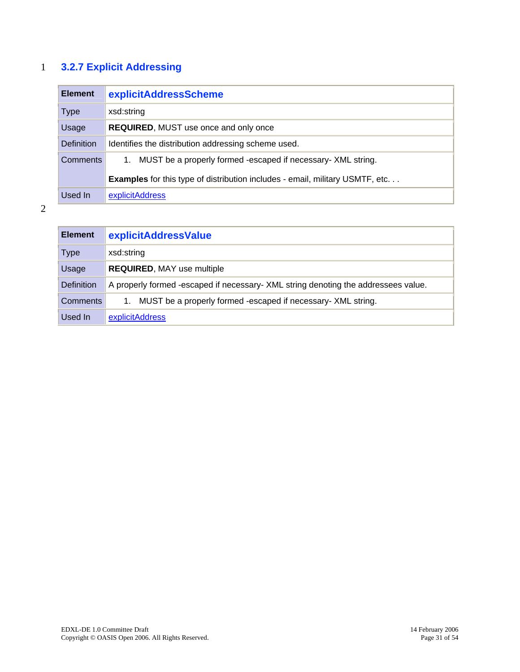## <span id="page-30-0"></span>1 **3.2.7 Explicit Addressing**

| <b>Element</b>    | explicitAddressScheme                                                                |
|-------------------|--------------------------------------------------------------------------------------|
| <b>Type</b>       | xsd:string                                                                           |
| Usage             | <b>REQUIRED, MUST use once and only once</b>                                         |
| <b>Definition</b> | Identifies the distribution addressing scheme used.                                  |
| <b>Comments</b>   | MUST be a properly formed -escaped if necessary- XML string.<br>1.                   |
|                   | <b>Examples</b> for this type of distribution includes - email, military USMTF, etc. |
| Used In           | explicitAddress                                                                      |

| <b>Element</b>    | explicitAddressValue                                                               |
|-------------------|------------------------------------------------------------------------------------|
| Type              | xsd:string                                                                         |
| Usage             | <b>REQUIRED, MAY use multiple</b>                                                  |
| <b>Definition</b> | A properly formed -escaped if necessary- XML string denoting the addressees value. |
| Comments          | MUST be a properly formed -escaped if necessary- XML string.<br>1.                 |
| Used In           | explicitAddress                                                                    |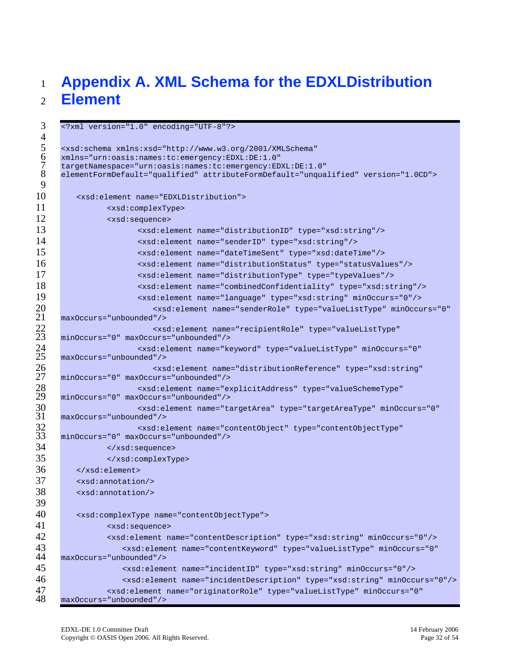#### <span id="page-31-0"></span>**Appendix A. XML Schema for the EDXLDistribution Element**

```
3 <?xml version="1.0" encoding="UTF-8"?> 
 4 
 5 <xsd:schema xmlns:xsd="http://www.w3.org/2001/XMLSchema"<br>6 xmlns="urn:oasis:names:tc:emergency:EDXL:DE:1.0"<br>7 targetNamespace="urn:oasis:names:tc:emergency:EDXL:DE:1.
      6 xmlns="urn:oasis:names:tc:emergency:EDXL:DE:1.0" 
 7 targetNamespace="urn:oasis:names:tc:emergency:EDXL:DE:1.0" 
      8 elementFormDefault="qualified" attributeFormDefault="unqualified" version="1.0CD"> 
 9 
10 <xsd:element name="EDXLDistribution"> 
11 <xsd:complexType> 
12 <xsd:sequence>
13 <xsd:element name="distributionID" type="xsd:string"/> 
14 <xsd:element name="senderID" type="xsd:string"/> 
15 <xsd:element name="dateTimeSent" type="xsd:dateTime"/> 
16 <xsd:element name="distributionStatus" type="statusValues"/> 
17 <xsd:element name="distributionType" type="typeValues"/> 
18 <xsd:element name="combinedConfidentiality" type="xsd:string"/> 
19 <xsd:element name="language" type="xsd:string" minOccurs="0"/> 
20 <xsd:element name="senderRole" type="valueListType" minOccurs="0" 
21 maxOccurs="unbounded"/><br>22 xs<br>23 minOccurs="0" maxOccurs
                            22 <xsd:element name="recipientRole" type="valueListType" 
23 minOccurs="0" maxOccurs="unbounded"/><br>24 sxsd:element name="ke<br/>825 maxOccurs="unbounded"/>
                        24 <xsd:element name="keyword" type="valueListType" minOccurs="0" 
25 maxOccurs="unbounded"/><br>26 minOccurs="0" maxOccurs
                           26 <xsd:element name="distributionReference" type="xsd:string" 
27 minOccurs="0" maxOccurs="unbounded"/><br>28 sxsd:element name="ex<br>29 minOccurs="0" maxOccurs="unbounded"/>
                        28 <xsd:element name="explicitAddress" type="valueSchemeType" 
29 minOccurs="0" maxOccurs="unbounded"/><br>30 sxsd:element name="ta><br>31 maxOccurs="unbounded"/>
                        30 <xsd:element name="targetArea" type="targetAreaType" minOccurs="0" 
31 maxOccurs="unbounded"/><br>32 sxsd:el<br>33 minOccurs="0" maxOccurs
                        32 <xsd:element name="contentObject" type="contentObjectType" 
     33 minOccurs="0" maxOccurs="unbounded"/> 
34 </xsd:sequence>
35 </xsd:complexType>
36 </xsd:element> 
37 <xsd:annotation/> 
38 <xsd:annotation/> 
39 
40 <xsd:complexType name="contentObjectType"> 
41 <xsd:sequence>
42 <xsd:element name="contentDescription" type="xsd:string" minOccurs="0"/> 
43 <xsd:element name="contentKeyword" type="valueListType" minOccurs="0"<br>44 maxOccurs="unbounded"/>
      44 maxOccurs="unbounded"/> 
45 <xsd:element name="incidentID" type="xsd:string" minOccurs="0"/> 
46 <xsd:element name="incidentDescription" type="xsd:string" minOccurs="0"/> 
47 <xsd:element name="originatorRole" type="valueListType" minOccurs="0"<br>48 maxOccurs="unbounded"/>
      48 maxOccurs="unbounded"/>
```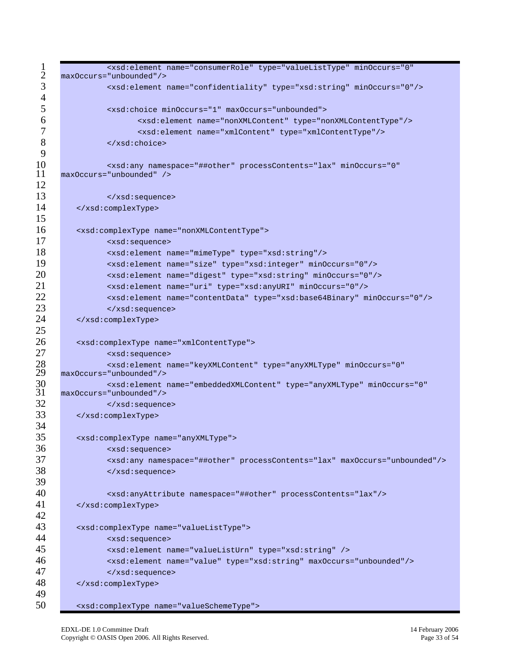```
1 <xsd:element name="consumerRole" type="valueListType" minOccurs="0"<br>2 maxOccurs="unbounded"/>
 2 maxOccurs="unbounded"/><br>3 sxsd:element
              3 <xsd:element name="confidentiality" type="xsd:string" minOccurs="0"/> 
 4 
 5 <xsd:choice minOccurs="1" maxOccurs="unbounded"> 
 6 <xsd:element name="nonXMLContent" type="nonXMLContentType"/> 
 7 <xsd:element name="xmlContent" type="xmlContentType"/> 
 8 </xsd:choice>
 9 
10 <xsd:any namespace="##other" processContents="lax" minOccurs="0" 
     maxOccurs="unbounded" />
12 
13 </xsd:sequence>
14 </xsd:complexType>
15 
16 <xsd:complexType name="nonXMLContentType"> 
17 <xsd:sequence>
18 <xsd:element name="mimeType" type="xsd:string"/> 
19 <xsd:element name="size" type="xsd:integer" minOccurs="0"/> 
20 <xsd:element name="digest" type="xsd:string" minOccurs="0"/>
21 <xsd:element name="uri" type="xsd:anyURI" minOccurs="0"/> 
22 <xsd:element name="contentData" type="xsd:base64Binary" minOccurs="0"/> 
23 </xsd:sequence>
24 </xsd:complexType>
25 
26 <xsd:complexType name="xmlContentType"> 
27 <xsd:sequence><br>28 <xsd:element n<br>29 max0ccurs="unbounded"/>
              28 <xsd:element name="keyXMLContent" type="anyXMLType" minOccurs="0" 
29 maxOccurs="unbounded"/><br>30 sxsd:element
30 <xsd:element name="embeddedXMLContent" type="anyXMLType" minOccurs="0" 
     31 maxOccurs="unbounded"/> 
32 </xsd:sequence>
33 </xsd:complexType> 
34 
35 <xsd:complexType name="anyXMLType"> 
36 <xsd:sequence> 
37 <xsd:any namespace="##other" processContents="lax" maxOccurs="unbounded"/> 
38 </xsd:sequence>
39 
40 <xsd:anyAttribute namespace="##other" processContents="lax"/> 
41 </xsd:complexType>
42 
43 <xsd:complexType name="valueListType"> 
44 <xsd:sequence> 
45 <xsd:element name="valueListUrn" type="xsd:string" /> 
46 <xsd:element name="value" type="xsd:string" maxOccurs="unbounded"/> 
47 </xsd:sequence>
48 </xsd:complexType> 
49 
50 <xsd:complexType name="valueSchemeType">
```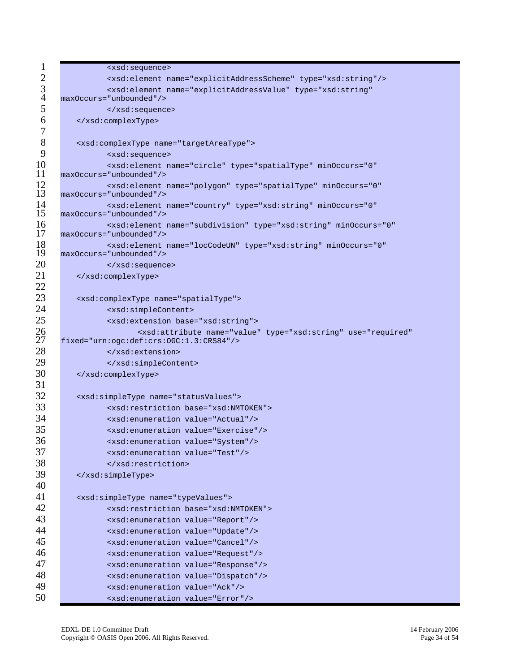| $\mathbf{1}$   | <xsd:sequence></xsd:sequence>                                                                                                  |  |  |  |  |  |  |  |
|----------------|--------------------------------------------------------------------------------------------------------------------------------|--|--|--|--|--|--|--|
| $\mathbf{2}$   | <xsd:element name="explicitAddressScheme" type="xsd:string"></xsd:element>                                                     |  |  |  |  |  |  |  |
| $\overline{3}$ | <xsd:element <="" name="explicitAddressValue" th="" type="xsd:string"></xsd:element>                                           |  |  |  |  |  |  |  |
| $\overline{4}$ | maxOccurs="unbounded"/>                                                                                                        |  |  |  |  |  |  |  |
| 5              |                                                                                                                                |  |  |  |  |  |  |  |
| 6              |                                                                                                                                |  |  |  |  |  |  |  |
| $\tau$         |                                                                                                                                |  |  |  |  |  |  |  |
| $8\,$          | <xsd:complextype name="targetAreaType"></xsd:complextype>                                                                      |  |  |  |  |  |  |  |
| 9              | <xsd:sequence></xsd:sequence>                                                                                                  |  |  |  |  |  |  |  |
| 10             | <xsd:element <="" minoccurs="0" name="circle" th="" type="spatialType"></xsd:element>                                          |  |  |  |  |  |  |  |
| 11             | maxOccurs="unbounded"/>                                                                                                        |  |  |  |  |  |  |  |
| 12<br>13       | <xsd:element <br="" minoccurs="0" name="polygon" type="spatialType">maxOccurs="unbounded"/&gt;</xsd:element>                   |  |  |  |  |  |  |  |
| 14<br>15       | <xsd:element <br="" minoccurs="0" name="country" type="xsd:string">maxOccurs="unbounded"/&gt;</xsd:element>                    |  |  |  |  |  |  |  |
| 16             | <xsd:element <="" minoccurs="0" name="subdivision" th="" type="xsd:string"></xsd:element>                                      |  |  |  |  |  |  |  |
| 17             | maxOccurs="unbounded"/>                                                                                                        |  |  |  |  |  |  |  |
| 18             | <xsd:element <="" minoccurs="0" name="locCodeUN" th="" type="xsd:string"></xsd:element>                                        |  |  |  |  |  |  |  |
| 19             | maxOccurs="unbounded"/>                                                                                                        |  |  |  |  |  |  |  |
| 20             |                                                                                                                                |  |  |  |  |  |  |  |
| 21             |                                                                                                                                |  |  |  |  |  |  |  |
| 22             |                                                                                                                                |  |  |  |  |  |  |  |
| 23             | <xsd:complextype name="spatialType"></xsd:complextype>                                                                         |  |  |  |  |  |  |  |
| 24             | <xsd:simplecontent></xsd:simplecontent>                                                                                        |  |  |  |  |  |  |  |
| 25             | <xsd:extension base="xsd:string"></xsd:extension>                                                                              |  |  |  |  |  |  |  |
| 26<br>27       | <xsd:attribute <br="" name="value" type="xsd:string" use="required">fixed="urn:ogc:def:crs:0GC:1.3:CRS84"/&gt;</xsd:attribute> |  |  |  |  |  |  |  |
| 28             |                                                                                                                                |  |  |  |  |  |  |  |
| 29             |                                                                                                                                |  |  |  |  |  |  |  |
| 30             |                                                                                                                                |  |  |  |  |  |  |  |
| 31             |                                                                                                                                |  |  |  |  |  |  |  |
| 32             | <xsd:simpletype name="statusValues"></xsd:simpletype>                                                                          |  |  |  |  |  |  |  |
| 33             | <xsd:restriction base="xsd:NMTOKEN"></xsd:restriction>                                                                         |  |  |  |  |  |  |  |
| 34             | <xsd:enumeration value="Actual"></xsd:enumeration>                                                                             |  |  |  |  |  |  |  |
| 35             | <xsd:enumeration value="Exercise"></xsd:enumeration>                                                                           |  |  |  |  |  |  |  |
| 36             | <xsd:enumeration value="System"></xsd:enumeration>                                                                             |  |  |  |  |  |  |  |
| 37             | <xsd:enumeration value="Test"></xsd:enumeration>                                                                               |  |  |  |  |  |  |  |
| 38             |                                                                                                                                |  |  |  |  |  |  |  |
| 39             |                                                                                                                                |  |  |  |  |  |  |  |
| 40             |                                                                                                                                |  |  |  |  |  |  |  |
| 41             | <xsd:simpletype name="typeValues"></xsd:simpletype>                                                                            |  |  |  |  |  |  |  |
| 42             | <xsd:restriction base="xsd:NMTOKEN"></xsd:restriction>                                                                         |  |  |  |  |  |  |  |
| 43             | <xsd:enumeration value="Report"></xsd:enumeration>                                                                             |  |  |  |  |  |  |  |
| 44             | <xsd:enumeration value="Update"></xsd:enumeration>                                                                             |  |  |  |  |  |  |  |
| 45             | <xsd:enumeration value="Cancel"></xsd:enumeration>                                                                             |  |  |  |  |  |  |  |
| 46             | <xsd:enumeration value="Request"></xsd:enumeration>                                                                            |  |  |  |  |  |  |  |
| 47             | <xsd:enumeration value="Response"></xsd:enumeration>                                                                           |  |  |  |  |  |  |  |
| 48             | <xsd:enumeration value="Dispatch"></xsd:enumeration>                                                                           |  |  |  |  |  |  |  |
| 49             | <xsd:enumeration value="Ack"></xsd:enumeration>                                                                                |  |  |  |  |  |  |  |
| 50             | <xsd:enumeration value="Error"></xsd:enumeration>                                                                              |  |  |  |  |  |  |  |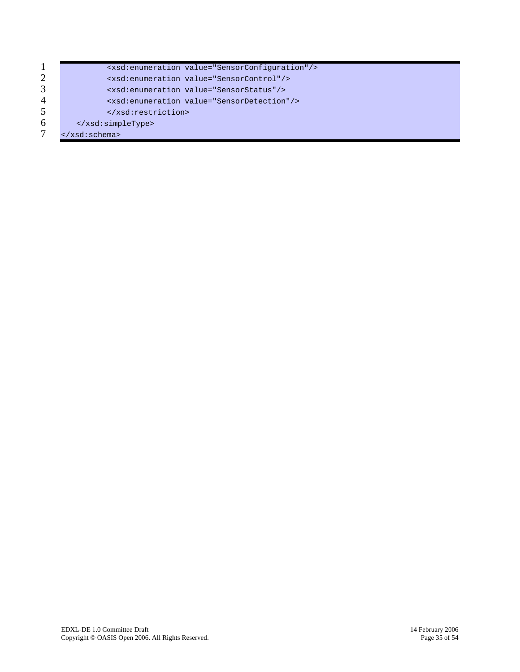|   | <xsd:enumeration value="SensorConfiguration"></xsd:enumeration> |
|---|-----------------------------------------------------------------|
| 2 | <xsd:enumeration value="SensorControl"></xsd:enumeration>       |
| 3 | <xsd:enumeration value="SensorStatus"></xsd:enumeration>        |
| 4 | <xsd:enumeration value="SensorDetection"></xsd:enumeration>     |
| 5 |                                                                 |
| 6 | $\langle xsd:simpleType\rangle$                                 |
|   | $\langle xsd:schema \rangle$                                    |
|   |                                                                 |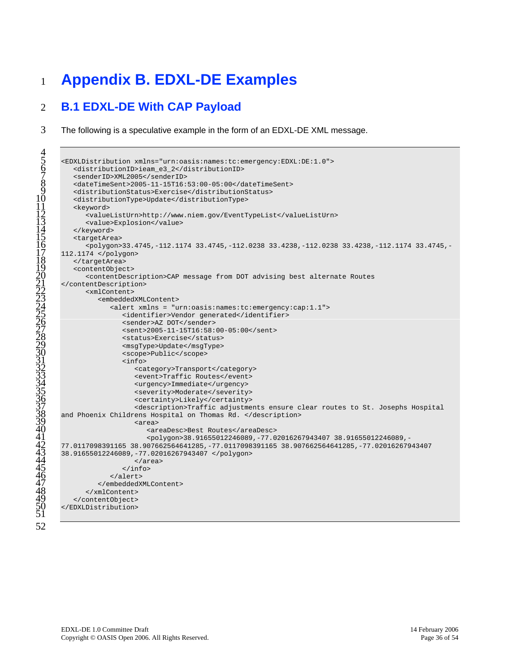## <span id="page-35-0"></span>**Appendix B. EDXL-DE Examples**

#### **B.1 EDXL-DE With CAP Payload**

The following is a speculative example in the form of an EDXL-DE XML message.

```
5 <EDXLDistribution xmlns="urn:oasis:names:tc:emergency:EDXL:DE:1.0"> 
         6 <distributionID>ieam_e3_2</distributionID> 
         7 <senderID>XML2005</senderID> 
         8 <dateTimeSent>2005-11-15T16:53:00-05:00</dateTimeSent> 
         9 <distributionStatus>Exercise</distributionStatus> 
         10 <distributionType>Update</distributionType> 
         <keyword>
             12 <valueListUrn>http://www.niem.gov/EventTypeList</valueListUrn> 
             <value>Explosion</value>
         </keyword>
         <targetArea>
             16 <polygon>33.4745,-112.1174 33.4745,-112.0238 33.4238,-112.0238 33.4238,-112.1174 33.4745,-
      112.1174 </polygon>
         </targetArea>
         <contentObject>
            20 <contentDescription>CAP message from DOT advising best alternate Routes 
      </contentDescription>
            \text{cm} \text{Content}<embeddedXMLContent>
                   24 <alert xmlns = "urn:oasis:names:tc:emergency:cap:1.1"> 
                      <identifier>Vendor generated</identifier>
                      <sender>AZ DOT</sender>
                      27 <sent>2005-11-15T16:58:00-05:00</sent> 
                      <status>Exercise</status>
                      29 <msgType>Update</msgType> 
                      30 <scope>Public</scope> 
                      31 <info> 
                          32 <category>Transport</category> 
                          33 <event>Traffic Routes</event> 
                          34 <urgency>Immediate</urgency> 
                          35 <severity>Moderate</severity> 
                          36 <certainty>Likely</certainty> 
                          37 <description>Traffic adjustments ensure clear routes to St. Josephs Hospital 
38 and Phoenix Childrens Hospital on Thomas Rd. </description> 
\frac{30}{2} and the entrariations has
                          40 <areaDesc>Best Routes</areaDesc> 
                             41 <polygon>38.91655012246089,-77.02016267943407 38.91655012246089,-
      42 77.0117098391165 38.907662564641285,-77.0117098391165 38.907662564641285,-77.02016267943407 
43 38.91655012246089,-77.02016267943407 </polygon> 
44 SOLUSSOLLER ROSES / MARCHEST
                      \langle \rangle /area>
                   46 </alert> 
                47 </embeddedXMLContent> 
             </xmlContent>
         49 </contentObject> 
      50 </EDXLDistribution>
```
 $5\tilde{1}$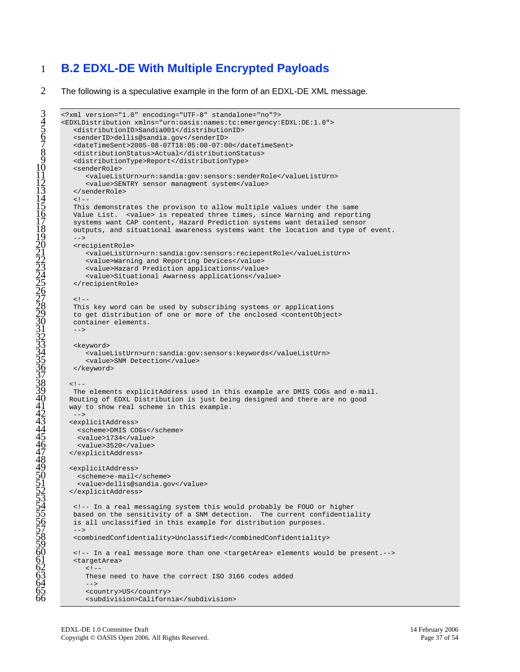## 1 **B.2 EDXL-DE With Multiple Encrypted Payloads**

2 The following is a speculative example in the form of an EDXL-DE XML message.

```
3 <?xml version="1.0" encoding="UTF-8" standalone="no"?> 
      4 <EDXLDistribution xmlns="urn:oasis:names:tc:emergency:EDXL:DE:1.0"> 
         5 <distributionID>Sandia001</distributionID> 
         6 <senderID>dellis@sandia.gov</senderID> 
         7 <dateTimeSent>2005-08-07T18:05:00-07:00</dateTimeSent> 
         8 <distributionStatus>Actual</distributionStatus> 
         9 <distributionType>Report</distributionType> 
         10 <senderRole> 
            11 <valueListUrn>urn:sandia:gov:sensors:senderRole</valueListUrn> 
            12 <value>SENTRY sensor managment system</value> 
         13 </senderRole> 
         1 -This demonstrates the provison to allow multiple values under the same
         Value List. <value> is repeated three times, since Warning and reporting
         systems want CAP content, Hazard Prediction systems want detailed sensor
         outputs, and situational awareness systems want the location and type of event.
\frac{10}{2} -->
         20 <recipientRole> 
            21 <valueListUrn>urn:sandia:gov:sensors:reciepentRole</valueListUrn> 
            22 <value>Warning and Reporting Devices</value> 
            23 <value>Hazard Prediction applications</value> 
            24 <value>Situational Awarness applications</value> 
         25 </recipientRole> 
\frac{27}{20} <!--
         28 This key word can be used by subscribing systems or applications 
         to get distribution of one or more of the enclosed <contentObject>
         container elements.
31 - -<keyword>
            34 <valueListUrn>urn:sandia:gov:sensors:keywords</valueListUrn> 
            <value>SNM Detection</value>
         </keyword>
        < ! -The elements explicitAddress used in this example are DMIS COGs and e-mail.
        40 Routing of EDXL Distribution is just being designed and there are no good 
        way to show real scheme in this example.<br>-->
4\overline{2} -->
        43 <explicitAddress> 
          44 <scheme>DMIS COGs</scheme> 
          <value>1734</value>
          <value>3520</value>
        47 </explicitAddress> 
        49 <explicitAddress> 
          50 <scheme>e-mail</scheme> 
          51 <value>dellis@sandia.gov</value> 
        52 </explicitAddress> 
         54 <!-- In a real messaging system this would probably be FOUO or higher 
         based on the sensitivity of a SNM detection. The current confidentiality
         is all unclassified in this example for distribution purposes.
\frac{57}{2} -->
         58 <combinedConfidentiality>Unclassified</combinedConfidentiality> 
         60 <!-- In a real message more than one <targetArea> elements would be present.--> 
         <targetArea>
62 \frac{62}{1} \frac{1}{2}63 These need to have the correct ISO 3166 codes added 
64 -->
            --><br><country>US</country>
            66 <subdivision>California</subdivision>
```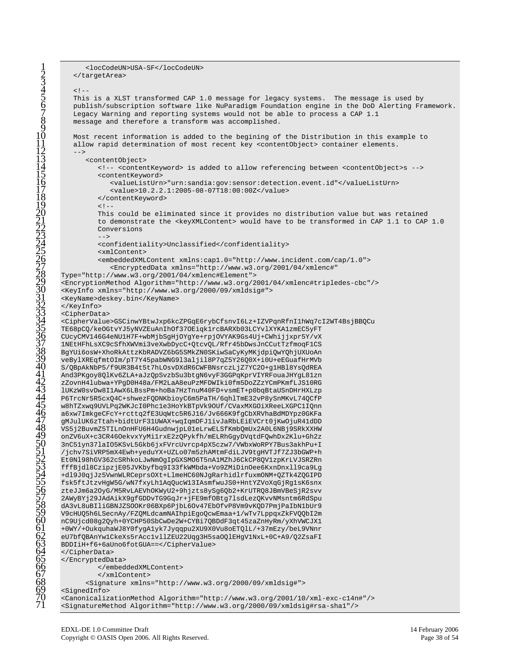```
1 <locCodeUN>USA-SF</locCodeUN> 
         </targetArea>
         <! -This is a XLST transformed CAP 1.0 message for legacy systems. The message is used by
         6 publish/subscription software like NuParadigm Foundation engine in the DoD Alerting Framework. 
         Legacy Warning and reporting systems would not be able to process a CAP 1.1
         message and therefore a transform was accomplished.
         10 Most recent information is added to the begining of the Distribution in this example to 
         allow rapid determination of most recent key <contentObject> container elements.
12 - -<contentObject>
               14 <!-- <contentKeyword> is added to allow referencing between <contentObject>s --> 
               <contentKeyword>
                   16 <valueListUrn>"urn:sandia:gov:sensor:detection.event.id"</valueListUrn> 
                   17 <value>10.2.2.1:2005-08-07T18:00:00Z</value> 
               </contentKeyword><br><!--
19 <!-- 
               This could be eliminated since it provides no distribution value but was retained
               to demonstrate the <keyXMLContent> would have to be transformed in CAP 1.1 to CAP 1.0
               Conversions
\overline{23} -->
               --><br><confidentiality>Unclassified</confidentiality>
               <xmlContent>
               26 <embeddedXMLContent xmlns:cap1.0="http://www.incident.com/cap/1.0"> 
                   27 <EncryptedData xmlns="http://www.w3.org/2001/04/xmlenc#" 
      28 Type="http://www.w3.org/2001/04/xmlenc#Element"> 
      29 <EncryptionMethod Algorithm="http://www.w3.org/2001/04/xmlenc#tripledes-cbc"/> 
      30 <KeyInfo xmlns="http://www.w3.org/2000/09/xmldsig#"> 
      <KeyName>deskey.bin</KeyName>
      32 </KeyInfo> 
      33 <CipherData> 
      34 <CipherValue>GSCinwYBtwJxp6kcZPGqE6rybCfsnvI6Lz+IZVPqnRfnI1hWq7cI2WT4BsjBBQCu 
      35 TE68pCQ/keOGtvYJ5yNVZEuAnIhOf37OEiqk1rcBARXb03LCYvlXYKA1zmEC5yFT 
      36 CUcyCMV146G4eNU1H7F+wbMjbSgHjOYgYe+rpjOVYAK9Gs4Uj+CWhijjxpr5Y/vX 
      37 1NEtHFhLsXC9cSfhXWVmi3veXwbDycC+QtcvQL/Rfr45bDwsJnCCutTzfmoqF1CS 
      38 BgYUi6osW+XhoRkAttzKbRADVZ6bG5SMkZN0SKiwSaCyKyMKjdpiQwYQhjUXUoAn 
      39 veBylXREqfmtOIm/pT7Y45pabWNG9l3aljil8P7qZ5Y26Q0X+i0U+eEGuafHrMVb 
      40 S/QBpAkNbP5/f9UR3B4t5t7hLOsvDXdR6CWFBNsrczLjZ7YC2O+g1HBl8YsQdREA 
      41 And3PKgoy8QlKv6ZLA+aJzQpSvzbSu3btgN6vyF3GGPqKprVIYRFouaJHYgL81zn 
      42 zZovnH4lubwa+YPgD0H48a/FM2LaA8euPzMFDWIki0fm5DoZZzYCmPKmfLJS10RG 
      43 lUKzW0svDw8I1AwX6LBssPm+hoBa7HzTnuM40FD+vsmET+p0bqBtaUSnDHrHXLzp 
      44 P6TrcNr5R5cxQ4C+shwezFQDNKbioyC6m5PaTH/6qhlTmE32vP8ySnMKvL74QCfP 
      45 w8hTZxwq9UVLPq2WKJcI0Phc1e3HoYkBTpVk9OUf/CVaxMXGOiXReeLXGPC1IQnn 
      46 a6xw7ImkgeCFcY+rcttq2fE3UqWtc5R6J16/Jv666K9fgCbXRVhaBdMDYpz0GKFa 
      47 gMJulUK6zTtah+bidtUrF31UWAX+wqIqmDFJ1ivJaRbLEiEVCrt0jKwOjuR41dDD 
      48 VS5j2BuvmZ5TILnOnHFU6H4GudnwjpL01eLrwELSfKmbQmUx2A0L6NBj9SRkXXHW 
      49 onZV6uX+c3CR46OekvxYyMi1rxE2zQPykfh/mELRhGgyDVqtdFQwhDx2Klu+Gh2z 
      50 3nC51yn37laIO5KSvL5Gkb6jxFVrcUvrcp4pX5czw7/VWbxWoRPY7Bus3akhPu+I 
      51 /jchv7SiVRP5mX4Ewh+yeduYX+UZLo07m5zhAMtmFdiLJV9tgHVTJf7ZJ3bGWP+h 
      52 Et0Nl98hGV362cSRhkoLJwNmOgIpGXSMO6T5nA1MZhJ6CkCP8QV1zpKrLVJSRZRn 
      53 fffBjdl8CzipzjE05JVKbyfbq9I33fkWMbda+Vo9ZMiDinOee6KxnDnxll9ca9Lg 
      54 +dl9J0qjJz5VwnWLRCeprsOXt+LlmeHC60NJgRarhidlrfuxmONM+QZTk4ZQGIPD 
      55 fsk5ftJtzvHgW5G/wN7fxyLh1AqQucW13IAsmfwuJS0+HntYZVoXqGjRg1sK6snx 
      56 zteJJm6a2OyG/M5RvLAEVhOKWyU2+9hjzts8ySg6Qb2+KrUTRQ8JBmVBeSjR2svv 
      57 2AWyBYj29JAdAikX9gfGDDvTG9GqJr+jFE9mfOBtg7lsdLezQKvvNMsntm6RdSpu 
      58 dA3vL8uBIliGBNJZSOOKr06BXp6PjbL6Ov47EbOfvP8Vm9vKQD7PmjPaIbN1bUr9 
      59 V9cHUQ5h6LSecnAy/FZQMLdcamNAIhpiEgoQcwEmaa+1/wTv7LppqxZkFVQQbI2m 
      60 nC9Ujcd08g2Qyh+0YCHP50SbCwDe2W+CYBi7QBDdF3qt45zaZnHyRm/yXhVWCJX1 
      61 +0WY/+OukquhaWJ8Y0fygA1yk7Jyqqpu2XU9X0Vu8oETQlL/+37mEzy/beL9VNnr 
      62 eU7bfQBAnYw1CkeXs5rAcc1vllZEU22Uqg3H5saOQlEHgV1NxL+0C+A9/Q2ZsaFI 
      63 BDDIiH+f6+6aUno6fotGUA==</CipherValue> 
      64 </CipherData> 
      </EncryptedData>
                66 </embeddedXMLContent> 
                67 </xmlContent> 
            68 <Signature xmlns="http://www.w3.org/2000/09/xmldsig#"> 
      69 <SignedInfo> 
      70 <CanonicalizationMethod Algorithm="http://www.w3.org/2001/10/xml-exc-c14n#"/> 
      71 <SignatureMethod Algorithm="http://www.w3.org/2000/09/xmldsig#rsa-sha1"/>
```
 $\overline{3}$ 

 $\check{9}$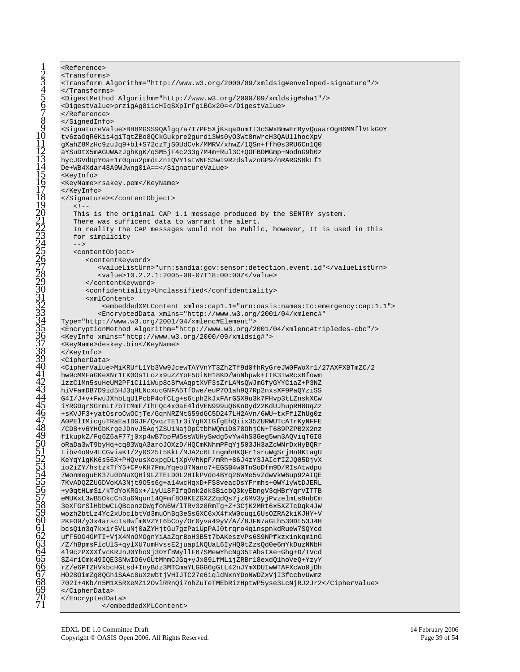<Reference> <Transforms> <Transform Algorithm="http://www.w3.org/2000/09/xmldsig#enveloped-signature"/> </Transforms> <DigestMethod Algorithm="http://www.w3.org/2000/09/xmldsig#shal"/> <DigestValue>przigAg811cHIqSXpIrFg1BGx20=</DigestValue> </Reference> </SignedInfo> <SignatureValue>BH8MGSS9QAlgq7a7I7PF5XjKsqaDumTt3cSWxBmwErByvQuaarOgH6MMflVLkG0Y tv6zaOqR6Kis4giTqtZBo8QCkGukpre2gurdi3Ws0yO3Wt8nWrcH3QAUllhocXpV gXahZ8MzHc9zuJq9+bl+S72czTjS0UdCvk/MMRV/xhwZ/1QSn+ffh0s3RU6Cn1Q0 aYSuDtX5mAGUWAzJqhKqK/qSM5jF4c233q7M4m+Rul3C+QOFBOMGmp+NodnG9b0z hycJGVdUpY0a+1r0quu2pmdLZnIQVY1stWNFS3wI9RzdslwzoGP9/nRARGS0kLf1 De+WB4Xdar48A9WJwng0iA == < /SignatureValue> <KeyInfo> <KeyName>rsakey.pem</KeyName> </KeyInfo> </Signature></content0bject>  $\leq$ !  $-$ This is the original CAP 1.1 message produced by the SENTRY system. There was sufficent data to warrant the alert. In reality the CAP messages would not be Public, however, It is used in this for simplicity  $--&$ <content0bject> <contentKeyword> <valueListUrn>"urn:sandia:gov:sensor:detection.event.id"</valueListUrn> <value>10.2.2.1:2005-08-07T18:00:00Z</value> </contentKeyword> <confidentiality>Unclassified</confidentiality> <xmlContent> <embeddedXMLContent xmlns:cap1.1="urn:oasis:names:tc:emergency:cap:1.1"> <EncryptedData xmlns="http://www.w3.org/2001/04/xmlenc#" Type="http://www.w3.org/2001/04/xmlenc#Element"> <EncryptionMethod Algorithm="http://www.w3.org/2001/04/xmlenc#tripledes-cbc"/> <KeyInfo xmlns="http://www.w3.org/2000/09/xmldsig#"> <KeyName>deskey.bin</KeyName> </KevInfo> <CipherData> <CipherValue>MiKRUfL1Yb3Vw9JcewTAYVnYT3Zh2Tf9d0fhRyGreJW0FWoXr1/27AXFXBTmZC/2 hw9cMMFaGKeXNr1tK0Os1Lozx9uZZYoF5UiNH18KD/WnNbpwk+ttK3TwRcxBfowm lzzClMn5suHeUM2PFiCll1Wup8cSfwAqptXVF3sZrLAMsQWJmGfyGYYCiaZ+P3NZ hiVFamDB7D9id5HJ3qHLNcxucGNFA5TfOwe/euP701ah907Rp2nxsXF9PaOYziSS G4I/J+v+FwuJXhbLqU1PcbP4ofCLg+s6tph2kJxFArGSX9u3k7FHvp3tLZnskXCw iYRGDqrSGrmLt7bTtMmF/IhFQc4x0aE41dVEN999uQ6KnDyd22KdUJhupRH8UqZz +sKVJF3+yatOsroCwOCjTe/GqnNRZNtG59dGC5D247LH2AVn/6WU+txFflZhUg0z A0PElIMicguTRaEaIDGJF/QvqzTElr3iYgHXIGfgEhQiix35ZURWUTcATrKyNFFE /CD8+v6YHGbKrgeJDnvJ5AqjZSU1NajOpCtbhWQm1D878OhjCN+T689PZPB2X2nz f1kupkZ/Fq6Z6aF77j0xp4wB7bpFW5ssWUHySwdq5vYw4hS3Geq5wn3AQViqTGI8 oRaDa3wT9byHq+cq83WqA3aroJOXzD/HQCmKNhmPFqYj503JH3aZcWNrDxHyBQRr Libv4o9v4LCGviaKT/2y0S25t5KkL/MJA2c6LIngmhHKQFr1sruWgSrjHn9KtagU KeYqYlgKK6s56X+PHQvusXoxpgDLjXpVVhNpF/mRh+86J4zY3JAIcfIZJQ05DjvX io2iZY/hstzkTfY5+CPvKH7FmuYqeoU7Nano7+EGSB4w0TnSoDfm9D/RIsAtwdpu 7WonmequEK37u0bNuXOHi9LZTELD0L2HIkPVdo4BYq26WMe5vZdwVkW6up92AIOE 7KvADQZZUGDVoKA3Njt9O5s6g+a14wcHqxD+FS8veacDsYFrmhs+0WYlyWtDJERL +y0qtHLmSi/kTdYoKRGx+/lyUl8FIfqOnk2dk3BicbQ3kyEbngV3qHBrYqrVITTB eMUKxL3wB50kcCn3u6Nqun14QFmf809KEZGXZZqdQs7jz6MV3yjPvzelmLs9nbCm 3eXFGrSlHbbwCLQBconzDWgfoN6W/lTRv3z8RmTg+Z+3CjK2MRt6x5XZTcDqk4JW wozh2btLz4Yc2xUbclbtVd3muOhBq3eSsGXC6xX4fxW0cuqi6UsOZRA2kiKJHY+V 2KF09/y3x4arscIsBwfmNVZYt6bCoy/Or0yva49yV/A//8JFN7aGLh530Dt53J4H bcsQ1n3q7kxir5VLuNj0aZYHjtGu7gzPa1UpPAJ0trqro4qinspnkdRueW7SQYcd ufF50G4GMTI+VjX4MnOMOgnYiAaZqrBoH3B5t7bAKeszVPs6S9NPfkzx1nkqminG /Z/hBpmsFlcUlS+qylXU7umHvssE2juap1NQUaL6IyHQ0tZzsQd0e6mYkDuzNNbH 419czPXXXfvcKRJnJ0Yho9j30YfBWyllF67SMewYhcNg35tAbstXe+Ghg+D/TVcd SZ4r1Cmk49IQE3SNwIO6vGUtMhmCJGq+yJx891fMLijZRBr18exdQ1hoVeQ+YzyY rZ/e6PTZHVkbcHGLsd+InyBdz3MTCmaYLGGG6qGtL42nJYmXDUIwWTAFXcWo0iDh HO28OimZg8QGhiSAAc8uXzwbtjVHIJTC27e6iqldNxnYDoNWDZxVjI3fccbvUwmz 702I+4Kb/n5M1X5RXeMZ12OvlRRnQi7nhZuTeTMEbRizHptWP5yse3LcNjRJ2Jr2</CipherValue> </CipherData> </EncryptedData>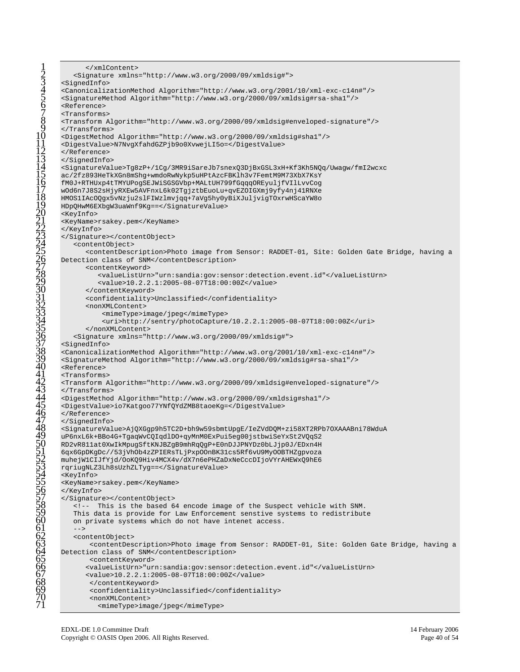```
</xmlContent>
          2 <Signature xmlns="http://www.w3.org/2000/09/xmldsig#">
      3 <SignedInfo> 
      4 <CanonicalizationMethod Algorithm="http://www.w3.org/2001/10/xml-exc-c14n#"/>
       5 <SignatureMethod Algorithm="http://www.w3.org/2000/09/xmldsig#rsa-sha1"/>
      6 <Reference> 
      7 <Transforms> 
      8 <Transform Algorithm="http://www.w3.org/2000/09/xmldsig#enveloped-signature"/>
       9 </Transforms>
      10 <DigestMethod Algorithm="http://www.w3.org/2000/09/xmldsig#sha1"/> 
      11 <DigestValue>N7NvgXfahdGZPjb9o0XvwejLI5o=</DigestValue>
      12 </Reference> 
       13 </SignedInfo> 
      14 <SignatureValue>Tg8zP+/1Cg/3MR9iSareJb7snexQ3DjBxGSL3xH+Kf3Kh5NQq/Uwagw/fmI2wcxc
      ac/2fz893HeTkXGn8mShq+wmdoRwNykp5uHPtAzcFBKlh3v7FemtM9M73XbX7KsY
      16 fM0J+RTHUxp4tTMYUPogSEJWiSGSGVbp+MALtUH799fGqqqOREyuljfVIlLvvCog 
      17 wOd6n7J8S2sHjyRXEw5AVFnxL6k02TgjztbEuoLu+qvEZOIGXmj9yfy4nj41RNXe 
      18 HMOS1IAcOQgx5vNzju2slFIWzlmvjqq+7aVg5hy0yBiXJuljvigTOxrwHScaYW8o 
      19 HDpQHwM6EXbgW3uaWnf9Kg==</SignatureValue> 
      20 <KeyInfo> 
      <KeyName>rsakey.pem</KeyName>
      22 </KeyInfo>
      23 </Signature></contentObject> 
          24 <contentObject>
             25 <contentDescription>Photo image from Sensor: RADDET-01, Site: Golden Gate Bridge, having a
      Detection class of SNM</contentDescription>
             <contentKeyword>
                28 <valueListUrn>"urn:sandia:gov:sensor:detection.event.id"</valueListUrn> 
                29 <value>10.2.2.1:2005-08-07T18:00:00Z</value>
             30 </contentKeyword> 
             31 <confidentiality>Unclassified</confidentiality> 
             <nonXMLContent>
                 33 <mimeType>image/jpeg</mimeType> 
                 34 <uri>http://sentry/photoCapture/10.2.2.1:2005-08-07T18:00:00Z</uri>
             35 </nonXMLContent> 
          36 <Signature xmlns="http://www.w3.org/2000/09/xmldsig#"> 
       37 <SignedInfo> 
      38 <CanonicalizationMethod Algorithm="http://www.w3.org/2001/10/xml-exc-c14n#"/>
       39 <SignatureMethod Algorithm="http://www.w3.org/2000/09/xmldsig#rsa-sha1"/>
       40 <Reference> 
       41 <Transforms> 
      42 <Transform Algorithm="http://www.w3.org/2000/09/xmldsig#enveloped-signature"/>
      43 </Transforms>
       44 <DigestMethod Algorithm="http://www.w3.org/2000/09/xmldsig#sha1"/> 
      45 <DigestValue>io7Katgoo77YNfQYdZMB8taoeKg=</DigestValue>
      46 </Reference> 
      47 </SignedInfo> 
      48 <SignatureValue>AjQXGgp9h5TC2D+bh9w59sbmtUpgE/IeZVdDQM+zi58XT2RPb7OXAAABni78WduA
      uP6nxL6k+BBo4G+TqaqWvCQIqdlDO+qyMnM0ExPui5eq00jstbwiSeYxSt2VQqS2
      50 RD2vR811at0XwIkMpugSftKNJBZgB9mhRqQgP+E0nDJJPNYDz0bLJjp0J/EDxn4H 
      51 6qx6GpDKgDc//53jVhOb4zZPIERsTLjPxpOOnBK31cs5Rf6vU9MyOOBTHZgpvoza 
      52 muhejW1CIJfYjd/OoKQ9Hiv4MCX4v/dX7n6ePHZaDxNeCccDIjoVYrAHEWxQ9hE6 
      53 rqriugNLZ3Lh8sUzhZLTyg==</SignatureValue> 
      54 <KeyInfo> 
      55 <KeyName>rsakey.pem</KeyName> 
      56 </KeyInfo>
      57 </Signature></contentObject> 
          58 <!-- This is the based 64 encode image of the Suspect vehicle with SNM.
         This data is provide for Law Enforcement senstive systems to redistribute
         on private systems which do not have intenet access.
61 --> 
          62 <contentObject> 
              63 <contentDescription>Photo image from Sensor: RADDET-01, Site: Golden Gate Bridge, having a
      Detection class of SNM</contentDescription>
              <contentKeyword>
             66 <valueListUrn>"urn:sandia:gov:sensor:detection.event.id"</valueListUrn> 
             67 <value>10.2.2.1:2005-08-07T18:00:00Z</value>
              68 </contentKeyword> 
              69 <confidentiality>Unclassified</confidentiality>
              <nonXMLContent>
                71 <mimeType>image/jpeg</mimeType>
```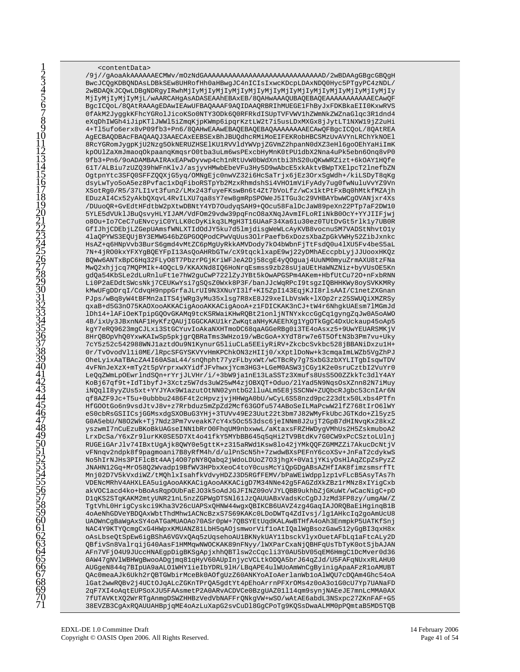<contentData> /9j//gAoaAkAAAAAAECMWv/mOzNdGAAAAAAAAAAAAAAAAAAAAAAAAAAAAD/2wBDAAgGBgcGBQgH BwcJCQqKDBQNDAsLDBkSEw8UHRofHh0aHBwgJC4nICIsIxwcKDcpLDAxNDQ0Hyc5PTqyPC4zNDL/ MjIyMjIyMjIyMjL/wAARCAHgAsADASEAAhEBAxEB/8QAHwAAAQUBAQEBAQEAAAAAAAAAAECAwQF BqcICOoL/8OAtRAAAqEDAwIEAwUFBAOAAAF9AOIDAAORBRIhMUEGE1FhByJxFDKBkaEII0KxwRVS 0fAkM2JyggkKFhcYGRolJicoKSo0NTY3ODk6Q0RFRkdISUpTVFVWVlhZWmNkZWZnaGlqc3Rldnd4 eXqDhIWGh4iJipKTlJWWl5iZmqKjpKWmp6ipqrKztLW2t7i5usLDxMXGx8jJytLTlNXWl9jZ2uHi 4+Tl5ufo6erx8vP09fb3+Pn6/8QAHwEAAwEBAQEBAQEBAQAAAAAAAECAwQFBgcICQoL/8QAtREA AGECBAQDBAcFBAQAAQJ3AAECAxEEBSExBhJBUQdhcRMiMoEIFEKRobHBCSMzUvAVYnLRChYkNOEl 8RcYGRomJygpKjU2Nzg5OkNERUZHSElKU1RVVldYWVpjZGVmZ2hpanN0dXZ3eHl6goOEhYaHiImK kp0UlZaXmJmaoqOkpaanqKmqsrO0tba3uLm6wsPExcbHyMnK0tPU1dbX2Nna4uPk5ebn6Onq8vP0 9fb3+Pn6/9oADAMBAAIRAxEAPwDyvwp4ch1nRtUvW0bWdXntbi3hS20uQKwWRZizt+6kOAY1HQfe 61T/ALBiu7zUZQ39hWFnKlvJ/asjyvHMwbEbeVFu3Hy5D9wAbcE5xkAktvBWpTXElpcT2lnefbZN OqtpnYtc3SFQ0SFFZQQXjG5yq/OMNqEjc0nwVZ32i6HcSaTrjx6jEz3OrxSqWdh+/kiLSDyT8qKq dsyLwTyo5oA5ez8Pvfac1xDqFiboRSTpYb2MzxRhmdshSi4VHO1mViFyAdy7ug0fwNuluVvYZ9Vn XSotRq0/R5/37LI1vt3fun2/LMx243fuyeFKswBn6t4Zt7bVoLfz/wCx1ktPtFxBq0hMtkfMZAjh EDuzAI4Cx52yAkbQXqvL4RvILXU7qa8sY7ew8gmRpSPOWeJ5ITGu3c29VHBAYbwWCgOVANjxr4Xs /DUuoQR+GvEdtHFdtbW2pXtwDBNtY4YD7OudyqSAH9+QOcu58FalDcJaW89peXn22PTp7aF2DW10 5YLE5dVUklJBuQsvyHLYIJAM/VdFOm29vdw39pqFncO8aXNqJAvmIFLoRIiNkB0OcY+YYJIIFjwj o80u+Io7CeC7uENvcyiC0YLLK0cDyKikq3LMgH3T16UAaF34Xa61u30ez0TUtDvGt5rlk1y7UB0R GfIJhjCDEbjLZGepUAmsfWNLXTIdOdJY5ku7d5lmjdisgWeWLcAyKVB8vocnuSM7VADStNhvtOly 4laQPYWS3EQUjBY3EMWG46bZGPGOQPodCPwVqUus3OlrPaefb6xDozsXbaZpGkVWHy52ZibJxnkc HsAZ+q6HNpVvb3BurS6gmd4vMtZC6pMgUyRkkAMVDody7kO4bWbnFjTtFsdQ0u41XU5Fv4beS5aL 7N+4jRO0kxYFXYgBQEYFpI13AsQoAHRbGTw/cX9tqcklxapE9wj22yDMhAEccpbLyjJJUooxHKQz BQWw6ANTxBpC6Hq32FLyO8T7PbzrPGjKriWFJeA2Dj58cqE4yQOquaj4UuNM0myuZrmAXU8tzFNa MwQ2xhjjcq7MQPMIk+4OQcL9/KKAXNd8IQ6HoNrqEsmss9zb28sUjaUEtHaWNZNiz+byVUsOE5Kn gdQa54KbSLe2dLuRnluFt1e7hW2guCwP7221ZyJYBt5kOwAPGSPm4AKem+HbfUtCu720+nFxbRNN Li0P2aEDdtSWcsNkj7CEUKwYsi7qSQsZ0Wxk8P3F/banJJcWqRPcI9tsqzIQBHHKWy8oySVKKMRy kMwUFgDDrqI/CdvqH9nppGrfaJLrUI9N3XNuYI3lf+KI5ZpI143EqjKJI8rlsAAI/ClnetZXGnan PJps/wBq8yW4tBFMn2aITS4jWRg3yMu35xlsg7R8xE8J29xeILbVsWk+lXOp2rz25SWUQiXMZRSy qxaB+d5G3nO75KAOXooAKKACigAooAKKACigAooA+z1FDICKAK3nCJ+tW4r6NhgkUAEsm7lMGmJd 1Dh14+1AFiOeKTpipGQOvGKAMq9tcKSRWaiKHwRQBt21on1jNTNYxkccGgCq1gyngZqJw0A5oAWO 4B/ixUy3JBxnNAF1HyKfzQAUjIGGCKAKU1krZwKqtaNHyKAEEhXg1YgOTkGgC4DxUckaup45oAp5 kgY7eRQ9623mgCJLxi3StGCYuvIoAkaNXHTmoDC68qaAGGeRBg0i3TE4oAsxz5+9UwYEUARSMKjV 8HrQBOpVhQ0YxwKAIwSp5pkjgrQBRaTms3WHzo19/wBcGoA+XYdT8rw7e6T5OftN3b3Pm7vu+Uky 7cY5z52c542988WNJlaztdOu9N1KynurG5liuCLa5EEiyRiRV+ZkcbcSvkbc528jBBANiDxzu1H+ 0r/TvOvodVlli0ME/lRpcSFGYSKVYvHmKPChkON3zHIIj0/xXptlDoNw+k3cmqaImLWZb5VgZhPJ OheLyixAaTBAcZA4I60ASaL44/snQhpht77yzFLbyxWt/wCTBcRy7g7SxbG3zbXYLITgbIsqwTDV 4vFNnJeXzX+mTy2t5pVrprxwXYidfJFvhwxjYcm3HG3+LGeM0ASW3jCGy1K2e0sruCztbI2VuYr0 LeQqZWmLpOEwrlndSQn+rYrjJLVHr/i/+3bW9ja1nE13LaSSTz3Xmufs8UsS5O0ZZkkTc3dlY4AY KoBj67qf9t+IdTlbyfJ+3Xctz5W7ds3uW25wM4zj0BXQT+Oduo/2lYad5N9Nqs0sXZnn82N7iMuy iNQqlI8yyZUs5xt+YYJYAx9WlazutOtNN02yntbG2lluALm5E8jSSCNW+ZUQbcRJgbc53cnIAr6N qf8AZF9Jc+T5u+0ubbbu2486F4t2cHpvzjvjHHWgA0bU/wCyL6S58nzd9pc223dtx50Lxbs4PTfn HfGOOtGo6n9vsdJtvJ8v+z7Rrbduz5mZpZd2Mcf63GOfu574ABoSeILMaPcwW2lfZ768tIrO6lWY eS0cbRsGSIICsjGGMsxdgSXOBuG3YHj+3TUVv49E23Uut22t3bm7J82WMyFkUbcJGTKdo+Zl5yz5 G0A5ebU/N8O2Wk+Tj7Ndz3Pm7vveakK7cY4x5Oc553dsc6jeINNm8J2ujT2GpB7dHINvqKx28kxZ yszwmI7nCuEzuBKoBkUAGseINN1bRr00FhqUM9nbxwwL/aKtaxsFRZHWDygVMhUs2H5ZskmuboA2 LrxDcSa/Y6xZr9lurKK0SE5D7Xt4o41fkY5MYbBB645q5qHi2TV9BtdKv7G0CW9xPcCSztoLUlnj RUGEiGArJlv74IBxtUgAjk8QWY0e5gttK+z315aRWd1Ksw8lo42jYMkQQFZGMMZZi7AkucDcNtjV vFNnqv2ndpk8f9pagmoani7B8yRfM4h/d/ulPnScN5h+7zwdwBXsPEFnY6coXSv+JnFaT2cdykwS No5hIrNJHs3PIFlcBt4AAj4O07pNY8Qabq2jWdoLDUoZ7O3jhgX+0Va1jYKiyOsHlAqZCpZsPyzZ JNAHN12Gq+MrO58Q2Wvadp19BfWV3HPbxXeoC4toY0cusMcYiQpGDgABsAZHfIAK8fimzsmsrfTt Mnj02D7V5kVxdiWZ/tMOhlxIsahfkVdvyHDZJ3D5RGfFEMV/bPaWEiWdpplzp1vFLcB5AsyTAs7h VDENCMRhV4AHXLEA5uigAooAKKACigAooAKKACigD7M34NNe42g5FAGZdXkZBz1rMNz8xIYigCxb akVOClacd4ko+bBoAsRqpOUbFaEJO3k5oAdJGJFINZ09oVJYLQBB9ukhbZjGKuWt/wCacNigC+pD TgtVhL0HrigCyskci9Kha3V26cUAPSxQHNW44wgxQBIKCB6UAVZ4zg4GaqIAJORQBaEiHginqBlB 4oAeNhGDVeYBDQAxWbtThdMhw1ACNcBzxS7S69KAKc0LDoDWTq4ZdIvsj/lg1AHkcIq2goAmUcU8 UAOWnCgBaWgAxSY4oATGaMUAOAo70ASr0pW+7QBSYEtUqdKALAwBTHfA4oAh3EnmpkP5UATKfSnj NAC4Y9KTYQcmgCxG4HWpxKMUANZ81LbH5qAOjsmworVif1oAtIQalWgBsozGaw512yGgBI3qxH8x oAsLbseQtSpEw6igBShA6VGVxQAq5zUqsehoAU1BKNykUAY11bsckVlyxOuetAFbLq1aFtcALy2D QBfivSn8ValrqijG40AasF1HMMqwNWOCKAK89nFNyy/lWXParCxaNjQBHFqUsTbTyK0otSjbAJAN AFn7VFjO4U9JUccHNAEgpDigBKSgApjxhhQBTlsw2cCqcli3Y0AU5bV05qEM6HmgClDcMver0d36 0AW47gNVlWBHWgBwooADgjmq81qHyV60AUpInjycVCLtkODQA5brJ64qZJd/U5FAFqNUxxRLAHU0 AUGgeN844g7BIpUA9aALO1WHY1ieIbYDRL91H/LBgAPE4ulWUoAmWnCgByinigApaAFzR1oAMUBT QAc0meaAJk6Ukh2rQBTGWbirMceBk0AOfgUzZ60ANKYoAIoAerlanWbloAlWQU7cDQAm4Ghc54oA lGat2wwRQBv2j4UCtOJqALcZGKnTPrQA5gdtYt4pEhoArrnPFXrOMs4z0oA3o1G0cU7Yp7UANaFD 2qF7XI4oAqtEUPSoXJU5FAAsmetP2A0ARvACDVCe0BzgUAZ01114qm9synjNAEeJE7mnLcMMA0AX 7fUTAVKtXQ2WrRTgAnmgDSWZHHBzVedVbNAFFrQNkgVW+wSO/wAtAE6abdL3NSxpc27ZKnFAF+G5 38EVZB3CgAxRQAUUAHBpjqME4oAzLuXapG2svCuD18GgCPoTg9KQSsDwaALMM0pPQmtaB5MD5TQB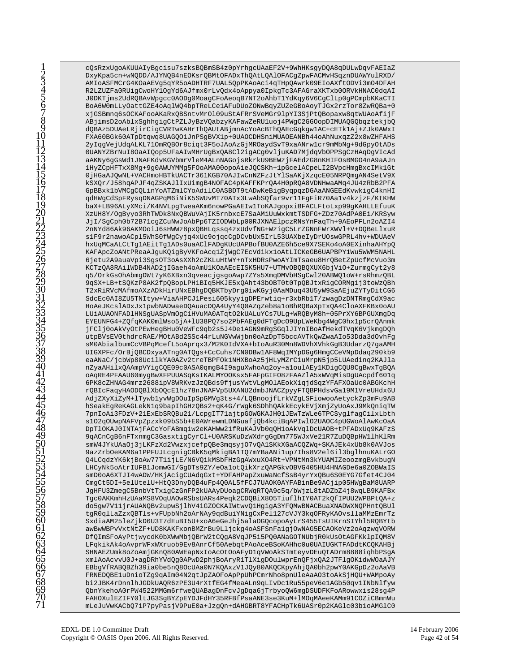cQsRzxUqoAKUUAIyBqcisu7szksBQBmSB4z0pYrhqcUAaEF2V+9WhHKsqyDQA8qDULwDqvFAEIaZ DxyKpa5cn+wNQDD/AJYNQB4nEOKsrQBMtOFADxThQAtLQAlOFACgZpwFACMvHSqznDUAWYulRXD/ AMIOASFMCrG4KOaAEVq5qYR5oADHTRF7UAL5QpPKAoAci4qTHpQAwrk09EIoAXftODVi3mO4DFAH R2LZUZFa0RUigCwoHYlOgYd6AJfmx0rLvQdx4oAppya0IpkgTc3AFAGraXKTxb0ORVkHNAC0dqAI J0DKTjms2UdRQBAvWpgcc0AODg0MoagCFoAeoqB7NT2oAhbT1YdKqy6V6CgClLp0gPCmpbKKaCTI BoA6W0mLLyOattGZE4oAqlWQ4bpTReLCe1AFuDUoZONwBqyZUZeGBoAoyTJGx2rzTor8ZwRQBa+0 xjGSBmnq6sOCKAFooAKaRxQBSntvMrOl09uStAFRrSVeMGr9lpYI3SjPtQBopaxw8qtWUAoAfijF ABjimsD2oAblxSghhgigCtPZLJyBzVQabzyKAFawZeRUluoj4PWgC2GGOopDIMUAQGQbqztekjbQ dQBAz5DUAeLRjirCigCVRTwKAHrThQAUtABjmnAcYoAcBThQAEcGqkgw1AC+cETk1Aj+ZJk0AWxI FXA60BGk60ATpDtqwq8UAGQ01JnPSgBVX1p+0UAOCDHSniMUAOEANBh44oAhNuxqzZ2x8wZHFAHS 2yIqgVejUdqALKL710mRQBOr8ciqt3F5oJAoAzGjMROaydSvT9xaANrw1cr9mMbNg+9dGpyOtADs 0UANYZBrNuI8OaAIQop5UFaAIwMHrUqBxQA8Cl2iqACq0vljuKAD7MjdqVbOPPSqCzHAqDqVIcAd aAKNy6gGsWdlJNAFKdvKGVbmrVleM4ALnNAGojsRkrkU9BEWzjFAEdzG8nKHIFOsBMGO4nA9aAJn 1HyZCpHFTxX8Mg+9g0AWUYMMg5FOoAMA00opoAieJQCSKh+1pGcelACpeLI2BVpcHmgBxcIMk1Gt 0jHGaAJQwNL+VACHmoHBTkUACTr361KGB70AJIwCnNZFzJtYlSaAKjXzqcE05NRPQmqAN4SetV9X kSXQr/J58hqAPJF4qZSKAJlIxUimgB4NOFAC4pKAFFKPrQA4H0pRQA8VDNHwaAMq4JU4zRbB2PFA GpBBxk1bVMCqCQLinYoATZmlCYoAdilC0ASBDT9tADwKeBiqByqpqzDGAaANGEEdKvwkiqC4knHI qdHWgCdSpFRysqDNAGPqM6iNiK5SWUvMT70ATx3LwAbSQfar9vr11FgFiR70Aa1v4kzjzF/KtKHW baX+LB96ALyXMci/K4NVLpgTweaAKm6nowPGaAEIw1ToKAJgopxiBFACLFtoLxp99gKAHLLEfuuK XzUH8Y/OgByyo3RhTWDk8NxQBWuVAjIK5rnbxcE7SaAMiUuWxkmtTSDFG+ZDz70AdPA0Ei/KRSyw JjI/SgCph0b72B71cgZCuNwJoAbPp6TZIODWbLp00RJXNAElpczRNsYnFaqTh+9AEoPFLn2oAZI4 2nNYd86Ak96AKMOoiJ6sHWWz8pxQBHLqssq4zxUdvfNG+WzigC5LrZGNnFWrXWVl+V+DQBeLlxuR s1F9r2nawoACp15WhS0fWgCyjq4xUc9ojqcCgDCvbUx5IrL53UAXbeIyDrUOswGPRL4hv+WDUAeV hxUqMCaALCtTg1AEitTg1ADs0uaAClFADgKUcUAPBofBU0AZE6h5ce9X7SEKo4oA0EXinhaAHYpO KAFApcZoANtPReaAJguKQigByVKFoAcq1ZjWgC7EcVdikx1oAtLICKeGB6UAPBPY1Wu5WWM5NAHL 6jetu2A9auaVpi3SqsOT3oAsXXh2cZKLuHtWY+nTxHDRsPwoAYImTsaeu8HrQBetZpUcfMcVuo3m KCTzQA8RAilWDB4NAD2jIGaeh4oAmU1KOaAEcEISK5HU7+UTMvOBQBQXUX6bjVi0+ZurmgCyt2y8 q5/OrkGsOhAbmgDWt7yK6XBxn3qveacjgsgoAwp7ZYs5XmqDMVbHSgCwl20ABWQ1oW+rsRhmzQBL 9qSX+LB+tSQKzP8AK2fpQBopLPH1BIq5HKJE5xQAht43bOBT0t0TpQBJtxRiqCORMq1j3toWzQBh T2xRiRVcMAfmoAXzADkHirUNxEBhgDQBKTbyDrg0iwKGyj0AaMDuq43U5yW9SaAEjuZYTyDitCG6 SdcEc0AI8ZU5TNItyw+ViaAHPCJ1Pesi605kyyigDPErwtiq+r3xbRb1T/zwagDzDNTRmgCdX9ac HoAeJKcslADxJxlpwbNADwaeDQAuacDQA4UyY4Q0AZqZeb8a1oBhRQBaXpTxQA4CloAXFKBx0oAU LUiAUAONFADlHNSgUASpVmOgClHVuMA0ATqtO2kUALuYCs7ULg+WRQByM8h+05PrXY6BPGUXmgDq EYEUNFG4+ZQfqKAK0mlWso5jA+lU38PQ7so2PbFAEg0dFTgDcO9UpLWeKbg4WgC0hxlp5crQAnmk jFClj0oAkVyOtPEwHegBHu0VeWFc9qb2s5J4De1AGN9mRgSGqlJIYnIBoAfHekdTVqK6VjkmgDQh utpBVsEV0thdrcRAE/MOtABd2SSc44rLuNGVwWjbn0oAzDpT5bccAVTkQwZwaAIo53Dda3dOvhFg sM0AbialbumCcVBPqMcefL5oAprqx3/M2K0IdVXA+bIoAuR30Mn8WDVhXVhkGgB3UdarzQ7gaAMH UIGXPFc/OrBjQBCDxyaATnq0ATQqs+CcCuhs7CN0DBw1AF8WqIMYpDGq6HmqCCeVNpDdaq290kb9 eaANaC/jcbWp88UcilkYA0AZv2treTBPFOk1NHXBoAz5jHLyMZrC1uMrpN5jp5LUAedinq2KAJla nZyaAHilxQAAmpVYiqCQE09c0ASA0qmqB4I9aquXwhoAq2oy+aloulAEylKDiqCQU8CqBwxTqBQA oAqRE4PFAAU60mygBwXFPUUASqKsIKALMYOOKsx5FAFpGIFO8zFAAZlA5xWVqMisDgUAcpdf601q 6PK8cZHNAG4mrz2688ipV8WRKvzJzQBds9fjusYWtVLgMOlAEokXlqjdSqzYFAFXOaUc0ABGKchH rQBIcFaqyHAODQBlXbOQcElhz78nJNAFVp5UXANU2dmbJNACZpyyFTQBPHdsvGa19M1VreUHdx6U AdjZXyXiZyM+lTywblyvWgDOuIpSpGMVg3ts+4/LQBnoojfLrkVZgLSFiowooAetyckZp3mFu9AB hSeakEgReKAGLekNlq9bapIhGHzQBs2+qK4G/rWgk6SDhhQAkkEcykEVjXmjZyUoAxJ9MkQniqTW 7pnIoAi3FDzV+21ExEbSRQBu21/LcpgIT71ajtpGOWGKAJH01JEwTzWLe6TPCSyglfagCilxLbth s102q0UwpNAFVpZpzxk09bS5b+E0AWrewmLDNGuafjQb4kciBqAPIwl02UAOC4pUGWoAlAwKcOaA DpTlOKAJ0INTAjFACcYoFABmqlw2eKAHWw21fRuKAJVb0qQHloAkVqlDcUAOB+tPFADxUq9KAFzS 9qACnCqB6nFTxnmqC3GasxtiqCyrCl+U0ARSKuDzWXdrqGqDm775WJxVe21R7ZuDQBpHWllhKlRm smW4JYkUAaOj3jLKFzXd2VwzxjcefpQBe3mqsyj07vQA1SKkXGaACQZWq+SKAJEk4xUb8k0AVJos 9azZrbOeKAM6a1PPFUJLcgnigCBkK5qMkigBA1TQ7mYBaANi1up7Ihs8V2e16il3bglhnuKALrGO Q4LCqdzYK6kjBoAw77TlijLE/N6VQikMSbFHzGqAWxuXO4Rt+VPNtMn3kYUAMIZeoozmqBvkbuqN LHCyNk5oAtrIUFB1JomwGI/GgDTs9ZY/eOalotQikXrzQAPGkvOBVG405HU4HNAGDe6a0ZOBWaIS smD0oA6XTJI4wADW/HKjAciqCUAdqGxt+YDFAHPapZxuWaNcfSsB4yrYxOBu6S0EYG7Gfet4CJ04 CmgCt5DI+5elUtelU+HtQ3DnyDQB4uFp4Q0AL5fFCJ7UAOK0AYFABinBe9ACjip05HWgBaM8UARP JgHFU3ZmegC5BnbVtTxigCzGnFP2kUAAyDUoagCRWqRTQA9c5q/bWjzL8tADZbZ4j8wqLB9KAFBx Tgc0AKKmhHzUAaMS8VOqUAOwRSbsUARs4Peqk2CDQBiX8O5TiuflhIY0AT2kQfIPUU2WPBPtQA+z do5gw7V11jrAUANQBv2upwSjlhV4iGZOCKAIWtwvQlHgigA3YFQMwBNACBuaXNADWXNQPHntQBUl tgR0qlLaZzxQBTls+vFUpbNh2oArNAy9qdBuiYNigCxPel127cVJY3kqOFRyKAOvsllaMMzEmrTz SxdiaAM25leZjkD6U3T7dEuBI5U+xoA6eGeJhj5alaOGQcopoAyLrS455TsUIKrnSIYhl5RQBYtb awBwWBPvVxtNtZF+UD8KAKFxonBMZrBu9Lljckg4oASFSnFa1gj0wNAG5ECAOKeVz2oAqzwqVORW DfQImSFoAyPtjwycdK0bXWwMbjQBrW2tCQgA8VqJP5i5PQ0ANaGOTNUbjR0kUsOtAGFKklpIQM8V LFqkikAk4oAvprWFxWXruob9Ev8AnrCf50AebqtPAoAceBSoKAHhc0u0UAIUGKTFADdtKCQKAHBj SHNAEZUmk8oZoAmjGKnQ80AWEapNxIoAcOtOoAFyD1qVWoAkSTmteyvDEuQtADrm8888iqhbPSgA xmlAoAcvvU0J+agDRhYVdQg0APwD2phjBoAryR1TlXigDOulwprEnQFjxQA2JTFlgOKidwWOaAJY EBbqVfRABQBZh39ia0be5nQ8OcUAa0N7KQAxzV1JQy80AKQCKpyAhjQA0bh2pwY0AKGpDz2oAaVB FRNEDQBE1uDnioTZg9qAIm04N2qtJpZAOFoApPpUhPCmrNho8pnUleAaAO3toAkSjHQU+WAMpoAy bi2JBK4rDnnlhJGDkUAQR6zPE3U4rXtfEG4fMeaALn9qLIvDclRu55peV6e1AGb50qv1INbNlfyw QbnYkehoA0rPW4522MMGm6rfweQUABagDnFcvJgDqa6jTrbyoQW6mgDSUDFKFoARowwxis28sg4P FAHOXulEZIFY0ltJG3SgBYZpEYDJFdHY35RFBfPsaANE3se3KuM+lMOqMAeeKAMm91COZiCBmnWu mLeJuVwKACbQ7iP7pyPasjV9PuE0a+JzgQn+dAHGBRT8YFACHpTk6UASr0p2KAGlc03b1oAMGlC0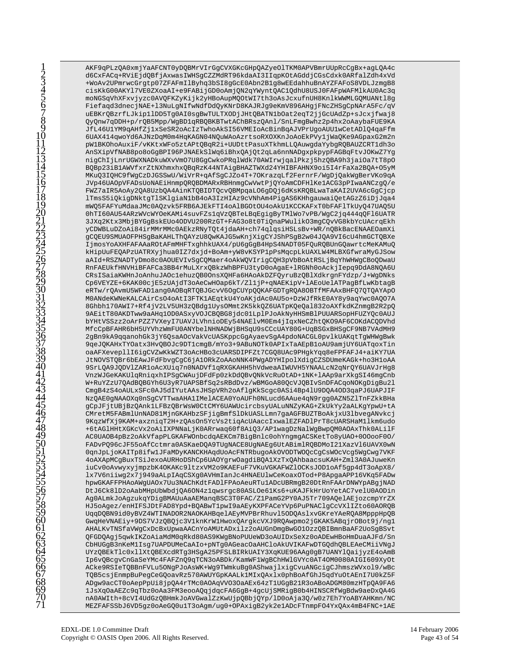AKF9qPLzQA0xmjYaAFCNT0yDQBMrVIrGqCVXGKcGHpQAZyeOlTKM0APVBmrUUpRcCqBx+aqLQA4c d6CxFACq+RViEjdQBfjAxwasIWHSgCZZMdRT96kdaAI3IIqpKOtAGddjCGsCdxk0ARfalZdh4xVd +WoAv2UPmrwcGrgtp07ZFAFmIlByhg3bSI8gGcE0Abn2B1q8wEEdahhuBnAYZFAFoS8VDLJzmgB8 cisKkG00AKY17VE0ZXoaAI+e9FABijGD0oAmjQN2qYWyntQAC1QdhU8USJ0FAFpWAFMlkAU0Ac3q moNGSqVhXFxvjyzc0AVQFKZyKijk2yHBoAupMQOtWI7th3oAsJcxufnUH8KnlkWWMLGQMUANtl8g Fiefaqd3dnecjNAE+13NuLgNIfwNdfDdQyKNrD8KAJRJg9eKmV896AHgjFNcZHSgCpNArA5Fc/qV uEBKrQBzrfLJkip1lDD5Tg0AI0sgBwTULTXODjJHtQBATN1bOat2eqT2jjGcUAdZp+sJcxjfwaj8 QyQnw7qDDH+p/rQB5Mpp/WgBD1qRBQBKBTwtAChBRszQAnl/SnLFmgBwhz2p4hx2oAaybaFUE9KA JfL46UlYM9qAHfZjlxSeSR2oAcIzTwhoAkSI56VMEIoAcBinBqAJVPrUgoAUUlwCetADlQ4qaFfm 6UAX414qwoYd6AJNzDqM0m4HqKAGN04NQuWAoAzrtsoRXOXKnJoAoEkPVy1jWaQKe9AGpaxG2m2n pW1BKOhoAuxiF/vKKtxWFo5ztAPtQBqR2i+UUDttPasuXTkhmLLQAuwgdaYybgRQBAUZCRT1dh3o AnSXipVfNAB8po8oGgBPI96PJNAEkSlWq6iBhxQAjQt2qLa6nnNADqxpkpypFAGBqFtvJOKwZ7Yq nigChIjLnrUGWXNADkuWXvVmO7U8GgCwkoPRqlWdk70AWIrwjqalPkzj5hzQBA9h3jaiOa7tT8pO BQBp23iBlAWVfxrZtNXhmxhxQBqRzK44NTAigBHAZTWXd24YHIBFAHNX9oi5I4rFaXa2BQA+05yM MKuQ3IQHC9fWqCzDJGSSwU/WiVrR+qAfSqCJZo4T+7OKrazqLf2FernrF/WqDjQakWqBerVKo9qA JVp46UAOpVFADsUoNAEiHnmpQRQBDMARxRBHnmgCwVwtPjQYoAmCDFHlKelACG3pPIwaANCzgQ/e FWZ7aIR5AoAy2QA8UzbQA4AinKTQBIDTQcvQBMpqaLO6qDQj6dKsKRQBLwaTaKAI2UVA6cGqCjcp lTmsS5iQkigDNktgTlSKlgiaNlbB4oA3IzHIAz9cVNhAm4PigAS6KHhgauwaiQetAGzZ6iDjJqa4 mWQ5FAFYuMdaaJMc0AQzvk5FRB6AJEkFTI4oAlBGOtOU4oAkU1KCCKAFxT0bFAF1TkUyQ47UAQ5U 0hTI60AU54ARzWVcWYOeKAMi4suvFZslqVzQBTeLBqEgigByTMlWo7vPB/WgC2jq444qQFl6UATR 3JXq2Ktx3MbjBYGgBskEUo4ODVU200RzGT+FAG3o8t0TiQnaPWulikO3mgCQvVG8kbYcUAcrqEkh yCDWBLuDZoAi84irMMrMMc0AEkzRNyTQt4jdaAH+ch74qlqsiHSLsBv+WR/nQBkBacENAAEOamXi gCQEU9SMUAOFPHSgBaKAHLThQAYzU8QwKAJG5wKnjXigCYJShPSgB2w04JQA9VI6cU4hmGCTQBXe IjmosYoAXHFAFAAaROtAFmMHFTxghhkUAX4/pU6gGgB4HpS4NADT05FQuRQBUnGQawrtcMeKAMuQ kHipUuFEQAPzUATRXyjhua0IZ7dxjd+BoAm+yW8vKSYP1pPsMqcpLkUAXLW4MLBXGfwraMyGJSow aAId+RSZNADTyDmo8c0AOUEVIvSqCQMaer4oAkWQVIriqCQH3pVbBoAtRSLjBqYhWHWqCBoQDwaU RnFAEUkfHNVHiBFAFCa3BB4rMuLXrxQBkzWhBPFU3tyD0oAgaE+lRGNh0oAckjIepq9DdA8NQA6U CRsISaiaKWHnJoAnhuJAOclehuzQB0OnsXQHFa6HAoAkDZFQyruBzQBlXdkrgnFYdzp/J+WgDNks Cp6VEYZE+6KAK00cjE5zUAjdT3oAeCwHOap6kT/ZlljP+qNAEKipV+lAEoUelATPaqBfLwKbtaqB eRTw/rOAvmU5WFADlang0AOBgRTOBJGcvV6OgCUYpOOKAFGDTgROA8OBTfMFAAxBHFO7OTOAYApO M0ANdeKWNeKALCAirCsO4oAtI3FTK1AEqtkU4YoAKjdAc0AU5o+DzWJfRkE0AY8y9aqYwc0AOO7A 8Ghbh170AWI7+Rf4jV2LV5UH3zQBdg1UysOMmt2K5kkQZ6UATpKQeQa1832oAXfkdKZnmgB2R2pQ 9AEitT80AKDTww9aAHq1OD0ASxyVOJCBQBG8jdc01LplPJoAkNyHHSmBlPUUARSopHFUZYQc0AUJ bYHtVSSzz2oArPZZ7VXeyI7UAVJLVhnioDEy54NAElvM0Em4jIqxNeCZhtQKO9AF6COKdACQDVhd MfcCpBFAHR6bH5UYVhzWmFU0ANYbelNHNADWjBHSqU9sCCcUAY80G+UqBSGxBHSgCF9NB7VAdMH9 2gBn9kA9qqanohGk3jY6QsaAOcVakVcUASKppcGgAyaevSgA4pdoNACGL0pvlkUAKqtTgWHWgBwk 9qeJQKAHxTYOatx3HvQBOJc9DT1cmgB/mYo3+9ABuNOTk0APIxTaAEpB1oAU9amjUY6UATqoxTin oaAFXevepllI6iqCVZwKkWZT3oAcHBo3cUARSDIPFZt7CGQ8UAc9PHqkYqq8eFPFAFJ4+aiKY7UA JtNOVSTQBr6bEAwJFdFbvgCgC6jA10RkZoAAoNNK4PWgADYHIpolXdigCZSDUmeKAGk+ho3H1oAA 9SrLQA9JQDVlZARloAcXUiq7n0NADVflqRXGKAHH5hVdweaAIWUVH5YNAALcN2qNrQY6UAVJrHq8 VnzWJGeKAKUlqRniqxhIPSgCWAujDFdFp0zkDdQBvQNkVcRuOtAD+1NK+lAAp9arXkgSI46mgCnb W+RuYZzU7QAdBQBGYh6U3yR7UAPSBfSq2sRBdDvz/wBMGoA80QcVJQBIvSnDFACqoNOKgDigBu21 CmqB4zS4oAULxSFc0AJ5dIYutAAsJHSpVRh2oAf1gKkScgc0ASi4Bp41U9DQA4OD3qaPJ6UAPJIF NzQAE0gNAAOXq0nSgCVTTwaAHAlIMelACEA0YoAUFh0NLucd6AAue4qN9rgg0AZN5ZlTnFZkkBHa gCpJFjtUBjBzQAnk1LFBzQBrWsW0CtCMY6UAWUcircbsyUALuNNZyKAG+ZkUkYy2aALKgYpwU+tA CMretM5FABmlUnNAD81MjnGKAHbzSFjigBmfSlDkUASLLmn7gaAGFBUZTBoAkjxU3lbvegANvkcj 9KqzWfXj9KAM+axzniqT2H+zQAsOn5YcVs2tiqAcUAaccIxwalEZFADlPrT8cUARSHaM1lkm6udo +6tAGlHHtXGKcVx2oAiIXPNNaLjK0ARrwaq60f8AiQ3/AP1wagDzNalWgBwpQM0AOAxThk0ALilF AC0UAOB4pBz2oAkVfapPLGKAFWOnbcdqAEKCm7BiqBnlc0ohYnqmqACSKetTo8yUAO+0OOooF0O/ FADvPQ96cJF55oAfCctmra0ASKaeDQA9TUgNACE8UgNAEg6UtABimlRQBDMoI21XazVl6UAVX0wN OqnJpLjoKAITp8ifwlJFaMDyKANCKHAqdUoAcFNTRbugoAkOVODTWOQcCgCsWOcVcg5WgCwg7VKF 4oAXApMCgBuxTSiJexoAURHoDShCp6UAOYgrwOagdiBQA1XzTxQAhbaacsuKAH+Zml3A0AJuweKn iuCv0oAvwyxyjmpzbK4OKAKc9ltzxVM2o9KAEFuF7VKuVGKAFWZlOCKsJODloAf5gp4dT3oApX8/ lx7V6niiwq2x7j949aALpIAqCSXq0AVHmIanJc4HNAEUlwCeKoaxOTod+P8ApqaAPP16VKq5FADw hpwGKAFFPHAoAWgUAOx7Uu3NAChKdtFADlFPAoAeuRTu1ADcUBRmgB20DtRnFAArDNWYpABgjNAD DtJ6Ck8lD2oAabMHpUbWbdjQA6ON4z1qwsrgc80ASLOe61Ks6+uKAJFkHrUoYetAC7velU0AODin Ag0ALmkJoAgzukqYDigBMAUuAaAEManqBSC3T0FAC/Z1PamG2PY0AJ5Tr709AQelAEjozcmpYrZX HJ5oAgez/enHIFSJDtFAD8Ypd+BQABwT1pwI9aAEyKXPFACeYVp6PuPNAClgCcVXlIZto60AORQB UqqDQBN9id0yBVZ4WTINADOR2NAOKAHBqelAEyMVPBrRhuvl5ODQAslxvGKreYAeRQA8MpppHpQB GwqHeVNAEiy+9DS7VJzQBQjc3V1knKrWlHwoxQArgkcVXJ9RQAwpmo2jGKAK5ABqjrOBot9j/ng1 AHALKvTNSfaVWqCxDcBxUpwaAACnYoAMUtADxilz2oAUGnDmqBwGO1OzzQBIBmnBaAF2UoSqBSvt QFGDQAgj5qwkIKZoAiaMdM0qRkd80AS9KWgBNoPUUeWD3oAUIDxSeXz0oADEwHBoHmDuaAJFd/Sn CbHUGqB3nKeM1Isq7UAPDUMeCaAIo+pNTq0AGeacOaAHCloAkUVIKAFwDTGQdhQBLEAeCMiiVNqJ UYzQBEkTlc0xllXtQBEXcdRTg3HSgA25PFSLBIRkUAIY3XqKUE96AAg0gB7UANYlQaijyzE4oAmB Ip6vQBcgvCnGaSeYMc4FAFZnQ9qTCN3oABDk/KamWF1WgBChHWlGVYc0AT4OM0080AIGI609XyOt ACke9RSIeTQBBnFVLu5ONgPJoAsWK+Wg9TWmkuBg0AShwajlxigCvuANGcigCJhmszWVxol9/wBc TQB5csjEnmpBuPegCeGQoavRz570AWUYGpKAALk1MIxQAxlx0phBoAfGhJ5qdYuOtAEnI7U0kZ5F ADgw9acCT0oAepPpUi8jpQA4rTMc0AOAqVVO3OaAEx64zT1UGgB21R3oABoADGM80mzHTpQA9FA6 1JsXqOaAEZc9qTbz0oAa3FM3eooAQqjdqcFA6GgB+4gcUjSMRigB0b4HINSCRfWgBdw9aeDxQA4G nA0AWIth+8cVI4UdGzQBHmkJoAVGwalZzKwUjpQBbjQYp/lD0oAja3Q/w0z7Eh7YoABYAHKmn/NC MEZFAFSSbJ6VD5gz0oAeGQ0u1T3oAgm/ug0+OPAxigB2yk2e1ADcFTnmpFO4YxQAx4mB4FNC+1AE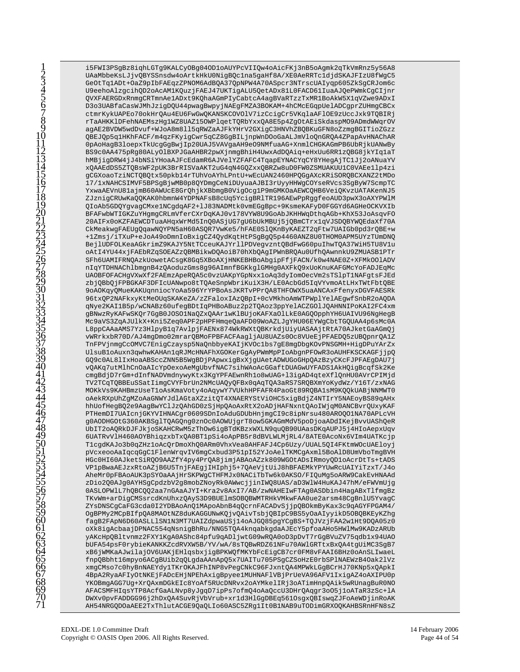i5FWI3PSgBz8ighLGTg9KALCyOBg04OD1oAUYPcVIIQw4oAicFKj3nB5oAgmk2qTkVmRnz5y56A8 UAaMbbeKsLJjvQBYSSnsdw4oArtkHkU0NigBQc1na5gaHf8A/XE0AeRRTc1djdSKAJFIzU8fWgC5 GeOtTq1ADt+OaZ9pIbFAEqzZPNOM6AdBQA37QpNPW4A70ASpcr3NTrscUAIyqp605ZkSqCRJom6c U9eehoAlzgcihQD2oAcAM1KQuzjFAEJ47UKTigALU5QetADx81L0FACD61IuaAJQePWmkCgCIjnr QVXFAERGDxRnmgCRTmnAelADxt9KQhaAGmPIyCabtcA4agBVaRTzzTxMR1BoAkW5X1qVZwe9ADxI D3o3UABfaCasWJMhJzigDQU44pwagBwpyjNAEgFMZA3BOKAM+4hCMcEGqpUelADCgprZUHmgCBCx ctmrKykUAPEo70okHrOAu4EU6FwGwOKANSKCOVOlV7izCciqCr5VKqlaAFlOE9zUccJxk9TOBIRj rTaAHKKlDFehNAEMszHg1WZ8UAZ15OWPlqetTQRbYxxQA8E5p4ZgOtAEiSkdaspMO9ADmdWWqrOV agAE2BVDW5wdDvuf+WJoA8m8ll5qRWZaAJFkYHrV2GXigC3HNVhZBQBKuGFN8oZzmgBGITioZGzz QBEJQp5q1HKhFACF/m4qzFKyigCwr5qCZ8GgBILjnpWnDOoGaALJmVloQnGRQA4ZPapAvHNAChAR 0pAoHagB3loepxTkUcgGgBwjIp20UAJ5VAVgaAH9eO9NMfuaAG+XnmlCHGKAGmPB6UbRjkUANwBy BS9c0AA475pRq80ALyOlBXPJGaAHBR2pwXjnmqBhiH4UwxAdDQAiq+eHxUu6RR1zQBG8jkYIq1aT hMBjigDRW4jJ4bNSiYHoaAJFcEdamR6AJVelYZFAFC4TqapEYNACYqCY8YHegAjTC1Jj2oANuaYV xQAAEdDS5ZTQBsWF2pUK3BrRISVaAKT2uG4qN4GQZxxQBRZw8uD0FW0ZSMUAKUU1C0VAEe1lp4zi gCGXoaoTziNCTQBQtx50pkb14rTUhVoAYhLPntU+wEcUAN2460HPQGqAXcKRiSORQBCXANZ2tMDo 17/1xNAHCSIMVF5BPSgBjwMB0p8QYDmgCeNiDUyuaAJBI3rUyyHHWgCOYseRVcs3SgByW7ScmpTC YxwaAEVnU81ajmB60AWUcE8GrQhjkXBbmqB0ViqOcq1P9mGMKOaAEWCQHB6VeiQKvzUATAKenNJ5 ZJznigCRUwKaQQKAK0hbmnW4YDPNAFsB8cUq5YcigBRlTR196AEwPpRggfeoAUD3pwX3oAXYPWlM QIoAb5GDQYgvagCMxelNCgdqAF2+1J83NADMtk0vmEGgBpc+9KsmeKAFyD0FGGYd6AGHeOCKVXIb BFAFwbWTIGKZuYHgmgCRLmVferCXrDqKAJ0v178VYW8U9GoAbJKHHWqDthqAGb+KhX53JoAsqvFO 20AIFx0oKZFAEWCDTuaAHqxWrMd5InQ0ASjUG7gU6bUkMBUj5jQBmCTrx1qVJSDQBYWQEdaXf70A CkMeakwgFAEUgQqawNQYPN5aH60ASQR7VwKe5/hFAE0SlQKnByKAEZT2qFtw7UAIGb0pd3rQBE+w +1Zmsj/iTXuP+eJoA49oDmnIoBxigCZ4QydKqtHtPSgBgQ5p4460ANZ8U0THOM0APM5UYzTUmDNQ BejlUDFOLKeaAGkrimZ9KAJY5NtTCceuKAJYrllPDVeqvzntQBdFwG60puIhwTQA37WiH5TU8Vlu oAtI4YU44xjFAEbRZqSOEAZzQBMBikwDQAoiB70hXbQAgIPWnBRQAu0UfhQAwnnkU9ZMUASB1PTr SFh6UAMIFRNQAzkUowetACsqK8Gq5XBoAXjHNKEBHBoAbqipFfjFACN/k0w4NAE0Z+XFMkOOlADV nIqYTDHNAChlbmgnB4zQAoduzGms8g96AImnfBGKkglGMHg0AXFkQ9xUoKnuKAFGMcYoFADJEqMc UAOBFOFACHgVXwXf2FAEmzApeRQA5c0vzUAKpYGpNxx1oAq3dyIomOecVm2sTS1pT1NAFgtsFJEd zbjQBbQjFPBGKAF3DFIcUANwpo8tTQAeSnpWbriKuiX3H/LE0AcbGd5IqVYvmoAtLHxTWtFbtQBE 9oAOKqyQMueKAKUqnniocYoAa596YrYPBoAsJKRTvPPrQA8THFOWX5uaANCAxFfenyxDGVFAESRk 96txOP2NAFkxyKtMeOUqSKAKeZA/zZFaloxIAzOBpI+0cVMkhoAmWTPWplYelAEqwfSnbR2oAODA qNye2KAI1B5p/wCNABz60ufegBDtIqPHBoABuz2p2TQAoz3ppYelACZGOlJQAHNNIPoKAI2FC4xm gBNwzRyKAFwSKQr7GgB0JOSO1NaQZxQAAr1wKlBUjoKAFXaOlLkE0AGQOpphYH6UAIVU96NgHegB Mc9aVS3ZqAJUlkX+Kni5Zeq0APF2pHPFHmqeQaAFD09WoAZLJgYHU06EYWgCbtTGQUAA4p6sMc0A L8ppCAAaAMS7Yz3HlpyB1q7AvlpjFAENx874WkRWXtQBKrkdjUiyUASAAjtRtA70AJketGaAGmQj vWRrkxbR70D/AJ4mgDmo02mrarQBMoFPBFACFAagljAU8UAZs0Oc8VUeEjPFAEDQ5zUBQpnrQA1Z TnFPVjnmgCcOMVC7EnigCzaysp5NaQnbbyeKAIjKVOc1bs7gE8mgDbgKOvPNSGMH+HigDPuYArZx UlsuBloAuxn3qwhwKAHAn1qRJMcHNAFhXGOKerGgAyPWmMpPIoAbgnPFOwR3oAUHFKSCKAGFjjpQ GQ9c0AL81IxHoaABSccZNN5B5WgBDjPApwxigBxXjgUAetADWUGoGHpQAzBzyCKcFJPFAEgDAU7j vQAKq7utMlhCnOaAIcYpOexoAeMqUbvfNAC7sihWAoAcGGaftDUAGwUYFADS1AkHQiqBcqfSk2Ke cmgBdjD7rGm+dInfNADVmdnywyKtx3KgYPFAEwnRh1o8wUAG+13igAD4qteXf1QnHU0AVrCPIMjd TV2TCqTQBBEuSSatIimgCVYFbrUn2NMcUAQyQFBx0qAqTQA3aRS7SRQBXmYoKydWz/Y16T/zxNAG MOKkVs9KAHBmzUseTloAsKmaVoty4oAqywY7VUkhHPFAFR4PaoGt89RQBA1sM9KQQkUABjNNMWT0 oAekRXpUhZgMZoAaGNWYJdlAGtaXZzitQT4XNAERYStViOHC5xigBdjZ4NTIrY5NAEoyBS89qAHx hhUofHegBQ2e9AagBwYClJzQAhGD0zSjHpQAoAxRtX2oADjHAFNxntQAoIWjqM0ANCBvrQUxyKAF PTHemDI7UAIcnjGKYVIHNACgr0609SDnIoAduGDUbHnjmgCI9c8ipNrsu480AROQO1NA70APLcVH g0AODHGOtG360AKBSglTQAGQng0znOc0AOWUjgrT8ow5GKAGmMdV5poDjoaADdIKejBvvUAShQeR UbIT2oAQRkDJFJkjoSKAHCRwM5zThOw6igBTdKBzxWXLN9quQB90UAasDKqAUPJ5j4HIoAepxUqv 6UATRvVlH460AOYBhiqzxbTxQA0BT1pSi4oApPB5r8dBVLWLMjRL4/8ATE0AcoNx6VIm4UATKcjp TlcgdKAJo3b0qZHzloAcQrDmoXhQ0ARm0VhxVea0AHFAFJ4Cp6Uzy/UUAL5QI4FKtmWOcUAEloyj pVcxeooAaIqcqGgClFlenWrqvIV6mgCxbud3P51pI52YJoAelTKMCgAxml5BoAlD8UmVboTmgBVH HGc0HI60AJketSiRQO9AAZfY4py4PrQA8jimjABAoAZzk809WGOtADsIRmoyQD1oAcrDtTs+tADS VP1pBwaAEJzxRtoAZjB6U5TnjFAEgjIHIphj5+7QAeVjtUiJ8hBFAEMkYPYUwRcUAIYiTzxT/J4o AheMr0pFBAoAUK3pSYOaAAjHrSKPWqCTHFMJx0NACiTbTw6k0AKSO/FIOuMq5oARW9CakEvHNAAd zDio2Q0AJg0AYHSgCpdzbV2g8mobZNoyRk0AWwcjjinIWQ8UAS/aD3WlW4HuKAJ47hM/eFWVmUjg 0ASLOPWlL7hQBCQQ2aa7nGAaAJYI+Kra2v8AxI7/AB/zwNAHEIwFTAg0ASDbin4HagABxTlfmgBz TKvWm+arDigCMSsrcdKnUhxzQAyS3D9BUElmSOBQBWMTRHkVMkwFAA0ue2arsm48CgBnlU5YvagC ZYsDNSCgCaFG3cda0I2YDBAoAnQ1MApoAbnB4qQcrnFACADvSjjpQBOkmByKax3c9qAGYFPGAM4/ OgBPMy2MCpBIfpQA8MAOtNZ8duKAGGUNwKQjvQAivTsbjQBIpC9BS5yOaAIyyikD5OBQBKEyKZhg fagB2FApN6D60ASLL1SN1N3MT7UAIZdpwaUSj14oAJGQ85pgYCgBS+TQJVzjFAA2w1Ht9DQA05z0 oXk8igAcbaajDPNAC554gNsnigBhRu/NNG5TQA4kngabkgdaAJEcY5pfoaAHo5HWlMw9KADzARUb yAKcHpQBltvnmz2FXY1KgA0AShc84pfu9qADljwtG09wRQA0oD3pDvT7rGgBVuZV75qdb1x94UAO bUFA54psF0rybieKANKKZcdRVXW5B/YV/wA/8sTQBwRDZ61NFu70AWlGRTtxBxQA4tqUiMC3SqB7 xB6jWMKaAJwilajOV6UAKjEHlqsbxjigBPKWQfMKYbFcEigCB7cr0FM8vFAAI6BHz0oAnSLIwaeL fnpQBbht16mpyo6ACgBUib2qQLgdaAAnApQ5x7UAITu705PSgCZSoHzE0rbSPlNAEWzB4Oak2lVz xmgCMso7c0hyBnNAEYdy1TKrOKAJFhINP8vPegCNkC96FJxntQA4MPWkLGgBCrHJ70KNp5xQApkI 4BpA2RyaAFIyOtNKEjFADcEHjNPEhAxigBpyee1MUHNAFlVBjPrUeVA96AFV1IxigAZ4oAXIPU0p YKOBmgAGG7Ug+XrQAxmDGkEIc8YoAf5RUcDNRvx2oAYMkelIRj3oATimHnpQAik5wRUnagBuR0NO AFACSMFHIqsYTP8AcfGaALNvp8yJgqD7ipPs7ofmQ4oAaQccU3DHrQAqgr3oO5j1oATaR3zSc+lA DWXv0pvFADDGG96j2hDxQA4SuvRjVbVrub+xr1d3HlGgDBEq561OsgxQBIswqZJFoAeWDjinRoAK AH54NRGQDOaAEE2TxThlutACGE9QaQLIo60ASC5ZRg1It0B1NAB9uTODimGRXOQKAHBSRnHFN8sZ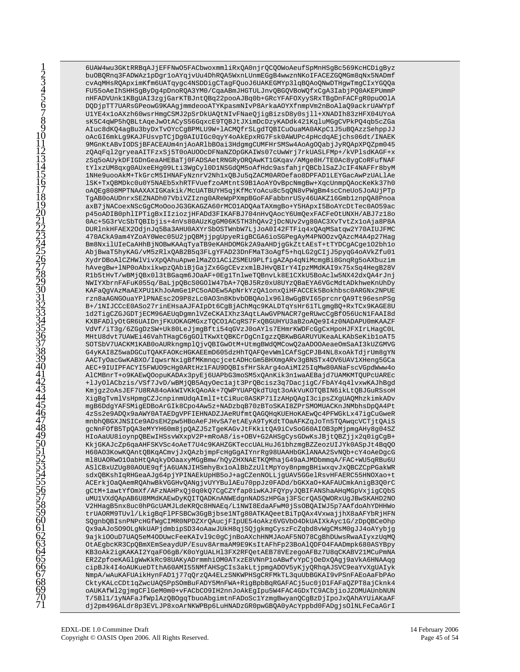6UAW4wu3GKtRRBqAJjEFFNwO5FACbwoxmmliRxQA0njrQCQOWoAeufSpMnHSqBc569KcHCDiqByz buOBQRnq3FADWAz1pDgr1oAYqjvUu4DhRQA5WxnLUnmEGgB4wwznNKoIFACEZGQMGm8qNx5NADmf cvAqMHsRQApximKfm6UATqyqc4NSDDiqCTaqFQuoJ6UAKEGMYp3lqBQAoQNwDTHqwTmqCIxYGQQa FU55oAeIhSHHSgByDg4pDnoRQA3YM0/CqaABmJHGTULJnvQBGQVBoWQfxCgA3IabjPQ0AKEPUmmP nHFADVUnk1KBgUAI3zgjGarKTBJntQBq22pooAJBq0b+GRcYFAFOXyySRxTBgDnFACFgR0pu00lA DQDjpTT7UARsGPeowG9KAAgjmmdeooATYKpasmNIvP8ArkaAOYXfnmpVm2nBoAlaO9ackrUAWYpf U1YE4x1oAXzh60wsrHmgCSMJ2pSrDkUAQtNIvFNaeQjigBizsD8y0sjll+XNADIh83zHFX04UYoA sK5C4qWP5hOBLtAqeJwOtACyS56GqxcE9TOBJtJXimDcDzyKADdk421Kq1uMGqCVPkPO4qb5cZGa AIuc8dKQ4agBu3byDxTvOYcCgBPMLU9W+lACMQfrSLgdTQBICuOuaMA0AKpClJ5uBQAzzSehppJJ oAcGI6mkLg9KAJFUsvpTCjDg0AIUIGc0qyY4oAkEpxRG7Fsk0AWUPc4pHcdqAEjchs06dt/INAEK 9MGnKtABvIODSjBFACEAUm4njAoARlbBOai3HdgmgCUMFHrSMSw4AoAgOQabjJyRQApXPQZpm045 zQAqFql2qryeaAITFzxSj5T0oAUOOcDFNaNZOpGKAIWs07cUwWrj7rkUASLFMp+/kVPlsdKAGF+x zSq5oAUykDFIGDnGeaAHEBaTj0FADSAetRNGRyORQAwKT1GKqav/AMge8H/TE0Ac8ygCoRFufNAF tYlxzUM8qxg0AUxeEHg09Lti3WgCyl0DlNSGdQM5oAfHdc9asfahjrQBCblSaZJcIF4NAFFr8byM 1NHe9uooAkM+TkGrcM5IHNAFyNznrV2Nh1xQBJu5qZACM0AROefao8DPFAD1LEYGacAwPzUALlAe 1SK+TxQBMDkc0u0Y5NAEb5xhRTFVuefzoAMtntS9B1AoAYOvBpcNmgBw+XqcUnmpQAocKeKk37h0 oAQEq808MPTNAAXAXIGKakik/McUATBUYH5qjKfMcYoAcu8c5qQN8vPWqBm4scCneUo5JoAUjPTp TgAB0oAUDnrxSEZNADh07VbiVZIzng0AReWpPXmpBGoFAFabbnrUSy46UAKZ16Gmb1znpQA8Pnoa axB7jNACoexNScGgCMoOooJG3GKAGZA60rMCO1ADQAaTAXmgBo+Y5HApxI5BoAYcDtTec0AO59ac p45oADIB0phlIPTigBxIIziozjHFADd3FIKAFBJ704nHvQAocY6UmQexFACFeOtUNXH/ABJ7z18o 0Ac+5G3rVcSbTQBIbjis+4nVs80AUzKgGM06K5TH3hQAv2jDcNUv2vg80AC3XvTvtZx1oAja8P8A DURlnkHFAEX2OdjnJq5Ba3AHU0AXYrSbOSTWnbW7LjJoA0I42FTFiq4xQAqMSatqw2Y70AIUJFMC 470ACkA9am4YZoAY0Wec05U2jpQBMjjpgUpyeRigBCGA6ioSGPegAyM4PNOOzvQAzcM4A4p27Hag Bm8NxilUIeCaAHhBjNOBwKAAqTyaTB9eKAHDOMGk2A9aAHDjqGkZttAEsT+tTYDCqACqe1O2bh1o AbjBwaT5hyKAG/vM5zRlxQAB2B5q3FLgYFAD23DnFMaT3oAgf5+hqLG2gCIjJ5pyqG4oAVkZfu01 XydrDBoAlCZHWlVivXpQAhuApwelMaZO1ACiZSMEU9PLfiqAZAp4qNiMcmqBi8GnqRq5oAXbuzim hAvegBw+lNP0oAbxikwpzQAbiBjGajZx6GgCEvzxmlBJHvQBIrY4IpzMMdKAI9x75xSq4HegB28V R1b5tHvT/wBMjQBx013tBGaqm6JOaAF+0Eg1TnlweTQBnvLk8E1CXkU5BoAclw5NX42dxQA4rJnj NWIYXbrnFAFuK055q/BaLjpQBcS0GOlW47bA+7QBJ5Rz0xU8UYzQBaEYA6VGcMdtADkhweKnUhDy KAFaQgVAzMaAEXPU1KhJoAmGe1PC5oADEw5ApNrkYzQA1onxQiHFACCEk5Bokhbsc0ARGNx2NPUE rzn8aAGNGOuaYPlPNAEsc2O9P8zLc0AO3n8KbvbOBOAolx9618wGqBVI65prcnrOA9Tt96esnPSq B+/1NIJCCcE0ASo27rinEHsaAJFAIpDt6CgBjAChMqc9KALDTqYsHr61TLgmgBQ+RxTCx9KAGE8U 1d2TigCZGJGDTjECM96AEUqDgmnlVZeCKAIXhz3AqtLAwGVPNACR7geRUwcCgBf056UcN1FAAI8d KXBFADlyOtGR6UAIDnjFKUOKAGMGxzTQCO1ACqRS7FxQBGUHYU3aB2oAQe9I4z0NADAPU0mKAAZF VdVf/iT3g/6ZGgDzSW+Uk80LeJjmgBfti54qGVzJ0oAYls7EHmrKWDFcGgCxHpoHJFXIrLHagC0L MHtU8dvt7UAWEi46VahTHagC6gGOlTKwXtQBKCrDgCnIgzzQBKwBGARUYUKeaALKAbSeKibloAT5 SOTSbV7UACKM1KAB0oAURkngmplQjvQBIGw0tM+UtmgBWdQMCowQ2aAD0OAeaeOmSaAI3kUZGMVG G4yKAI8Z5waDGCuTQAKFAOKcHGKAEEmD605dzHhTQAFQevWmlCAfSqCPJB4NL8xoAkTdjrUm8qYN AACTyOacGwKABXO/IqwsrNxigBfMKmnqcjcetADHcGm5BHXmgARv3gBNSTx4OV6UAV1XHeng5GCa AEC+9IUIPFACYI5FWUO9cHq0ARtHz1FAU9DQBIsfHrSkArq4oAiMI25IqMw80ANaFscVGpdWww4o AlCMBnrT+o9KAEwQOopuKADAx3pyEj6UAPbG3moSM5xQAnKik3n1waAEBajd7UAMKMTQUPcUAREc +lJyOlACbzis/VSf7JvD/wBMjQB5AqyOeclajt3PrQBcisz3q7DacjigC/FbAY4q4lvxwKAJhBgd Kmjgz2oAsJEF7U8RA84oAkWIVKkQAoAk+7QWPYUAPQkdTUqt3oAkVuKOTQBIN6ikLtQBJGuRSsoH XigBgTvmlVsHpmgCZJcnpinmUdqAImlI+tCiRuc0ASKP71IzAHpQAgI3cipsZXgUAQMhzkimkADv mgB6DdgYAFSMigEDBoArGIk8Cpo4Aw5z+NADzbqB70zBToSKAI8ZPrSMOMUACKnJNMbhsDpQA4Pt 4zSs2e9ADQx9aAWY0ATAEDgVPFIEHNADZJAeRUfmtQAGQHqKUEHoKAEwQc4PFWGkLx47igCuGweR mnbhQBGXJNSICe9ADsEH2pw5HBoAeFJHvSA7etAEyA9TyKdtTOaAFKZqJoTn5TQAwqcVCTjtQAiS gcNnFOfB5TpQA3eMYYH60m8jpQAZJ5zTgeKAGvJtFKkitQA9iCvSoG60AIOB3pMjpmgAHy8g04SZ HIOAaUU8ioynpQBEwIHSsvWXxpV2P+mRoA8/is+OBV+G2AHSqCysGDwKsJBjtQBZjjx2q0iqCqB+ KkjGKAJcZp6qaAHFSKVSc4oAeT7U4c9KAHZGKTeccUALHuJ61bhzmgBZZeozUIJYk0ASpJt4BqQO H60AO3KowKQAntQBKqACmvjJxQAzbjmpFcHgGgAIYnrRg98UAAHbGKlANAA2SvNQb+cY4oAeDgcG ml8UAORwO1OabHtQAqkyDOaaxyMGgBmw/hQyZHXNAETKQMhajG49aAJMDbmmqA/FAC+WU5qRBu6U AS1CBxUZUg80AOUE9qfjA6UANJIHSmhyBx1oAlBbZzUltMpYoy8npmgBHiwxqvJxQBCZCpPGakWR sdxOBKshIqRHGeaAJq64pjYPINAEkUpHB5oJ+aqCZenNOLLjqUAV5GGelRsvHFAERC55HNOXao+t ACErkjOaQAemRQAhwBkVGGHvQANgjvUYYBulAEu70ppJz0FADd/bGKXaO+KAFAUCmkAnigB3Q0rC gCtM+1awtYf0mXf/AFzNAHPxQj0q0kQ7CgCZYfap0iwKAJFQYpyJQBIFANShaAHqMGpVxjigCQbS uMU1VXdQApAB6U8MMdKAEwDyKQITQADKnANWEdgnNADSzHPGaj3FScrQA5QWORxUgJBwSKAHD2NO V2HHagB5nx8uc0hPGcUAMJLdeKRQc8HNAEq/L1NWI8EdaAFwM0jSsOBQAIWJ5p7AAfdoAhYDHHWo trUAORM9TUvl/LkigBqFlPFSBCw3GgBjbse1NTg80ATKAQeetBiTpQAx4VxwajjhX8aAFYbRjHFN SQgnbQBIsnPNPcHGfWgCIMR0NPDZXrQAucjFIpUE54oAkz6VGVbO4DkUAIXkAyc1G/zDpQBCeOhp Qx9aAJoSO9OLgNkUAPjdmbipSD34oAawJUkH8qjSQjgkmgCyszFcZqbd8vWgCMsM0gJJ4oAYybjg 9ajki00uD7UAQ5eM40DUwcFeeKAIvl9c0gCjnBoAXchHNMJAoAF5N078CgBhDUwsRwaAIyxzUqMQ OtAEgbcKR3CpQBmXEmSeaydUP/Esuv8ArmaAM9E9KsItAFhFp23BoAlQDFO4FAADmpk680ASYBpy KB3oAk2igKAKAI2YqaFO6gB/K0oYgUALH13FX2RFQetAEB78VEzegoAFBz7U8qCKABV21MCuPmNA ER2ZpfoeKAGlgWwKkRc98UAKyADrmmhiOM0ATxzE8VNnPloABwfvYpCjOeDxQAgj9aVkA6HNAAqg cipBJk4I4oAUKueDTthA60AMI55NMfAHSgCIs3akLtjpmgADOV5yKjyQRhqAJSVC9eaYvXgUAIyk NmpA/wAuKAFUAikHynFAD1j77qQrzQA4ELzSNKWPHSgCRFMkTL3quUbBGKAI9vPSnFAEoAaFbPAo CktyKALcCDt1qZwcUAQ5PpSOmBuFADY5MnFWA+RigBpbBqRGAFACj5uc0jD1FAFaQZPT8ajCknk4 oAUKAfWl2gjmgCFlGeM0m0+vFACbCO9IH2nnJoAkEgIpu5W4FAC4GDxTC9ACbjioJZOMUAUnbNUN T/5Bl1/1yNAFaJfWplAzQBOgqTbuoAbgimtnFADoSclYzmgBwyanQCgBzDjIpoJxQAhAYUiAKaAF dj2pm496ALdr8p3EVLJP8xoArNKWPBp6LuHNADzGR0pwGBQA0yAcYppbd0FADgjsOlNLFeCaAGrI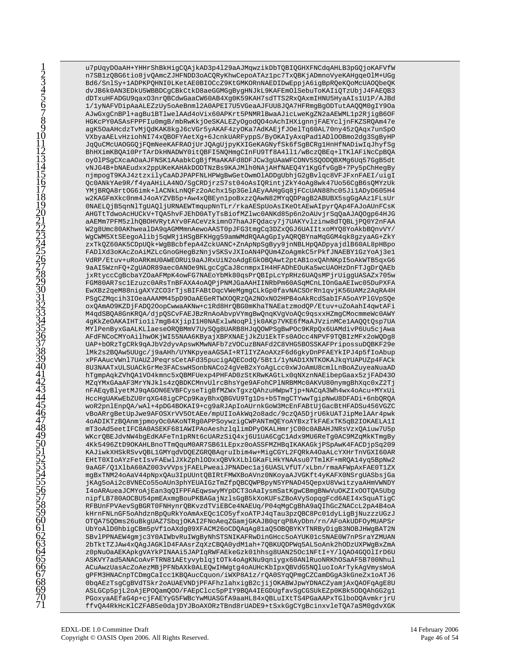u7pUqyDOaAH+YHHrShBkHiqCQAjkAD3p4129aAJMqwzikDbTQBIQGHXFNCdqAHLB3pGQjoKAFVfW n7SB1zQBG6tio8jvQAmcZJHFNDD3oACQRyKhwCepoATAz1pc7TxQBKjADmnoVyeKAHgqeOlM+UGg Bd6/SnlSy+1ADPKPQHNI0LKetAE0BIOCcZ9KtGMKORnNAEDIDwEppjA6iqBpRQeKQoMcUAOQbeQK dvJB6k0AN3EDkU5WBBDCgCBkCtkD8aeGGMGgBygHNJkL9KAFEmOlSebuToKAIiQTzUbjJ4FAEQB3 dDTxuHFADGU9qaxO3nrQBCdwGaaCW60AB4Xg0K59KAH7sdTTS2RxQAxmIHNU5HyaAIs1U1P/AJBd 1/1yNAFVDipAaALEZzUy5oAeBnml2A0APEI7U5VGeaAJFUU8JOA7HFRmqBqODTutAAOOM0qIY9Oa AJwGxqCnBPl+aqBu1BTlwelAAd4oVix60APKrt5PNMRlBwaAJicLweKqZN2aAEWML1p2RjiqB6OF HGKcPY0ASAsFPPFIu0mgB/mbRwKkjOeSKALEZyOgodQ04oAchIHXignnjFAEYcljnFKZSRQAm47e agK50aAHcdzTvMjQdKAK8kgJ6cVGr5yAKAF4zyOKa7AdKAEjfJ0elTq60AL70ny45zQAqx7unSpO VXbyaAELvHziohNI74xQBOFYAetXg+6JcnkUARFyppS/ByOKAIyAxqPadlADlOOBmo2dg3SgByHP JqQuCMcUAOGGQjFQmNeeKAFRAOjUrJQAgUjpyKXIGeKAGNyfSk6fSgBCRg1HnHfNADiwIqJhyfSg BhHXimKBQA10PrTArDkHNADWY0itQBFI5NQHmqCInFU9Tf8A4111/wBczQBEq+1TK1AFiNcCpBQA oyOlPSgCXcaAOaAJFNSK1AAabkCgBjfMaAKAFd8DFJCw3gUAaWFCDNV5SQODQBXMg6Uq57GgB5dt vNJG4B+bNAEudxx2ppUKeKAHAkDODTNzBs9KAJMlh0NAjAHfNAEQ4Y1KgGfvGgB+7Py5pChHegBy njmpogT9KAJ4ztzxilyCaADJPAPFNLHPWgBwGetOwmOlADDgUbhjG2qBvlgc8VFJFxnFAEI/uigI Qc0ANkYAe9R/f4yaAHiLA4NO/SgCRDjrzS7st04oAsIQRintjZkY4oAg8wk47Uo56CgB6sQMYzUk YMjBRQA8rtOG6imk+lACNkLnNQFz2oAchx15p3GelAEyAAHqGq8jFCcUAN88hc05JilADyD605H4 w2KAGFmXkc0nm4J4oAYZVB5p+Aw4xQBEyn1poBxzzQAwN82MYqQDPagB2ABUBX5sgGgAAz1FLsUr 0NAELQjB5qnNlTgUAQljURNAEWTmqupNnTLr/rkaAESpUoAsIKeOtAEwAIpyrQAp4FAJoAUnFCsK AHGTtTdwoAcHUCkV+TQA5hvFJEhD0ATyTsBiofMZlwc0ANKd85p6n2oAUvjrSqQaAJAQOgp64HJG aAEMm7PFM5zlhQBOHVRytAYv0FACeVzkimnO7haAJFQdacy7j7UAKYvlzinw8dTQBLjPQ0Y2nFAA W2g8Umc80AKhwealDA9qAGMMmnAewoAAST0pJFG3tmgCq3DZxQGJ6UAIItxoMYQ8YoAkbBQnvVY/ WgCWM5XtSEegoAlibj5qWRj1HSgBFKHgg59amWMdRQAAgGpIyAQRQBYnaMqGGM4qk8gzyaAG+ZkY zxTkQZ60AK5CDpUQk+WgBBcbfepA4ZckUANC+ZnApNpSgByy9jnNBLHpQADpyajdlB60AL8pHBpo FAD1Xd3oKAcZoAiMZLcGnoGHegBzNnjvSKSvJXIoAN4PQUm4ZoAgmkC5rPkfJNAEBY1GzYoAj3e1 VdRP/Etuv+uRoARKmU0AWEORUi9aAJRxUiN2oAdqEGkOBQAwt2ptAB1oxQAhNKpI5oAkWTB5qxG6 9aAI5WznFQ+ZgUAOR89aec0ANOe9NLgcCgCaJ8cnmpxIH4HFADhEOuKa5wcUAOHzDnFTJgDrQAEb jxRtyccCgBcbaYZOaAFMpK4owFG7NAEoYbMk80qsPrQBIpLcYpRHz6UAQsMPjrUiggUASAZx705w FGM80AR7sclEzuzc0ARsTnBFAXA4oAQPjPNMJGaAAHIINRbPm60ASqMCnLIOnGaAEIwc05DuPXFA EwXBz2qeM88nigAXYZCO3rTjsBIFABtDqcVWeMgmgCLkGp0favNACSOrRn1qvjK56UAMz2AqRA4H PSqCZMqcih3IOeaAAAMM45pD9OaAEGeRTWXOORzOA2NOxNO2HPB4oAkRcdSabIFA5oAYPlGVpSOe oxQAmAO9KZDjFADQ2OopCwwaAKNw+c1Rd8HrQBG0mKhaTNAEatzmodQP/Etuv+uZoAahI4qwtAFi M4qdSBQA8GnKRQA/djpQSCvFAEJBzRnAoAbvpVYmgBwQnqKVgVoAQc9qsxxHZmgCMocmmeWc0AWY 4gKkZeOAKAIHTioli7mgB4XjipIlH0NAExlwNoqPljk0AKp7VKE6fMaAJVzinMCelAAQQtQsp7UA MYlPenByxGaALKLlaeseORQBMmV7UySQg8UARB8HJqQOWPSgBwPOc9KRpQx6UAMdivP6Uu5cjAwa AFdFNCoCMYoAilhwOKjWI55NAA6KByajXBPXNAEjJkZU1EkTFs0AOcc4NPVF9TQBIzMFx2oWQDg8 UAP+bORzTgCRk9qAJbV2dyvApswKMwNAFb7zVOCuzBNAFd2C8VHG5BOSSKAFPripossuDQBKF29e lMk2s2BQAw5UUqc/j9aAHh/UYNKpyeaAGSAI+RTlIYZAoAXzF6d6qkyDnPFAEYkIPJ4p5fIoAbup xPFAAucVWnl7UAUZJPeqrsCetAFd35pucigAQECodQ/5Bt1/1yNAD1XNTKOKAJkqYUAPUZp4FACk 8U3NAATxULSUACkGrMe3FACswHSonbNACo24qVeB2xYoAqLcc0xWJoAmU8cmlLnBoAZuyeaNuaAD hTgmpAqkZVhQA1VO4kmnc5xQBMFUexp4PHFAD0zStKRwKAGtLx0qNXznNAEibepGaax5zjFAD430 MZqYMxGAaAF3MrYNJkls4zQBDKCMnvUlrcBhsYge9AFohCPlNRBMMc0AKVU80nymgBhXqc0xZ2Tj nFAEqyBlyetMJ9qAGON6EVBFCyseTigBfMZWxTgxzQAhzuHWpwTjp+NACqA3Wh4wx4oAcu+MYxUi HccHgUAKwEbZU0rqXG48igCPCp9KayBhxQBGVU9Tg1Ds+b5TmgCTYwwTgipNwU8DFADi+6nbQRQA woR2pnlEnpQA/wAl+4pDG4BOKAI9+cg9aRJApIoAUrnkGoW3McEnFABtUjGacBtHFADSu456VGZC vBoARrgBetUpJwe9AFOSXrVV5OtAEe/mpUIIoAkWq2o8adc/9czQA5DjrU6kUATJipMelAAr4pwk 4oADIKTzBQAnmjpmoyOc0AKoNTRg0APPSoywzigCWPANTmQEYoAYBxzTkFAExTK5qB2IOKAELA1I mT3oAd5eetIFC8A0ASEKF681AWIPAoAeshzlqlimDPyOKALHmrjC00c0ABAHJNRsVzxQAiuw7U5p WKcrQBEJdvNW4bqEdKAFeTn1pRNt6cUARzSiQ4xj6U1UA6CqClAdx9MU6ReTq0AC9MZqMkKTmqBy 4Kk5496ZtD9OKAHLBnoTTmQquM0AR7SB61LEpxz0oASSFMZHBqIKAKAGkjPSpAwK4FACDjpSq209 KAJiwkXHSkRSvvQBL1GMYqdVDQEZGRQBAqruIbim4w+MigCGYL2FQRkA4OaALcYXHrTnVGXI60AR EHtT0XIoAYzFetIsvFAEwlJXkZphlODxxQBVkXLblGKaFLHkYNAAsu07TmlKF+mRQA14yq5BpNw2 9aAGF/Q1X1bA60AZ003vVVpsjFAELPweaiJPNADeclaj6UASLVfUT/xLbn/rmaAFWpAxFAE0T1ZX mgBxTNM24oAaV44pNpx0Au3IpUUnt0BIRtFMWXBoAVnz0NKoyaAJVGKft4yKAFX0NSrqUASbsjGa jKAg5oAi2c8VNECo55oAUn3phYEUAIGzTmZfpQBCQWPBpyN5YPNAD45QepxU8VwitzyaAHmVWNDY I4oARAueaJCMYoAjEan3qQIFPFAEqwswyMYpDCT3oAaIysmSatKgwCBmgBNwVuOKZIxOOTQA5Ubg nipfLB780AOCBU54pmEAxmgBouPKBAGajNzlsGgB5kXoKUFsZBoAVySopqgFcd6AEI4xSquATigC RFBUnFPVAevSgBGRT0FNHynrQBKvzdTViEBCe4NAEUq/P04qMgCgBhA9aQIhGcZNACcL2pA4B4oA kHrnFNLnGF5oAhdznBpQuRkYoAmAxEQc1CO5yfxoATPJ4qTau3pzQBC8Pc01dyLigBjNuzzzUGzJ OTQA75QDms26uBkgUAZ7SbqjOKAI2FNoAeqZGamjGKAJB0qrqP8AyDbn/rn/AFoAkUDFOyMUAPSr UbYoAlD0hbigCBm5pVf1oAXdg09XFACM26oCDQAqAg81aQ5OBQBYKYTNRByDigB3NOBJHWgBAT2N SBvlPPNAEW4gmjc3Y0AIWbvRuIWgByNhSTSNIKAFRwDinGHcc5oAYUK01c5NAE0W7nPSraYZMUAN 2bTktTZJAw4xQAqJAGKlD4FAAsrZqXzCBQA0ydMlah+7QBKUQDPWq5AL5oAnk2hODzUXPWqBxZmA z0pNuOaAEKApkgVAYkPINAAi5JAPIqRWFAEkeGzk01hhsg8UAN25Oc1NFtI+Y/lQAO4GQOlIrD6U ASKVY7ad5ANACoAvFTRN81AEtyvyblqjt0Tk4oAgKNu9qniygx60ANlRuoNRKhOSaAF5B700Nhul ACuAwzUasAcZoAezMBjPFNbAXk0ALEQwIHWgtg4oAUHcKbIpxQBVdG5NQluoIoArTykAgVmysWoA gPFM3HNACnpTCDmgCaIcclKBQAucCquon/iWXP8A1z/rQA0SYqQPmgCZCamDGgA3kGneZx1oATJ6 0bqAEzTsgCgBVdTSkr2oAUAEVNDjPFAFhzlahxigB2cjijOKABWJpwYDNACZyamjAxQAOFqAgE8U ASLGCp5pjL2oAjEPOQamQOO/FAEpClcc5pPIY9BQA4IEGDUgfavSgCGSUkEZp0KBk5ODQAhGG2g1 PGoxyaAEfaG4p+cjFAEYyG5FWBcYwMUASGfA9aaHL84xQBLuIXtTS4PGaAAPxTGlboDQAvmkrjrU ffvQA4RkHcKlCZFAB5e0dajDYJBoAXORzTBnd8rUADE9+tSxkGgCYgBcinxvleTQA7aSM0gdvXGK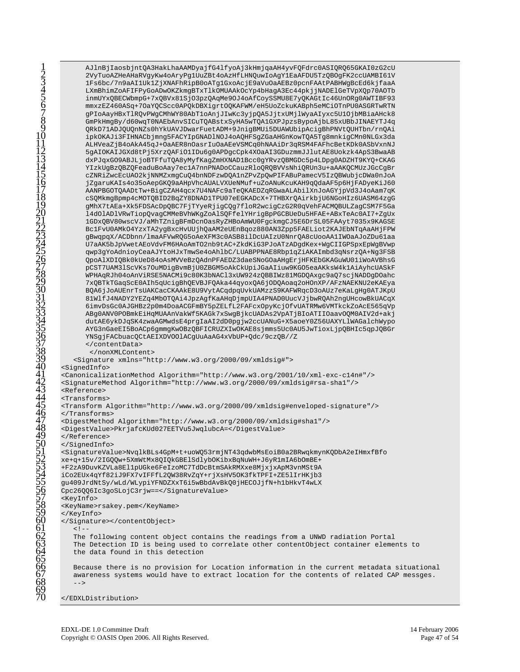AJlnBjIaosbjntQA3HakLhaAAMDyajfG4lfyoAj3kHmjqaAH4yvFQFdrc0ASIQRQ65GKAI0zG2cU 2VyTuoAZHeAHaRVgyKw4oAryPg1UuZBt4oAzHfLHNQuwIoAgY1EaAFDU5TzQBOgFK2ccUAMBI61V 1Fs6bc/7n9aAI1Uk1ZjXNAFhRipB0oATq1GxoAcjE9aVu0aAEBz0pcnFAAtPABHWqBcEd6kjfaaA LXmBhimZoAFIFPyGoADwOKZkmgBTxTlkOMUAAkOcYp4bHagA3Ec44pkjjNADElGeTVpXQp70AOTb inmUYxQBECWbmpG+7xQBVx81SjO3pzQAqMe9OJ4oAfCoySSMU8E7yQKAGtIc46UnORg0AWTIBF93 mmxzEZ460ASq+7OaYQCScc0APQkDBXigrtOQKAFWM/eH5UoZckuKABph5eMCiOTnPU0ASGRTwRTN gPIoAayHBxTlRQvPWgCMhWY80AbTloAnjJIwKc3yjpQA5JjtxUMjlWyaAIyxc5U1OjbMBiaAHck8 GmPkHmgBy/d60wqT0NAEbAnvSICuTQABstxSyHA5wTQA1GXPJpzsBypoAjbL85xUBbJINAEYTJ4q QRkD71ADJQUQnNZs0hYkUAVJDwarFuetADM+9JnigBMUi5DUAWUbipAcigBhPNVtQUHTbn/rnQAi ipkOKAJi3FIHNACbjmng5FACYIpGNADlNOJ4oAQHFSgZGaAHGnKowTQA5Tg8mnkigCMn0NLGx3da ALHVeaZjB4oAkA45qJ+OaAER8nOasrIuOaAEeVSMCq0hNAAiDr3qRSM4FAFhcBetKDk0ASbVxnNJ 5qAIOKAIJGXd8tPj5XrzQAFiO1IDu6q0APDqcCpk4XOaAI3GDuzmmJJlutAE8Uokzk4ApS3BwaAB dxPJqxGO9ABJLjoBTFfuTQA8yMyfKagZmHXNAD1Bcc0gYRvzQBMGDc5p4LDpg0ADZHT9KYQ+CKAG YIzkUgBzQBZQFeaduBoAay7ec1A7nnPNADoCCauzRloQRQBVVsNhiQRUn3u+aAAKQCMUzJGcCgBr cZNRiZwcEcUAO2kjNNMZxmgCuQ4bnNDFzwDQA1nZPvZpQwPIFABuPamecV5IzQBWubjcDWa0nJoA jZgaruKAIs4o35oAepGKQ9aAHpVhcAUALVXUeNMuf+uZoANuKcuKAH9qQdaAF5p6HjFADyeKiJ60 AANPBGOTQAADtTw+BiqCZAH4qcx7U4NAFc9aTeQKAEDZqRGwaALAbilXnJoAGYjpVd3J4oAam7qK cSQMkmgBpmp4cMOTQBID2BqZY8DNAD1TPU07eEGKADcX+7THBXrQAirkbjU6NGoHIz6UASM64zgG gMhX7tAEa+Xk5FDSAcDpQBC7FjTYyeRjigCQg7floR2wcigCzG2R0qVehFACMQBULZagCSM7F5Ga 14d01AD1VRwTiopQvagCMMeBVhWKgZoAlSQFfelYHrigBpPGCBUeDu5HFAE+ABxTeAc0AI7+ZgUx 1GDxQBV80wscVJ/aMhTZnigBFmDcnOasRyZHBoAmWU0FgckmgCJ5E6DrSL05FAAyt7035x9KAGSE BclFvU0AMkO4YzxTA2ygBxcHvUUjhQaAM2eUEnBqoz880AN3Zpp5FAELiot2KAJEbNTqAaAHjFPW gBwqpqX/ACDbnn/lmaAFVwRQG5oAeXFM3c0ASB8ilDcUAIzU0NnrQA8cUooAAlIWOaAJoZDu6laa U7aAK5bJpVwetAEoVdvFM6HAoAmTO2nb9tAC+ZkdKiG3PJoATzADqdKex+WqCIIGPSpxEpWgBVwp qwp3gYoAdnioyCeaAJYtoHJxTmwSe4oAhlbC/LUABPPNAE8Rbp1qZiAKAImbd3qNsrzQA+Ng3FSB QpoAlXDIQBk0kUeD84oAsMVVeBzQAdnPFAEDZ3daeSNoGOaAHqErjHFKEbGKAGuWU01iWoAVBhsG pCST7UAM31ScVKs7OuMDigBvmBjU0ZBGM5oAkCkUpiJGaAIiuw9KGO5eaAKksW4k1AiAyhcUASkF WPHAqRJh04oAnViRSE5NACMi9c80K3bNACl3xUW924zQBBIWz81MGDQAxgc9aQ7scjNADDgDOahc 7xQBTkTGaqScE0AIh5qUcigBhQEVBJFQAka44qyoxQA6jODQAoaq2oHOnXP/AFzNAEKNU2eKAEya BQA6jJoAUEnrTsUAKCacCKAAkE8U9VytACqdpqUvkUAMzzS9KAFWRqcD3oAUz7eKaLgHg0ATJKpU 81WlfJ4NADY2YEZq4MbOTQAi4JpzAgfKaAHqDjmpUIA4PNAD0UucVJjbwRQAh2ngUHcowBkUACqX 6imvDsGc0AJGHBz2p0m4DoaACGFmBY5pZELfL2FAFcxOpyKcjOfvUATRMw6VMTkckZoAcE565qVp ABg0ANV0POBmkEiHqMUAAnVakWf5KAGk7xSwgBjkcUADAs2VpATjBIoATIIOaavOQM0AIV2d+akj dutAE6ykDJqSK4zwaAGMwdsE4prgIaAI2dD0pgjw2ccUANuG+X5aoeY0Z56UAXYLlWAGalchWypo AYG3nGaeEI5BoACp6gmmgKwOBzQBFICRUZXIwOKAE8sjmms5Uc0AU5JwTioxLjpQBHIc5qpJQBGr YNSgjFACbuacQCtAEIXDVOOlACgUuAaAG4xVbUP+Qdc/9czQB//Z </contentData> </nonXMLContent> <Signature xmlns="http://www.w3.org/2000/09/xmldsig#"> <SignedInfo> <CanonicalizationMethod Algorithm="http://www.w3.org/2001/10/xml-exc-c14n#"/> <SignatureMethod Algorithm="http://www.w3.org/2000/09/xmldsig#rsa-shal"/>  $Refarnens$ <Transforms> <Transform Algorithm="http://www.w3.org/2000/09/xmldsig#enveloped-signature"/> </Transforms> <DigestMethod Algorithm="http://www.w3.org/2000/09/xmldsig#shal"/> <DigestValue>PkrjafcKUd027EETVu5JwqlubcA=</DigestValue> </Reference> </SignedInfo> <SignatureValue>NvqlkBLs4GpM+t+uoWQ53rmjNT43qdwbMsEoiB0a2BRwqkmynKQDbA2eIHmxfBfo xe+q+15v/2IGQQw+5XmWtMx8QIQkGBElSdlybOKibxBqNuWH+J6yR1mIA6bOmBE+ +F2zA9DuvKZVLa8El1pUGke6FeIzoMC7TdDcBtmSAkRMXxe8MjxjxApM3vnMSt9A iCo2EUx4qYf82iJ9FX7vIFFfL2OW38RvZqY+rjXsHV5OK3fkTPFI+ZE51IrHKjb3 gu409JrdNtSy/wLd/WLypiYFNDZXxT6i5wBbdAvBkQ0jHECOJjfN+h1bHkvT4wLX Cpc26QQ6Ic3goSLojC3rjw == </SignatureValue> <KeyInfo> <KeyName>rsakey.pem</KeyName> </KeyInfo> </Signature></content0bject>  $\lt$  !  $-$ The following content object contains the readings from a UNWD radiation Portal The Detection ID is being used to correlate other contentObject container elements to the data found in this detection Because there is no provision for Location information in the current metadata situational awareness systems would have to extract location for the contents of related CAP messges.  $--$ 

</EDXLDistribution>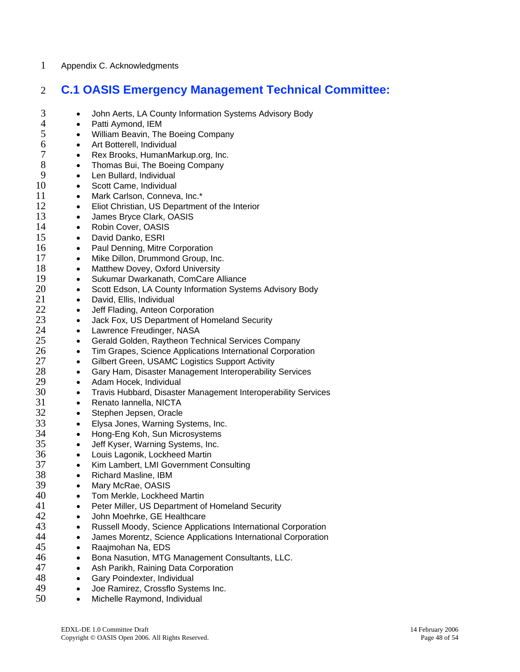### 1 Appendix C. Acknowledgments

## 2 **C.1 OASIS Emergency Management Technical Committee:**

- John Aerts, LA County Information Systems Advisory Body
- 4 Patti Aymond, IEM

- 5 William Beavin, The Boeing Company
- 6 Art Botterell, Individual<br>7 Rex Brooks, HumanMa
- 7 Rex Brooks, HumanMarkup.org, Inc.<br>8 Thomas Bui. The Boeing Company
	- Thomas Bui, The Boeing Company
- 9 Len Bullard, Individual
- 10 Scott Came, Individual<br>11 Mark Carlson, Conneya
- 11 Mark Carlson, Conneva, Inc.\*<br>12 Eliot Christian. US Departmer
	- Eliot Christian, US Department of the Interior
- 13 James Bryce Clark, OASIS
- 14 Robin Cover, OASIS
- 15 David Danko, ESRI<br>16 Paul Denning Mitre
	- Paul Denning, Mitre Corporation
- 17 Mike Dillon, Drummond Group, Inc.
- 18 Matthew Dovey, Oxford University
- 19 Sukumar Dwarkanath, ComCare Alliance<br>20 Scott Edson. LA County Information Syste
- 20 Scott Edson, LA County Information Systems Advisory Body<br>21 David. Ellis. Individual
	- David, Ellis, Individual
- 22 Jeff Flading, Anteon Corporation
- 23 Jack Fox, US Department of Homeland Security<br>24 Lawrence Freudinger, NASA
- 24 Lawrence Freudinger, NASA<br>25 Gerald Golden, Raytheon Ter
	- Gerald Golden, Raytheon Technical Services Company
- 26 Tim Grapes, Science Applications International Corporation<br>27 Gilbert Green, USAMC Logistics Support Activity
- 27 Gilbert Green, USAMC Logistics Support Activity<br>28 Gary Ham. Disaster Management Interoperability
- 28 Gary Ham, Disaster Management Interoperability Services<br>29 Adam Hocek, Individual
	- Adam Hocek, Individual
- 30 Travis Hubbard, Disaster Management Interoperability Services
- 31 Renato Iannella, NICTA
- 32 Stephen Jepsen, Oracle<br>33 Elvsa Jones. Warning Sy
- 33 Elysa Jones, Warning Systems, Inc.<br>34 Hong-Eng Koh. Sun Microsystems
	- Hong-Eng Koh, Sun Microsystems
- 35 Jeff Kyser, Warning Systems, Inc.
- 36 Louis Lagonik, Lockheed Martin
- 37 Kim Lambert, LMI Government Consulting
- 38 Richard Masline, IBM<br>39 Mary McRae, OASIS
	- Mary McRae, OASIS
- 40 Tom Merkle, Lockheed Martin
- 41 Peter Miller, US Department of Homeland Security<br>42 John Moehrke GF Healthcare
- John Moehrke, GE Healthcare
- 43 Russell Moody, Science Applications International Corporation<br>44 James Morentz, Science Applications International Corporation
	- James Morentz, Science Applications International Corporation
- 45 Raajmohan Na, EDS
- 46 Bona Nasution, MTG Management Consultants, LLC.
- 47 Ash Parikh, Raining Data Corporation
- 48 Gary Poindexter, Individual
- 49 Joe Ramirez, Crossflo Systems Inc.
- 50 Michelle Raymond, Individual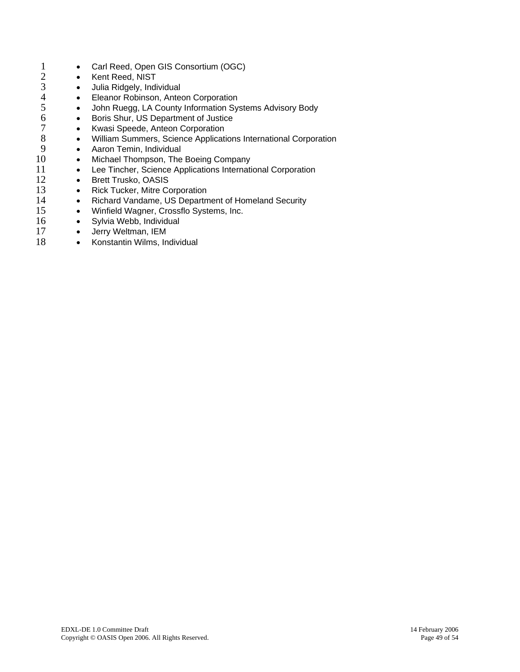- <span id="page-48-0"></span>1 • Carl Reed, Open GIS Consortium (OGC)<br>2 • Kent Reed. NIST
	- Kent Reed, NIST

- Julia Ridgely, Individual
- Eleanor Robinson, Anteon Corporation
- John Ruegg, LA County Information Systems Advisory Body
- Boris Shur, US Department of Justice
- Kwasi Speede, Anteon Corporation
- 8 William Summers, Science Applications International Corporation
- $\frac{9}{10}$ • Aaron Temin, Individual
- 10 Michael Thompson, The Boeing Company
- 11 Lee Tincher, Science Applications International Corporation
- 12 • Brett Trusko, OASIS
- $\frac{13}{14}$ • Rick Tucker, Mitre Corporation
- 14 Richard Vandame, US Department of Homeland Security
	- Winfield Wagner, Crossflo Systems, Inc.
- 16 • Sylvia Webb, Individual
- 17 • Jerry Weltman, IEM
- 18 • Konstantin Wilms, Individual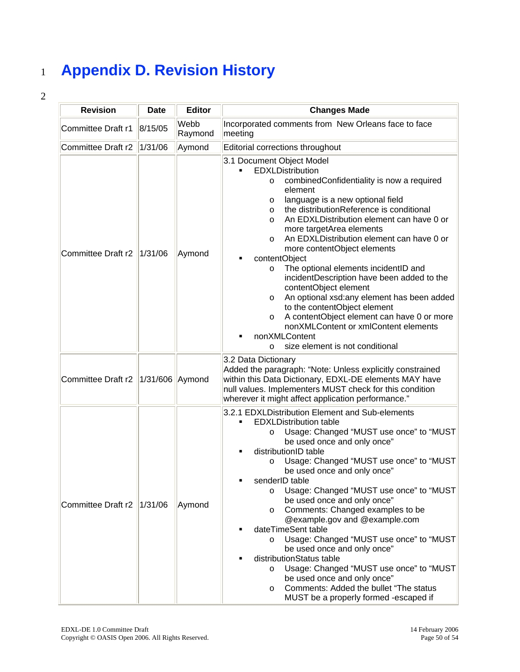## <sup>1</sup>**Appendix D. Revision History**

| <b>Revision</b>           | <b>Date</b>     | <b>Editor</b>   | <b>Changes Made</b>                                                                                                                                                                                                                                                                                                                                                                                                                                                                                                                                                                                                                                                                                                                                                                                 |
|---------------------------|-----------------|-----------------|-----------------------------------------------------------------------------------------------------------------------------------------------------------------------------------------------------------------------------------------------------------------------------------------------------------------------------------------------------------------------------------------------------------------------------------------------------------------------------------------------------------------------------------------------------------------------------------------------------------------------------------------------------------------------------------------------------------------------------------------------------------------------------------------------------|
| Committee Draft r1        | 8/15/05         | Webb<br>Raymond | Incorporated comments from New Orleans face to face<br>meeting                                                                                                                                                                                                                                                                                                                                                                                                                                                                                                                                                                                                                                                                                                                                      |
| Committee Draft r2        | 1/31/06         | Aymond          | Editorial corrections throughout                                                                                                                                                                                                                                                                                                                                                                                                                                                                                                                                                                                                                                                                                                                                                                    |
| <b>Committee Draft r2</b> | 1/31/06         | Aymond          | 3.1 Document Object Model<br>EDXLDistribution<br>combinedConfidentiality is now a required<br>O<br>element<br>language is a new optional field<br>O<br>the distributionReference is conditional<br>$\circ$<br>An EDXLDistribution element can have 0 or<br>$\circ$<br>more targetArea elements<br>An EDXLDistribution element can have 0 or<br>$\circ$<br>more contentObject elements<br>contentObject<br>The optional elements incidentID and<br>$\circ$<br>incidentDescription have been added to the<br>contentObject element<br>An optional xsd:any element has been added<br>$\circ$<br>to the contentObject element<br>A contentObject element can have 0 or more<br>O<br>nonXMLContent or xmlContent elements<br>nonXMLContent<br>size element is not conditional<br>$\circ$                 |
| Committee Draft r2        | 1/31/606 Aymond |                 | 3.2 Data Dictionary<br>Added the paragraph: "Note: Unless explicitly constrained<br>within this Data Dictionary, EDXL-DE elements MAY have<br>null values. Implementers MUST check for this condition<br>wherever it might affect application performance."                                                                                                                                                                                                                                                                                                                                                                                                                                                                                                                                         |
| Committee Draft r2        | 1/31/06         | Aymond          | 3.2.1 EDXLDistribution Element and Sub-elements<br><b>EDXLDistribution table</b><br>Usage: Changed "MUST use once" to "MUST<br>$\circ$<br>be used once and only once"<br>distributionID table<br>Usage: Changed "MUST use once" to "MUST<br>$\circ$<br>be used once and only once"<br>senderID table<br>Usage: Changed "MUST use once" to "MUST<br>$\circ$<br>be used once and only once"<br>Comments: Changed examples to be<br>$\circ$<br>@example.gov and @example.com<br>dateTimeSent table<br>Usage: Changed "MUST use once" to "MUST<br>$\circ$<br>be used once and only once"<br>distributionStatus table<br>Usage: Changed "MUST use once" to "MUST<br>$\circ$<br>be used once and only once"<br>Comments: Added the bullet "The status<br>$\circ$<br>MUST be a properly formed -escaped if |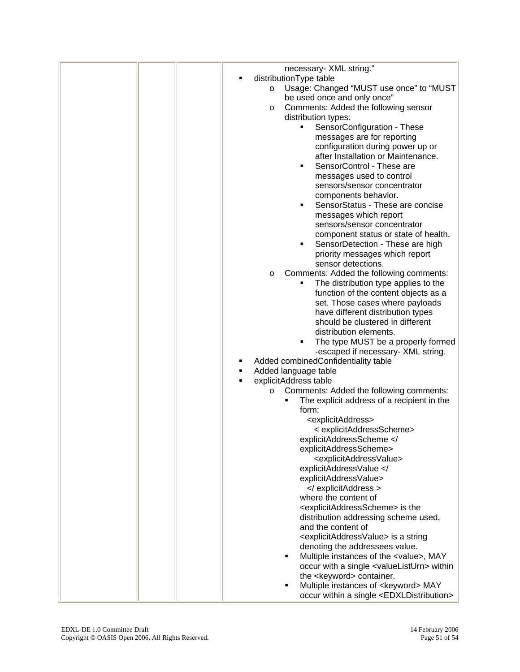<span id="page-50-0"></span>

|  |         | necessary- XML string."                                                        |
|--|---------|--------------------------------------------------------------------------------|
|  |         | distributionType table                                                         |
|  | $\circ$ | Usage: Changed "MUST use once" to "MUST<br>be used once and only once"         |
|  | O       | Comments: Added the following sensor                                           |
|  |         | distribution types:                                                            |
|  |         | SensorConfiguration - These                                                    |
|  |         | messages are for reporting                                                     |
|  |         | configuration during power up or                                               |
|  |         | after Installation or Maintenance.                                             |
|  |         | SensorControl - These are<br>٠                                                 |
|  |         | messages used to control                                                       |
|  |         | sensors/sensor concentrator                                                    |
|  |         | components behavior.                                                           |
|  |         | SensorStatus - These are concise<br>٠                                          |
|  |         | messages which report                                                          |
|  |         | sensors/sensor concentrator                                                    |
|  |         | component status or state of health.                                           |
|  |         | SensorDetection - These are high<br>٠                                          |
|  |         | priority messages which report<br>sensor detections.                           |
|  | O       | Comments: Added the following comments:                                        |
|  |         | The distribution type applies to the                                           |
|  |         | function of the content objects as a                                           |
|  |         | set. Those cases where payloads                                                |
|  |         | have different distribution types                                              |
|  |         | should be clustered in different                                               |
|  |         | distribution elements.                                                         |
|  |         | The type MUST be a properly formed                                             |
|  |         | -escaped if necessary- XML string.                                             |
|  | ٠       | Added combinedConfidentiality table                                            |
|  |         | Added language table<br>explicitAddress table                                  |
|  | O       | Comments: Added the following comments:                                        |
|  |         | The explicit address of a recipient in the                                     |
|  |         | form:                                                                          |
|  |         | <explicitaddress></explicitaddress>                                            |
|  |         | < explicitAddressScheme>                                                       |
|  |         | explicitAddressScheme </th                                                     |
|  |         | explicitAddressScheme>                                                         |
|  |         | <explicitaddressvalue></explicitaddressvalue>                                  |
|  |         | explicitAddressValue </th                                                      |
|  |         | explicitAddressValue>                                                          |
|  |         |                                                                                |
|  |         | where the content of<br><explicitaddressscheme> is the</explicitaddressscheme> |
|  |         | distribution addressing scheme used,                                           |
|  |         | and the content of                                                             |
|  |         | <explicitaddressvalue> is a string</explicitaddressvalue>                      |
|  |         | denoting the addressees value.                                                 |
|  |         | Multiple instances of the <value>, MAY<br/>п</value>                           |
|  |         | occur with a single <valuelisturn> within</valuelisturn>                       |
|  |         | the <keyword> container.</keyword>                                             |
|  |         | Multiple instances of <keyword> MAY<br/>٠</keyword>                            |
|  |         | occur within a single <edxldistribution></edxldistribution>                    |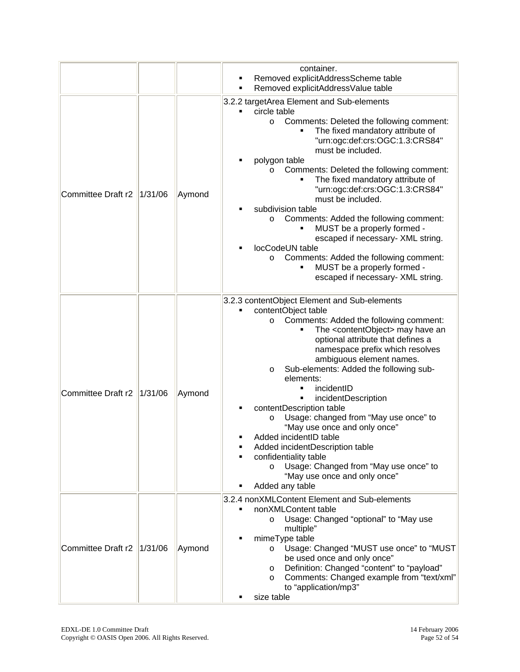|                    |         |        | container.<br>Removed explicitAddressScheme table<br>Removed explicitAddressValue table<br>٠                                                                                                                                                                                                                                                                                                                                                                                                                                                                                                                                                                                                                                      |
|--------------------|---------|--------|-----------------------------------------------------------------------------------------------------------------------------------------------------------------------------------------------------------------------------------------------------------------------------------------------------------------------------------------------------------------------------------------------------------------------------------------------------------------------------------------------------------------------------------------------------------------------------------------------------------------------------------------------------------------------------------------------------------------------------------|
| Committee Draft r2 | 1/31/06 | Aymond | 3.2.2 targetArea Element and Sub-elements<br>circle table<br>Comments: Deleted the following comment:<br>$\circ$<br>The fixed mandatory attribute of<br>"urn:ogc:def:crs:OGC:1.3:CRS84"<br>must be included.<br>polygon table<br>Comments: Deleted the following comment:<br>$\circ$<br>The fixed mandatory attribute of<br>٠<br>"urn:ogc:def:crs:OGC:1.3:CRS84"<br>must be included.<br>subdivision table<br>Comments: Added the following comment:<br>O<br>MUST be a properly formed -<br>escaped if necessary- XML string.<br>locCodeUN table<br>Comments: Added the following comment:<br>$\circ$<br>MUST be a properly formed -<br>escaped if necessary- XML string.                                                         |
| Committee Draft r2 | 1/31/06 | Aymond | 3.2.3 contentObject Element and Sub-elements<br>contentObject table<br>Comments: Added the following comment:<br>$\circ$<br>The <contentobject> may have an<br/>optional attribute that defines a<br/>namespace prefix which resolves<br/>ambiguous element names.<br/>Sub-elements: Added the following sub-<br/>O<br/>elements:<br/>incidentID<br/>٠<br/>incidentDescription<br/>٠<br/>contentDescription table<br/>Usage: changed from "May use once" to<br/>O<br/>"May use once and only once"<br/>Added incidentID table<br/>Added incidentDescription table<br/>confidentiality table<br/>Usage: Changed from "May use once" to<br/><math>\circ</math><br/>"May use once and only once"<br/>Added any table</contentobject> |
| Committee Draft r2 | 1/31/06 | Aymond | 3.2.4 nonXMLContent Element and Sub-elements<br>nonXMLContent table<br>Usage: Changed "optional" to "May use<br>O<br>multiple"<br>mimeType table<br>Usage: Changed "MUST use once" to "MUST<br>$\circ$<br>be used once and only once"<br>Definition: Changed "content" to "payload"<br>$\circ$<br>Comments: Changed example from "text/xml"<br>$\circ$<br>to "application/mp3"<br>size table                                                                                                                                                                                                                                                                                                                                      |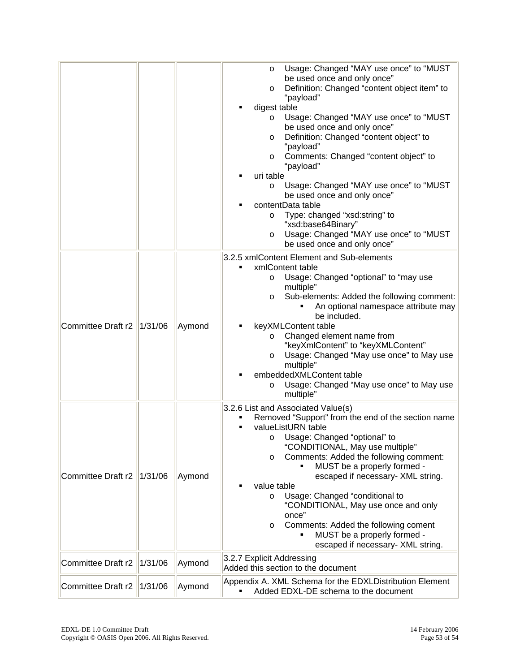|                           |         |        | Usage: Changed "MAY use once" to "MUST<br>O<br>be used once and only once"<br>Definition: Changed "content object item" to<br>O<br>"payload"<br>digest table<br>Usage: Changed "MAY use once" to "MUST<br>O<br>be used once and only once"<br>Definition: Changed "content object" to<br>$\circ$<br>"payload"<br>Comments: Changed "content object" to<br>O<br>"payload"<br>uri table<br>Usage: Changed "MAY use once" to "MUST<br>$\circ$<br>be used once and only once"<br>contentData table<br>Type: changed "xsd:string" to<br>$\circ$<br>"xsd:base64Binary"<br>Usage: Changed "MAY use once" to "MUST<br>$\circ$<br>be used once and only once"<br>3.2.5 xmlContent Element and Sub-elements |
|---------------------------|---------|--------|---------------------------------------------------------------------------------------------------------------------------------------------------------------------------------------------------------------------------------------------------------------------------------------------------------------------------------------------------------------------------------------------------------------------------------------------------------------------------------------------------------------------------------------------------------------------------------------------------------------------------------------------------------------------------------------------------|
| <b>Committee Draft r2</b> | 1/31/06 | Aymond | xmlContent table<br>٠<br>Usage: Changed "optional" to "may use<br>O<br>multiple"<br>Sub-elements: Added the following comment:<br>O<br>An optional namespace attribute may<br>be included.<br>keyXMLContent table<br>Changed element name from<br>O<br>"keyXmlContent" to "keyXMLContent"<br>Usage: Changed "May use once" to May use<br>$\circ$<br>multiple"<br>embeddedXMLContent table<br>Usage: Changed "May use once" to May use<br>O<br>multiple"                                                                                                                                                                                                                                           |
| Committee Draft r2        | 1/31/06 | Aymond | 3.2.6 List and Associated Value(s)<br>Removed "Support" from the end of the section name<br>valueListURN table<br>Usage: Changed "optional" to<br>O<br>"CONDITIONAL, May use multiple"<br>Comments: Added the following comment:<br>$\circ$<br>MUST be a properly formed -<br>escaped if necessary- XML string.<br>value table<br>Usage: Changed "conditional to<br>$\circ$<br>"CONDITIONAL, May use once and only<br>once"<br>Comments: Added the following coment<br>O<br>MUST be a properly formed -<br>٠<br>escaped if necessary- XML string.                                                                                                                                                 |
| Committee Draft r2        | 1/31/06 | Aymond | 3.2.7 Explicit Addressing<br>Added this section to the document                                                                                                                                                                                                                                                                                                                                                                                                                                                                                                                                                                                                                                   |
| <b>Committee Draft r2</b> | 1/31/06 | Aymond | Appendix A. XML Schema for the EDXLDistribution Element<br>Added EDXL-DE schema to the document                                                                                                                                                                                                                                                                                                                                                                                                                                                                                                                                                                                                   |